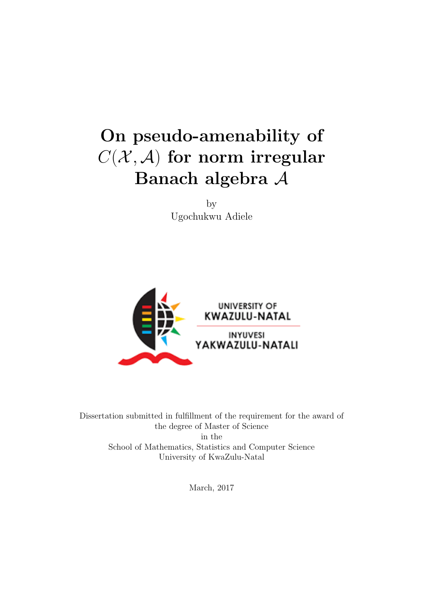# On pseudo-amenability of  $C(\mathcal{X}, \mathcal{A})$  for norm irregular Banach algebra A

by Ugochukwu Adiele



Dissertation submitted in fulfillment of the requirement for the award of the degree of Master of Science in the School of Mathematics, Statistics and Computer Science University of KwaZulu-Natal

March, 2017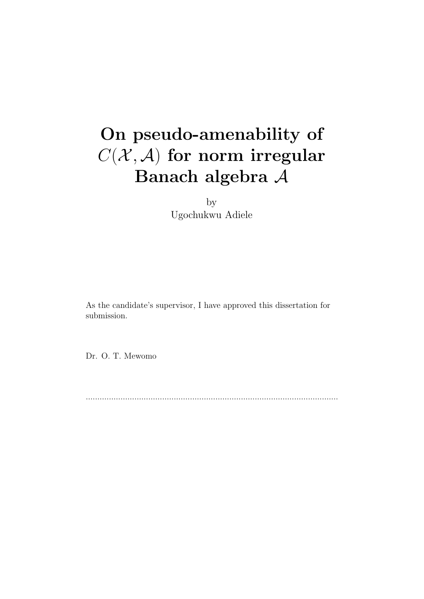# On pseudo-amenability of  $C(\mathcal{X}, \mathcal{A})$  for norm irregular Banach algebra A

by Ugochukwu Adiele

As the candidate's supervisor, I have approved this dissertation for submission.

Dr. O. T. Mewomo

.............................................................................................................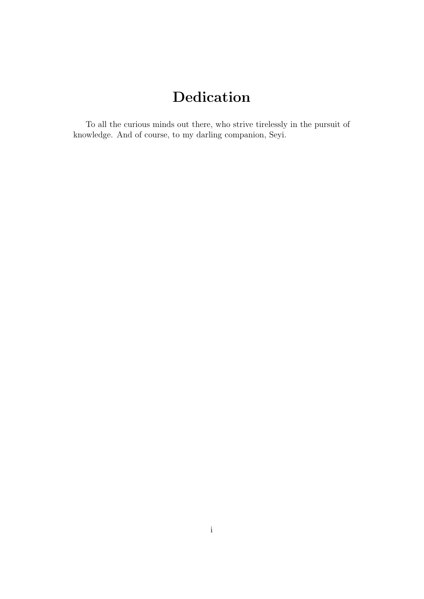## Dedication

To all the curious minds out there, who strive tirelessly in the pursuit of knowledge. And of course, to my darling companion, Seyi.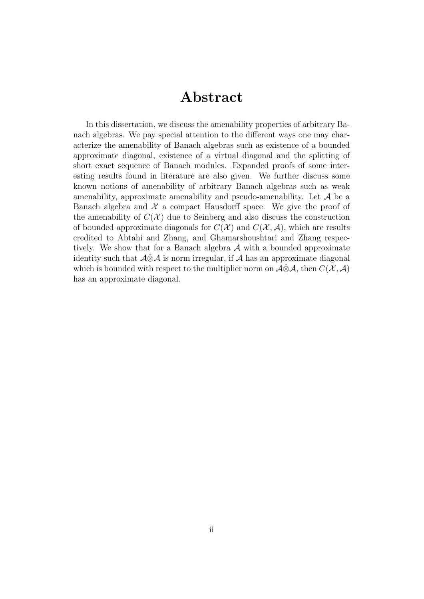### Abstract

In this dissertation, we discuss the amenability properties of arbitrary Banach algebras. We pay special attention to the different ways one may characterize the amenability of Banach algebras such as existence of a bounded approximate diagonal, existence of a virtual diagonal and the splitting of short exact sequence of Banach modules. Expanded proofs of some interesting results found in literature are also given. We further discuss some known notions of amenability of arbitrary Banach algebras such as weak amenability, approximate amenability and pseudo-amenability. Let  $\mathcal A$  be a Banach algebra and  $\mathcal X$  a compact Hausdorff space. We give the proof of the amenability of  $C(\mathcal{X})$  due to Seinberg and also discuss the construction of bounded approximate diagonals for  $C(\mathcal{X})$  and  $C(\mathcal{X}, \mathcal{A})$ , which are results credited to Abtahi and Zhang, and Ghamarshoushtari and Zhang respectively. We show that for a Banach algebra  $A$  with a bounded approximate identity such that  $\mathcal{A} \hat{\otimes} \mathcal{A}$  is norm irregular, if  $\mathcal{A}$  has an approximate diagonal which is bounded with respect to the multiplier norm on  $\mathcal{A}\hat{\otimes}\mathcal{A}$ , then  $C(\mathcal{X},\mathcal{A})$ has an approximate diagonal.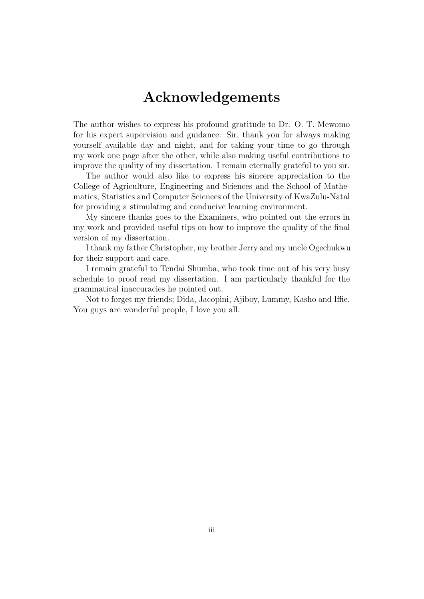### Acknowledgements

The author wishes to express his profound gratitude to Dr. O. T. Mewomo for his expert supervision and guidance. Sir, thank you for always making yourself available day and night, and for taking your time to go through my work one page after the other, while also making useful contributions to improve the quality of my dissertation. I remain eternally grateful to you sir.

The author would also like to express his sincere appreciation to the College of Agriculture, Engineering and Sciences and the School of Mathematics, Statistics and Computer Sciences of the University of KwaZulu-Natal for providing a stimulating and conducive learning environment.

My sincere thanks goes to the Examiners, who pointed out the errors in my work and provided useful tips on how to improve the quality of the final version of my dissertation.

I thank my father Christopher, my brother Jerry and my uncle Ogechukwu for their support and care.

I remain grateful to Tendai Shumba, who took time out of his very busy schedule to proof read my dissertation. I am particularly thankful for the grammatical inaccuracies he pointed out.

Not to forget my friends; Dida, Jacopini, Ajiboy, Lummy, Kasho and Iffie. You guys are wonderful people, I love you all.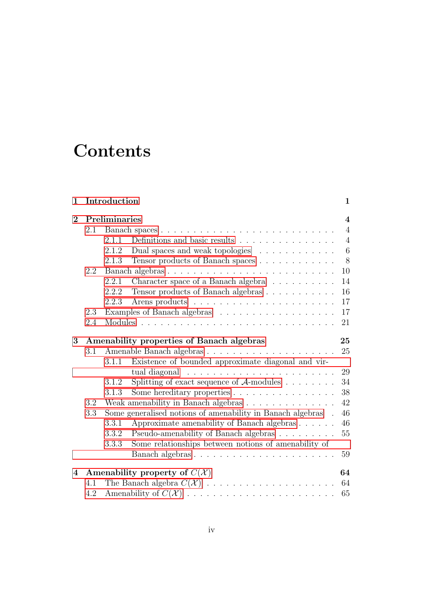# **Contents**

| $\mathbf 1$ |         | Introduction                                                                     | $\mathbf{1}$            |
|-------------|---------|----------------------------------------------------------------------------------|-------------------------|
| $\bf{2}$    |         | Preliminaries                                                                    | $\overline{\mathbf{4}}$ |
|             | $2.1\,$ |                                                                                  | $\overline{4}$          |
|             |         | Definitions and basic results $\ldots \ldots \ldots \ldots \ldots$<br>2.1.1      | $\overline{4}$          |
|             |         | Dual spaces and weak topologies<br>2.1.2                                         | $6\phantom{.}6$         |
|             |         | Tensor products of Banach spaces<br>2.1.3                                        | 8                       |
|             | 2.2     |                                                                                  | 10                      |
|             |         | Character space of a Banach algebra<br>2.2.1                                     | 14                      |
|             |         | Tensor products of Banach algebras<br>2.2.2                                      | 16                      |
|             |         | 2.2.3                                                                            | 17                      |
|             | 2.3     |                                                                                  | 17                      |
|             | 2.4     |                                                                                  | 21                      |
| 3           |         | Amenability properties of Banach algebras                                        | 25                      |
|             | 3.1     |                                                                                  | 25                      |
|             |         | Existence of bounded approximate diagonal and vir-<br>3.1.1                      |                         |
|             |         |                                                                                  | 29                      |
|             |         | Splitting of exact sequence of $\mathcal{A}\text{-modules} \dots \dots$<br>3.1.2 | 34                      |
|             |         | Some hereditary properties<br>3.1.3                                              | 38                      |
|             | 3.2     | Weak amenability in Banach algebras                                              | 42                      |
|             | 3.3     | Some generalised notions of amenability in Banach algebras.                      | 46                      |
|             |         | Approximate amenability of Banach algebras<br>3.3.1                              | 46                      |
|             |         | Pseudo-amenability of Banach algebras<br>3.3.2                                   | 55                      |
|             |         | Some relationships between notions of amenability of<br>3.3.3                    |                         |
|             |         | Banach algebras                                                                  | 59                      |
| 4           |         | Amenability property of $C(\mathcal{X})$                                         | 64                      |
|             | 4.1     |                                                                                  | 64                      |
|             | 4.2     |                                                                                  | 65                      |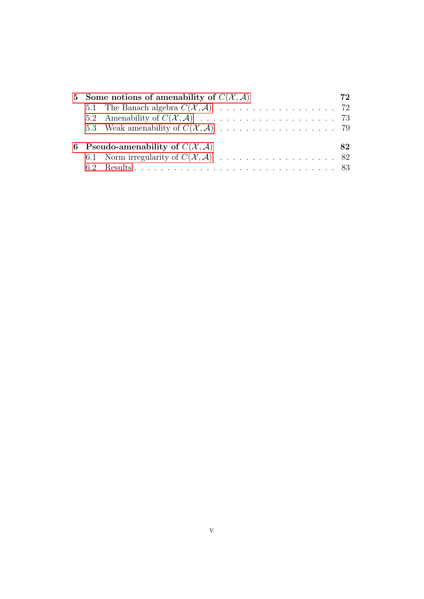| 5 Some notions of amenability of $C(\mathcal{X}, \mathcal{A})$ |                                                       |  |  |  |  |  |  |  |  |  | 72. |  |  |  |    |
|----------------------------------------------------------------|-------------------------------------------------------|--|--|--|--|--|--|--|--|--|-----|--|--|--|----|
|                                                                |                                                       |  |  |  |  |  |  |  |  |  |     |  |  |  |    |
|                                                                |                                                       |  |  |  |  |  |  |  |  |  |     |  |  |  |    |
|                                                                |                                                       |  |  |  |  |  |  |  |  |  |     |  |  |  |    |
|                                                                | 6 Pseudo-amenability of $C(\mathcal{X}, \mathcal{A})$ |  |  |  |  |  |  |  |  |  |     |  |  |  | 82 |
|                                                                |                                                       |  |  |  |  |  |  |  |  |  |     |  |  |  |    |
|                                                                |                                                       |  |  |  |  |  |  |  |  |  |     |  |  |  |    |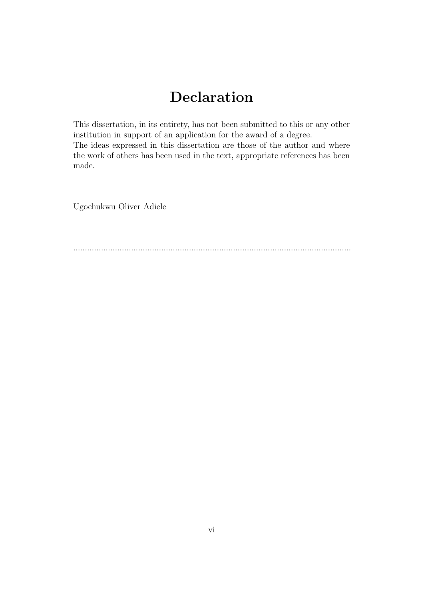## Declaration

This dissertation, in its entirety, has not been submitted to this or any other institution in support of an application for the award of a degree. The ideas expressed in this dissertation are those of the author and where the work of others has been used in the text, appropriate references has been made.

Ugochukwu Oliver Adiele

........................................................................................................................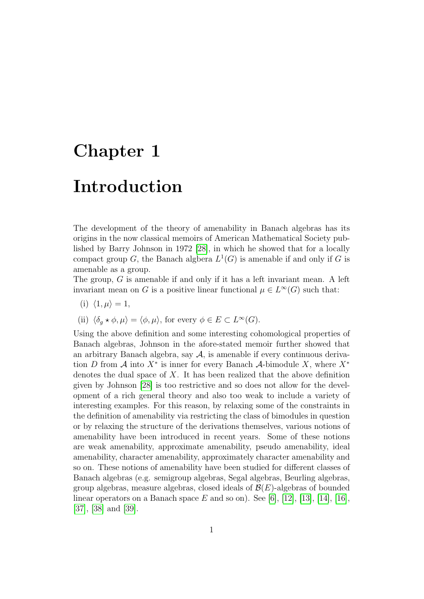# <span id="page-8-0"></span>Chapter 1

## Introduction

The development of the theory of amenability in Banach algebras has its origins in the now classical memoirs of American Mathematical Society published by Barry Johnson in 1972 [\[28\]](#page-98-0), in which he showed that for a locally compact group G, the Banach algbera  $L^1(G)$  is amenable if and only if G is amenable as a group.

The group, G is amenable if and only if it has a left invariant mean. A left invariant mean on G is a positive linear functional  $\mu \in L^{\infty}(G)$  such that:

$$
(i) \langle 1, \mu \rangle = 1,
$$

(ii) 
$$
\langle \delta_g \star \phi, \mu \rangle = \langle \phi, \mu \rangle
$$
, for every  $\phi \in E \subset L^{\infty}(G)$ .

Using the above definition and some interesting cohomological properties of Banach algebras, Johnson in the afore-stated memoir further showed that an arbitrary Banach algebra, say  $A$ , is amenable if every continuous derivation D from A into  $X^*$  is inner for every Banach A-bimodule X, where  $X^*$ denotes the dual space of  $X$ . It has been realized that the above definition given by Johnson [\[28\]](#page-98-0) is too restrictive and so does not allow for the development of a rich general theory and also too weak to include a variety of interesting examples. For this reason, by relaxing some of the constraints in the definition of amenability via restricting the class of bimodules in question or by relaxing the structure of the derivations themselves, various notions of amenability have been introduced in recent years. Some of these notions are weak amenability, approximate amenability, pseudo amenability, ideal amenability, character amenability, approximately character amenability and so on. These notions of amenability have been studied for different classes of Banach algebras (e.g. semigroup algebras, Segal algebras, Beurling algebras, group algebras, measure algebras, closed ideals of  $\mathcal{B}(E)$ -algebras of bounded linear operators on a Banach space E and so on). See [\[6\]](#page-96-0), [\[12\]](#page-96-1), [\[13\]](#page-96-2), [\[14\]](#page-97-0), [\[16\]](#page-97-1), [\[37\]](#page-98-1), [\[38\]](#page-98-2) and [\[39\]](#page-98-3).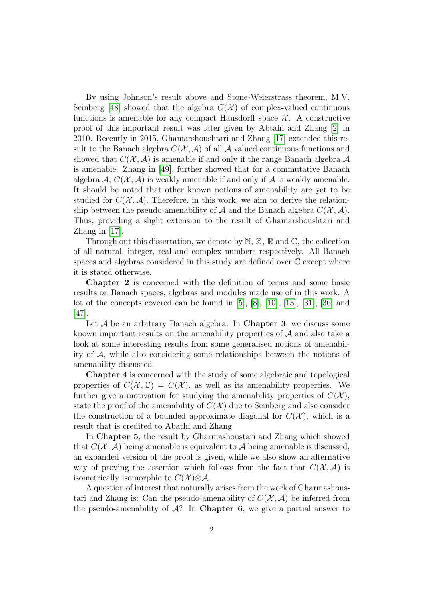By using Johnson's result above and Stone-Weierstrass theorem, M.V. Seinberg [\[48\]](#page-99-0) showed that the algebra  $C(\mathcal{X})$  of complex-valued continuous functions is amenable for any compact Hausdorff space  $\mathcal{X}$ . A constructive proof of this important result was later given by Abtahi and Zhang [\[2\]](#page-96-3) in 2010. Recently in 2015, Ghamarshoushtari and Zhang [\[17\]](#page-97-2) extended this result to the Banach algebra  $C(\mathcal{X}, \mathcal{A})$  of all  $\mathcal A$  valued continuous functions and showed that  $C(\mathcal{X}, \mathcal{A})$  is amenable if and only if the range Banach algebra  $\mathcal A$ is amenable. Zhang in [\[49\]](#page-99-1), further showed that for a commutative Banach algebra A,  $C(\mathcal{X}, \mathcal{A})$  is weakly amenable if and only if A is weakly amenable. It should be noted that other known notions of amenability are yet to be studied for  $C(\mathcal{X}, \mathcal{A})$ . Therefore, in this work, we aim to derive the relationship between the pseudo-amenability of A and the Banach algebra  $C(\mathcal{X}, \mathcal{A})$ . Thus, providing a slight extension to the result of Ghamarshoushtari and Zhang in [\[17\]](#page-97-2).

Through out this dissertation, we denote by  $\mathbb{N}, \mathbb{Z}, \mathbb{R}$  and  $\mathbb{C}$ , the collection of all natural, integer, real and complex numbers respectively. All Banach spaces and algebras considered in this study are defined over C except where it is stated otherwise.

Chapter 2 is concerned with the definition of terms and some basic results on Banach spaces, algebras and modules made use of in this work. A lot of the concepts covered can be found in [\[5\]](#page-96-4), [\[8\]](#page-96-5), [\[10\]](#page-96-6), [\[13\]](#page-96-2), [\[31\]](#page-98-4), [\[36\]](#page-98-5) and [\[47\]](#page-99-2).

Let  $A$  be an arbitrary Banach algebra. In **Chapter 3**, we discuss some known important results on the amenability properties of  $A$  and also take a look at some interesting results from some generalised notions of amenability of A, while also considering some relationships between the notions of amenability discussed.

Chapter 4 is concerned with the study of some algebraic and topological properties of  $C(\mathcal{X}, \mathbb{C}) = C(\mathcal{X})$ , as well as its amenability properties. We further give a motivation for studying the amenability properties of  $C(\mathcal{X})$ , state the proof of the amenability of  $C(\mathcal{X})$  due to Seinberg and also consider the construction of a bounded approximate diagonal for  $C(\mathcal{X})$ , which is a result that is credited to Abathi and Zhang.

In Chapter 5, the result by Gharmashoustari and Zhang which showed that  $C(\mathcal{X}, \mathcal{A})$  being amenable is equivalent to A being amenable is discussed, an expanded version of the proof is given, while we also show an alternative way of proving the assertion which follows from the fact that  $C(\mathcal{X}, \mathcal{A})$  is isometrically isomorphic to  $C(\mathcal{X})\tilde{\otimes} \mathcal{A}$ .

A question of interest that naturally arises from the work of Gharmashoustari and Zhang is: Can the pseudo-amenability of  $C(\mathcal{X}, \mathcal{A})$  be inferred from the pseudo-amenability of  $A$ ? In **Chapter 6**, we give a partial answer to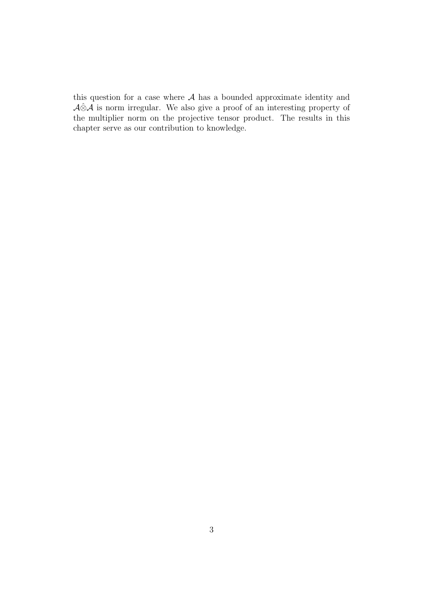this question for a case where  $A$  has a bounded approximate identity and  $\mathcal{A} \hat{\otimes} \mathcal{A}$  is norm irregular. We also give a proof of an interesting property of the multiplier norm on the projective tensor product. The results in this chapter serve as our contribution to knowledge.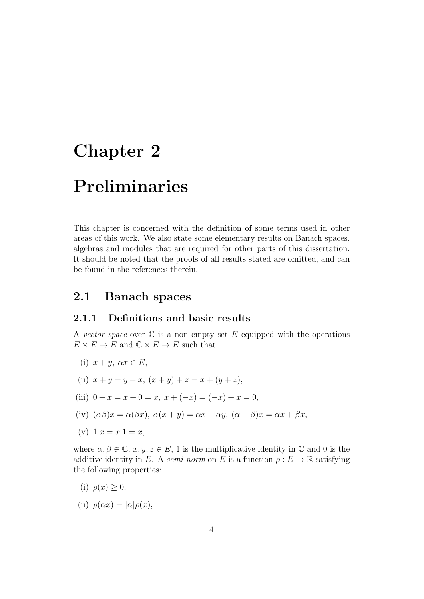## <span id="page-11-0"></span>Chapter 2

# Preliminaries

This chapter is concerned with the definition of some terms used in other areas of this work. We also state some elementary results on Banach spaces, algebras and modules that are required for other parts of this dissertation. It should be noted that the proofs of all results stated are omitted, and can be found in the references therein.

### <span id="page-11-1"></span>2.1 Banach spaces

#### <span id="page-11-2"></span>2.1.1 Definitions and basic results

A vector space over  $\mathbb C$  is a non empty set E equipped with the operations  $E \times E \to E$  and  $\mathbb{C} \times E \to E$  such that

- (i)  $x + y$ ,  $\alpha x \in E$ .
- (ii)  $x + y = y + x$ ,  $(x + y) + z = x + (y + z)$ ,

(iii) 
$$
0 + x = x + 0 = x, x + (-x) = (-x) + x = 0,
$$

- (iv)  $(\alpha\beta)x = \alpha(\beta x), \ \alpha(x + y) = \alpha x + \alpha y, \ (\alpha + \beta)x = \alpha x + \beta x,$
- (v)  $1.x = x.1 = x$ ,

where  $\alpha, \beta \in \mathbb{C}, x, y, z \in E$ , 1 is the multiplicative identity in  $\mathbb{C}$  and 0 is the additive identity in E. A semi-norm on E is a function  $\rho : E \to \mathbb{R}$  satisfying the following properties:

- (i)  $\rho(x) > 0$ ,
- (ii)  $\rho(\alpha x) = |\alpha| \rho(x),$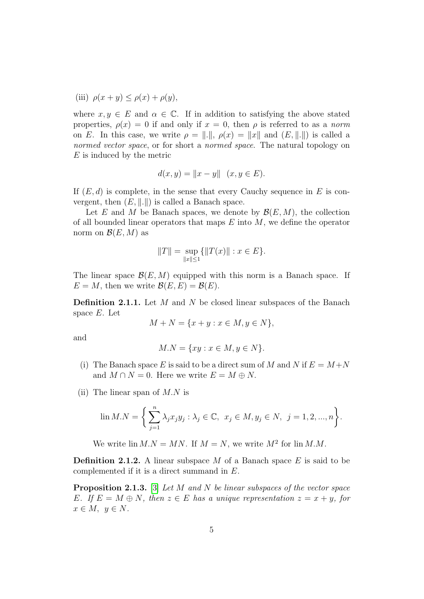(iii)  $\rho(x+y) \leq \rho(x) + \rho(y)$ ,

where  $x, y \in E$  and  $\alpha \in \mathbb{C}$ . If in addition to satisfying the above stated properties,  $\rho(x) = 0$  if and only if  $x = 0$ , then  $\rho$  is referred to as a norm on E. In this case, we write  $\rho = ||.||, \rho(x) = ||x||$  and  $(E, ||.||)$  is called a normed vector space, or for short a normed space. The natural topology on E is induced by the metric

$$
d(x, y) = ||x - y|| \ (x, y \in E).
$$

If  $(E, d)$  is complete, in the sense that every Cauchy sequence in E is convergent, then  $(E, \|\. \|)$  is called a Banach space.

Let E and M be Banach spaces, we denote by  $\mathcal{B}(E, M)$ , the collection of all bounded linear operators that maps  $E$  into  $M$ , we define the operator norm on  $\mathcal{B}(E,M)$  as

$$
||T|| = \sup_{||x|| \le 1} \{ ||T(x)|| : x \in E \}.
$$

The linear space  $\mathcal{B}(E, M)$  equipped with this norm is a Banach space. If  $E = M$ , then we write  $\mathcal{B}(E, E) = \mathcal{B}(E)$ .

**Definition 2.1.1.** Let  $M$  and  $N$  be closed linear subspaces of the Banach space E. Let

$$
M + N = \{x + y : x \in M, y \in N\},\
$$

and

$$
M.N = \{xy : x \in M, y \in N\}.
$$

- (i) The Banach space E is said to be a direct sum of M and N if  $E = M+N$ and  $M \cap N = 0$ . Here we write  $E = M \oplus N$ .
- (ii) The linear span of  $M.N$  is

$$
\ln M.N = \left\{ \sum_{j=1}^{n} \lambda_j x_j y_j : \lambda_j \in \mathbb{C}, \ x_j \in M, y_j \in N, \ j = 1, 2, ..., n \right\}.
$$

We write  $\text{lin } M.N = MN$ . If  $M = N$ , we write  $M^2$  for  $\text{lin } M.M$ .

**Definition 2.1.2.** A linear subspace  $M$  of a Banach space  $E$  is said to be complemented if it is a direct summand in E.

**Proposition 2.1.3.** [\[3\]](#page-96-7) Let M and N be linear subspaces of the vector space E. If  $E = M \oplus N$ , then  $z \in E$  has a unique representation  $z = x + y$ , for  $x \in M$ ,  $y \in N$ .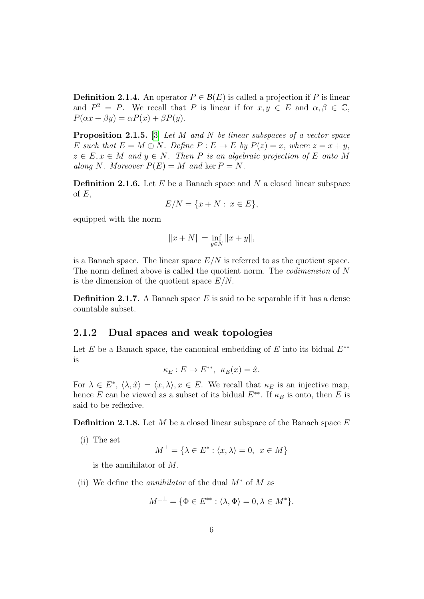**Definition 2.1.4.** An operator  $P \in \mathcal{B}(E)$  is called a projection if P is linear and  $P^2 = P$ . We recall that P is linear if for  $x, y \in E$  and  $\alpha, \beta \in \mathbb{C}$ ,  $P(\alpha x + \beta y) = \alpha P(x) + \beta P(y).$ 

Proposition 2.1.5. [\[3\]](#page-96-7) Let M and N be linear subspaces of a vector space E such that  $E = M \oplus N$ . Define  $P : E \to E$  by  $P(z) = x$ , where  $z = x + y$ ,  $z \in E, x \in M$  and  $y \in N$ . Then P is an algebraic projection of E onto M along N. Moreover  $P(E) = M$  and ker  $P = N$ .

**Definition 2.1.6.** Let E be a Banach space and N a closed linear subspace of  $E$ ,

$$
E/N = \{x + N : x \in E\},\
$$

equipped with the norm

$$
||x + N|| = \inf_{y \in N} ||x + y||,
$$

is a Banach space. The linear space  $E/N$  is referred to as the quotient space. The norm defined above is called the quotient norm. The codimension of N is the dimension of the quotient space  $E/N$ .

**Definition 2.1.7.** A Banach space E is said to be separable if it has a dense countable subset.

#### <span id="page-13-0"></span>2.1.2 Dual spaces and weak topologies

Let E be a Banach space, the canonical embedding of E into its bidual  $E^{**}$ is

 $\kappa_E : E \to E^{**}, \ \kappa_E(x) = \hat{x}.$ 

For  $\lambda \in E^*, \langle \lambda, \hat{x} \rangle = \langle x, \lambda \rangle, x \in E$ . We recall that  $\kappa_E$  is an injective map, hence E can be viewed as a subset of its bidual  $E^{**}$ . If  $\kappa_E$  is onto, then E is said to be reflexive.

**Definition 2.1.8.** Let M be a closed linear subspace of the Banach space E

(i) The set

$$
M^{\perp} = \{ \lambda \in E^* : \langle x, \lambda \rangle = 0, \ x \in M \}
$$

is the annihilator of M.

(ii) We define the *annihilator* of the dual  $M^*$  of M as

$$
M^{\perp \perp} = \{ \Phi \in E^{**} : \langle \lambda, \Phi \rangle = 0, \lambda \in M^* \}.
$$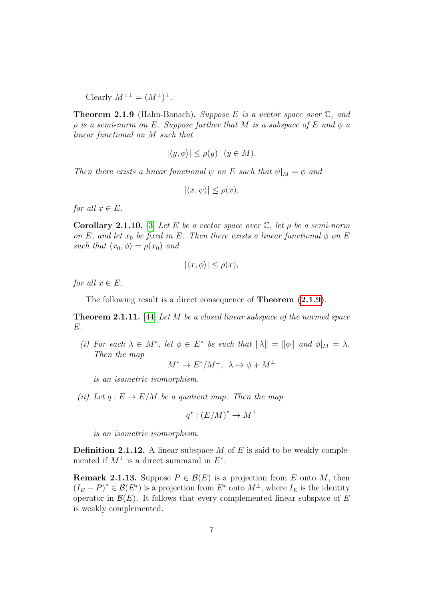Clearly  $M^{\perp \perp} = (M^{\perp})^{\perp}$ .

<span id="page-14-0"></span>**Theorem 2.1.9** (Hahn-Banach). Suppose E is a vector space over  $\mathbb{C}$ , and  $\rho$  is a semi-norm on E. Suppose further that M is a subspace of E and  $\phi$  a linear functional on M such that

$$
|\langle y, \phi \rangle| \le \rho(y) \quad (y \in M).
$$

Then there exists a linear functional  $\psi$  on E such that  $\psi|_M = \phi$  and

$$
|\langle x, \psi \rangle| \le \rho(x),
$$

for all  $x \in E$ .

Corollary 2.1.10. [\[3\]](#page-96-7) Let E be a vector space over  $\mathbb C$ , let  $\rho$  be a semi-norm on E, and let  $x_0$  be fixed in E. Then there exists a linear functional  $\phi$  on E such that  $\langle x_0, \phi \rangle = \rho(x_0)$  and

$$
|\langle x, \phi \rangle| \le \rho(x),
$$

for all  $x \in E$ .

The following result is a direct consequence of Theorem [\(2.1.9\)](#page-14-0).

<span id="page-14-1"></span>Theorem 2.1.11. [\[44\]](#page-99-3) Let M be a closed linear subspace of the normed space E.

(i) For each  $\lambda \in M^*$ , let  $\phi \in E^*$  be such that  $\|\lambda\| = \|\phi\|$  and  $\phi|_M = \lambda$ . Then the map

$$
M^* \to E^* / M^{\perp}, \ \lambda \mapsto \phi + M^{\perp}
$$

is an isometric isomorphism.

(ii) Let  $q: E \to E/M$  be a quotient map. Then the map

$$
q^*: (E/M)^* \to M^{\perp}
$$

is an isometric isomorphism.

**Definition 2.1.12.** A linear subspace M of E is said to be weakly complemented if  $M^{\perp}$  is a direct summand in  $E^*$ .

**Remark 2.1.13.** Suppose  $P \in \mathcal{B}(E)$  is a projection from E onto M, then  $(I_E - P)^* \in \mathcal{B}(E^*)$  is a projection from  $E^*$  onto  $M^{\perp}$ , where  $I_E$  is the identity operator in  $\mathcal{B}(E)$ . It follows that every complemented linear subspace of E is weakly complemented.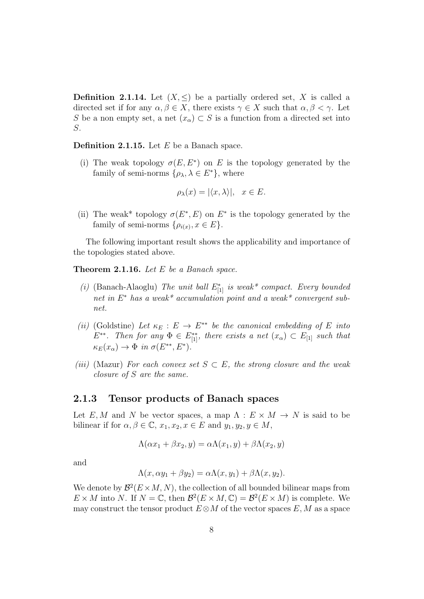**Definition 2.1.14.** Let  $(X, \leq)$  be a partially ordered set, X is called a directed set if for any  $\alpha, \beta \in X$ , there exists  $\gamma \in X$  such that  $\alpha, \beta < \gamma$ . Let S be a non empty set, a net  $(x_\alpha) \subset S$  is a function from a directed set into S.

**Definition 2.1.15.** Let  $E$  be a Banach space.

(i) The weak topology  $\sigma(E, E^*)$  on E is the topology generated by the family of semi-norms  $\{\rho_{\lambda}, \lambda \in E^*\}$ , where

$$
\rho_{\lambda}(x) = |\langle x, \lambda \rangle|, \quad x \in E.
$$

(ii) The weak\* topology  $\sigma(E^*, E)$  on  $E^*$  is the topology generated by the family of semi-norms  $\{\rho_{i(x)}, x \in E\}.$ 

The following important result shows the applicability and importance of the topologies stated above.

<span id="page-15-1"></span>Theorem 2.1.16. Let  $E$  be a Banach space.

- (i) (Banach-Alaoglu) The unit ball  $E_{[1]}^*$  is weak\* compact. Every bounded net in  $E^*$  has a weak\* accumulation point and a weak\* convergent subnet.
- (ii) (Goldstine) Let  $\kappa_E : E \to E^{**}$  be the canonical embedding of E into  $E^{**}$ . Then for any  $\Phi \in E_{[1]}^{**}$ , there exists a net  $(x_{\alpha}) \subset E_{[1]}$  such that  $\kappa_E(x_\alpha) \to \Phi$  in  $\sigma(E^{**}, E^*)$ .
- (iii) (Mazur) For each convex set  $S \subset E$ , the strong closure and the weak closure of S are the same.

#### <span id="page-15-0"></span>2.1.3 Tensor products of Banach spaces

Let E, M and N be vector spaces, a map  $\Lambda : E \times M \to N$  is said to be bilinear if for  $\alpha, \beta \in \mathbb{C}$ ,  $x_1, x_2, x \in E$  and  $y_1, y_2, y \in M$ ,

$$
\Lambda(\alpha x_1 + \beta x_2, y) = \alpha \Lambda(x_1, y) + \beta \Lambda(x_2, y)
$$

and

$$
\Lambda(x, \alpha y_1 + \beta y_2) = \alpha \Lambda(x, y_1) + \beta \Lambda(x, y_2).
$$

We denote by  $\mathcal{B}^2(E \times M, N)$ , the collection of all bounded bilinear maps from  $E \times M$  into N. If  $N = \mathbb{C}$ , then  $\mathcal{B}^2(E \times M, \mathbb{C}) = \mathcal{B}^2(E \times M)$  is complete. We may construct the tensor product  $E \otimes M$  of the vector spaces  $E, M$  as a space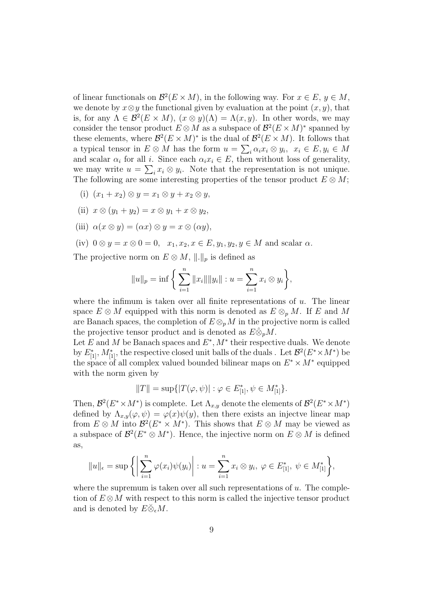of linear functionals on  $\mathcal{B}^2(E \times M)$ , in the following way. For  $x \in E$ ,  $y \in M$ , we denote by  $x \otimes y$  the functional given by evaluation at the point  $(x, y)$ , that is, for any  $\Lambda \in \mathcal{B}^2(E \times M)$ ,  $(x \otimes y)(\Lambda) = \Lambda(x, y)$ . In other words, we may consider the tensor product  $E \otimes M$  as a subspace of  $\mathcal{B}^2(E \times M)^*$  spanned by these elements, where  $\mathcal{B}^2(E \times M)^*$  is the dual of  $\mathcal{B}^2(E \times M)$ . It follows that a typical tensor in  $E \otimes M$  has the form  $u = \sum_i \alpha_i x_i \otimes y_i, \; x_i \in E, y_i \in M$ and scalar  $\alpha_i$  for all i. Since each  $\alpha_i x_i \in E$ , then without loss of generality, we may write  $u = \sum_i x_i \otimes y_i$ . Note that the representation is not unique. The following are some interesting properties of the tensor product  $E \otimes M$ ;

- (i)  $(x_1 + x_2) \otimes y = x_1 \otimes y + x_2 \otimes y$ ,
- (ii)  $x \otimes (y_1 + y_2) = x \otimes y_1 + x \otimes y_2$
- (iii)  $\alpha(x \otimes y) = (\alpha x) \otimes y = x \otimes (\alpha y),$
- (iv)  $0 \otimes y = x \otimes 0 = 0$ ,  $x_1, x_2, x \in E$ ,  $y_1, y_2, y \in M$  and scalar  $\alpha$ .

The projective norm on  $E \otimes M$ ,  $\lVert . \rVert_p$  is defined as

$$
||u||_p = \inf \left\{ \sum_{i=1}^n ||x_i|| ||y_i|| : u = \sum_{i=1}^n x_i \otimes y_i \right\},\
$$

where the infimum is taken over all finite representations of  $u$ . The linear space  $E \otimes M$  equipped with this norm is denoted as  $E \otimes_p M$ . If E and M are Banach spaces, the completion of  $E \otimes_p M$  in the projective norm is called the projective tensor product and is denoted as  $E \hat{\otimes}_{n} M$ .

Let E and M be Banach spaces and  $E^*$ ,  $M^*$  their respective duals. We denote by  $E_{[1]}^*, M_{[1]}^*$ , the respective closed unit balls of the duals . Let  $\mathcal{B}^2(E^*\times M^*)$  be the space of all complex valued bounded bilinear maps on  $E^* \times M^*$  equipped with the norm given by

$$
||T|| = \sup\{|T(\varphi, \psi)| : \varphi \in E_{[1]}^*, \psi \in M_{[1]}^*\}.
$$

Then,  $\mathcal{B}^2(E^* \times M^*)$  is complete. Let  $\Lambda_{x,y}$  denote the elements of  $\mathcal{B}^2(E^* \times M^*)$ defined by  $\Lambda_{x,y}(\varphi,\psi) = \varphi(x)\psi(y)$ , then there exists an injectve linear map from  $E \otimes M$  into  $\mathcal{B}^2(E^* \times M^*)$ . This shows that  $E \otimes M$  may be viewed as a subspace of  $\mathcal{B}^2(E^*\otimes M^*)$ . Hence, the injective norm on  $E\otimes M$  is defined as,

$$
||u||_{\epsilon} = \sup \left\{ \left| \sum_{i=1}^{n} \varphi(x_i) \psi(y_i) \right| : u = \sum_{i=1}^{n} x_i \otimes y_i, \ \varphi \in E_{[1]}^*, \ \psi \in M_{[1]}^* \right\},\
$$

where the supremum is taken over all such representations of  $u$ . The completion of  $E \otimes M$  with respect to this norm is called the injective tensor product and is denoted by  $E\breve{\otimes}_{\epsilon}M$ .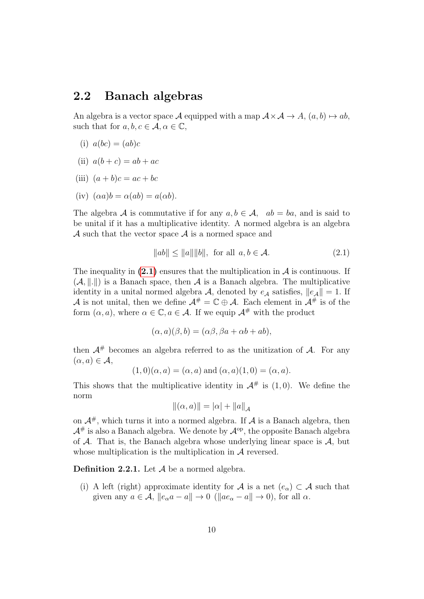### <span id="page-17-0"></span>2.2 Banach algebras

An algebra is a vector space A equipped with a map  $A \times A \rightarrow A$ ,  $(a, b) \mapsto ab$ , such that for  $a, b, c \in \mathcal{A}, \alpha \in \mathbb{C}$ ,

- (i)  $a(bc) = (ab)c$
- (ii)  $a(b + c) = ab + ac$
- (iii)  $(a + b)c = ac + bc$
- (iv)  $(\alpha a)b = \alpha(ab) = a(\alpha b)$ .

The algebra A is commutative if for any  $a, b \in \mathcal{A}$ ,  $ab = ba$ , and is said to be unital if it has a multiplicative identity. A normed algebra is an algebra  $\mathcal A$  such that the vector space  $\mathcal A$  is a normed space and

<span id="page-17-1"></span>
$$
\|ab\| \le \|a\| \|b\|, \text{ for all } a, b \in \mathcal{A}.
$$
 (2.1)

The inequality in  $(2.1)$  ensures that the multiplication in  $\mathcal A$  is continuous. If  $(\mathcal{A}, \|\cdot\|)$  is a Banach space, then A is a Banach algebra. The multiplicative identity in a unital normed algebra A, denoted by  $e_A$  satisfies,  $||e_A|| = 1$ . If A is not unital, then we define  $A^{\#} = \mathbb{C} \oplus \mathcal{A}$ . Each element in  $A^{\#}$  is of the form  $(\alpha, a)$ , where  $\alpha \in \mathbb{C}$ ,  $a \in \mathcal{A}$ . If we equip  $\mathcal{A}^{\#}$  with the product

$$
(\alpha, a)(\beta, b) = (\alpha\beta, \beta a + \alpha b + ab),
$$

then  $A^{\#}$  becomes an algebra referred to as the unitization of A. For any  $(\alpha, a) \in \mathcal{A}$ ,

$$
(1,0)(\alpha,a) = (\alpha,a)
$$
 and  $(\alpha,a)(1,0) = (\alpha,a)$ .

This shows that the multiplicative identity in  $\mathcal{A}^{\#}$  is (1,0). We define the norm

$$
\|(\alpha, a)\| = |\alpha| + \|a\|_{\mathcal{A}}
$$

on  $\mathcal{A}^{\#}$ , which turns it into a normed algebra. If  $\mathcal{A}$  is a Banach algebra, then  $\mathcal{A}^{\#}$  is also a Banach algebra. We denote by  $\mathcal{A}^{op}$ , the opposite Banach algebra of  $A$ . That is, the Banach algebra whose underlying linear space is  $A$ , but whose multiplication is the multiplication in  $A$  reversed.

**Definition 2.2.1.** Let  $\mathcal A$  be a normed algebra.

(i) A left (right) approximate identity for A is a net  $(e_{\alpha}) \subset A$  such that given any  $a \in \mathcal{A}$ ,  $||e_{\alpha}a - a|| \to 0$  ( $||ae_{\alpha} - a|| \to 0$ ), for all  $\alpha$ .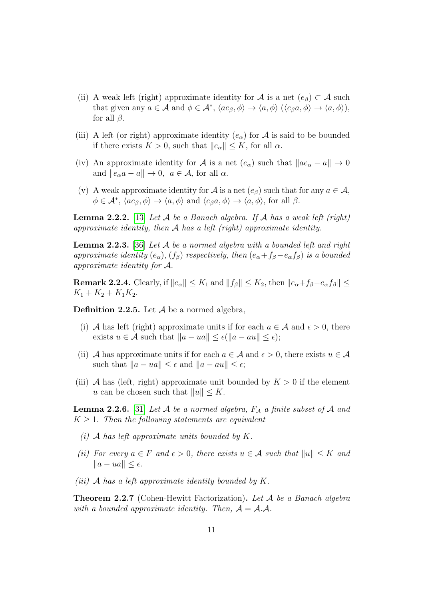- (ii) A weak left (right) approximate identity for A is a net  $(e_\beta) \subset \mathcal{A}$  such that given any  $a \in \mathcal{A}$  and  $\phi \in \mathcal{A}^*$ ,  $\langle ae_{\beta}, \phi \rangle \rightarrow \langle a, \phi \rangle$  ( $\langle e_{\beta}a, \phi \rangle \rightarrow \langle a, \phi \rangle$ ), for all  $\beta$ .
- (iii) A left (or right) approximate identity  $(e_{\alpha})$  for A is said to be bounded if there exists  $K > 0$ , such that  $||e_{\alpha}|| \leq K$ , for all  $\alpha$ .
- (iv) An approximate identity for A is a net  $(e_{\alpha})$  such that  $\|ae_{\alpha}-a\| \to 0$ and  $||e_{\alpha}a - a|| \to 0$ ,  $a \in \mathcal{A}$ , for all  $\alpha$ .
- (v) A weak approximate identity for A is a net  $(e_{\beta})$  such that for any  $a \in \mathcal{A}$ ,  $\phi \in \mathcal{A}^*, \langle ae_{\beta}, \phi \rangle \rightarrow \langle a, \phi \rangle \text{ and } \langle e_{\beta}a, \phi \rangle \rightarrow \langle a, \phi \rangle \text{, for all } \beta.$

**Lemma 2.2.2.** [\[13\]](#page-96-2) Let  $A$  be a Banach algebra. If  $A$  has a weak left (right) approximate identity, then  $A$  has a left (right) approximate identity.

**Lemma 2.2.3.** [\[36\]](#page-98-5) Let  $A$  be a normed algebra with a bounded left and right approximate identity  $(e_{\alpha})$ ,  $(f_{\beta})$  respectively, then  $(e_{\alpha}+f_{\beta}-e_{\alpha}f_{\beta})$  is a bounded approximate identity for A.

**Remark 2.2.4.** Clearly, if  $||e_{\alpha}|| \leq K_1$  and  $||f_{\beta}|| \leq K_2$ , then  $||e_{\alpha} + f_{\beta} - e_{\alpha}f_{\beta}|| \leq$  $K_1 + K_2 + K_1K_2.$ 

**Definition 2.2.5.** Let  $\mathcal A$  be a normed algebra,

- (i) A has left (right) approximate units if for each  $a \in \mathcal{A}$  and  $\epsilon > 0$ , there exists  $u \in \mathcal{A}$  such that  $||a - ua|| \leq \epsilon(||a - au|| \leq \epsilon)$ ;
- (ii) A has approximate units if for each  $a \in \mathcal{A}$  and  $\epsilon > 0$ , there exists  $u \in \mathcal{A}$ such that  $||a - ua|| \leq \epsilon$  and  $||a - au|| \leq \epsilon$ ;
- (iii) A has (left, right) approximate unit bounded by  $K > 0$  if the element u can be chosen such that  $||u|| \leq K$ .

**Lemma 2.2.6.** [\[31\]](#page-98-4) Let A be a normed algebra,  $F_A$  a finite subset of A and  $K \geq 1$ . Then the following statements are equivalent

- (i) A has left approximate units bounded by  $K$ .
- (ii) For every  $a \in F$  and  $\epsilon > 0$ , there exists  $u \in A$  such that  $||u|| \leq K$  and  $\|a - ua\| \leq \epsilon.$
- (iii) A has a left approximate identity bounded by  $K$ .

**Theorem 2.2.7** (Cohen-Hewitt Factorization). Let  $A$  be a Banach algebra with a bounded approximate identity. Then,  $A = A.A$ .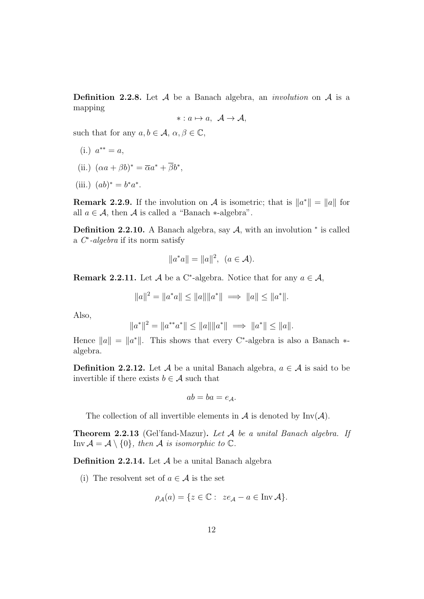**Definition 2.2.8.** Let  $\mathcal A$  be a Banach algebra, an *involution* on  $\mathcal A$  is a mapping

$$
* : a \mapsto a, \mathcal{A} \to \mathcal{A},
$$

such that for any  $a, b \in \mathcal{A}, \alpha, \beta \in \mathbb{C}$ ,

- (i.)  $a^{**} = a$ ,
- (ii.)  $(\alpha a + \beta b)^* = \overline{\alpha}a^* + \overline{\beta}b^*$ ,
- (iii.)  $(ab)^* = b^*a^*$ .

**Remark 2.2.9.** If the involution on A is isometric; that is  $||a^*|| = ||a||$  for all  $a \in \mathcal{A}$ , then  $\mathcal A$  is called a "Banach  $*$ -algebra".

Definition 2.2.10. A Banach algebra, say  $A$ , with an involution  $*$  is called a  $C^*$ -algebra if its norm satisfy

$$
||a^*a|| = ||a||^2, \ (a \in \mathcal{A}).
$$

**Remark 2.2.11.** Let  $\mathcal A$  be a C<sup>\*</sup>-algebra. Notice that for any  $a \in \mathcal A$ ,

 $||a||^2 = ||a^*a|| \le ||a||||a^*|| \implies ||a|| \le ||a^*||.$ 

Also,

$$
||a^*||^2 = ||a^{**}a^*|| \le ||a|| ||a^*|| \implies ||a^*|| \le ||a||.
$$

Hence  $||a|| = ||a^*||$ . This shows that every C<sup>\*</sup>-algebra is also a Banach  $*$ algebra.

**Definition 2.2.12.** Let A be a unital Banach algebra,  $a \in A$  is said to be invertible if there exists  $b \in \mathcal{A}$  such that

$$
ab = ba = e_{\mathcal{A}}.
$$

The collection of all invertible elements in  $A$  is denoted by  $Inv(A)$ .

Theorem 2.2.13 (Gel'fand-Mazur). Let A be a unital Banach algebra. If Inv  $\mathcal{A} = \mathcal{A} \setminus \{0\}$ , then A is isomorphic to  $\mathbb{C}$ .

**Definition 2.2.14.** Let  $A$  be a unital Banach algebra

(i) The resolvent set of  $a \in \mathcal{A}$  is the set

$$
\rho_{\mathcal{A}}(a) = \{ z \in \mathbb{C} : \ z e_{\mathcal{A}} - a \in \text{Inv } \mathcal{A} \}.
$$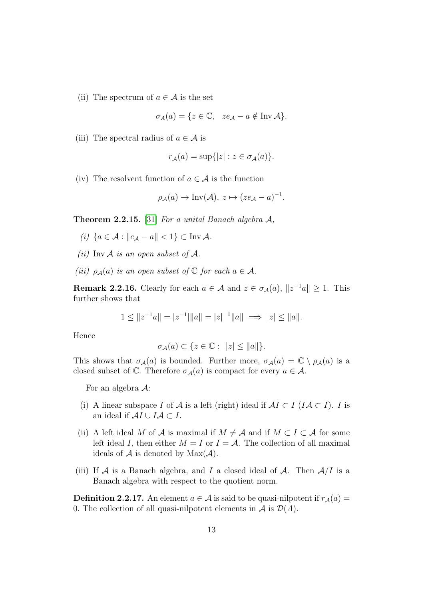(ii) The spectrum of  $a \in \mathcal{A}$  is the set

$$
\sigma_A(a) = \{ z \in \mathbb{C}, \ z e_A - a \notin \text{Inv } A \}.
$$

(iii) The spectral radius of  $a \in \mathcal{A}$  is

$$
r_{\mathcal{A}}(a) = \sup\{|z| : z \in \sigma_{\mathcal{A}}(a)\}.
$$

(iv) The resolvent function of  $a \in \mathcal{A}$  is the function

$$
\rho_{\mathcal{A}}(a) \to \text{Inv}(\mathcal{A}), \ z \mapsto (ze_{\mathcal{A}} - a)^{-1}.
$$

**Theorem 2.2.15.** [\[31\]](#page-98-4) For a unital Banach algebra  $\mathcal{A}$ ,

- (i)  ${a \in \mathcal{A} : \|e_A a\| < 1} \subset \text{Inv } \mathcal{A}.$
- (ii) Inv  $\mathcal A$  is an open subset of  $\mathcal A$ .
- (iii)  $\rho_{\mathcal{A}}(a)$  is an open subset of  $\mathbb C$  for each  $a \in \mathcal{A}$ .

**Remark 2.2.16.** Clearly for each  $a \in \mathcal{A}$  and  $z \in \sigma_{\mathcal{A}}(a)$ ,  $||z^{-1}a|| \ge 1$ . This further shows that

$$
1 \le ||z^{-1}a|| = |z^{-1}|||a|| = |z|^{-1}||a|| \implies |z| \le ||a||.
$$

Hence

$$
\sigma_{\mathcal{A}}(a) \subset \{ z \in \mathbb{C} : \ |z| \le ||a|| \}.
$$

This shows that  $\sigma_{\mathcal{A}}(a)$  is bounded. Further more,  $\sigma_{\mathcal{A}}(a) = \mathbb{C} \setminus \rho_{\mathcal{A}}(a)$  is a closed subset of  $\mathbb C$ . Therefore  $\sigma_{\mathcal{A}}(a)$  is compact for every  $a \in \mathcal{A}$ .

For an algebra A:

- (i) A linear subspace I of A is a left (right) ideal if  $AI \subset I$  ( $IA \subset I$ ). I is an ideal if  $AI \cup IA \subset I$ .
- (ii) A left ideal M of A is maximal if  $M \neq A$  and if  $M \subset I \subset A$  for some left ideal I, then either  $M = I$  or  $I = A$ . The collection of all maximal ideals of  $A$  is denoted by  $Max(A)$ .
- (iii) If A is a Banach algebra, and I a closed ideal of A. Then  $A/I$  is a Banach algebra with respect to the quotient norm.

**Definition 2.2.17.** An element  $a \in \mathcal{A}$  is said to be quasi-nilpotent if  $r_{\mathcal{A}}(a)$  = 0. The collection of all quasi-nilpotent elements in  $A$  is  $\mathcal{D}(A)$ .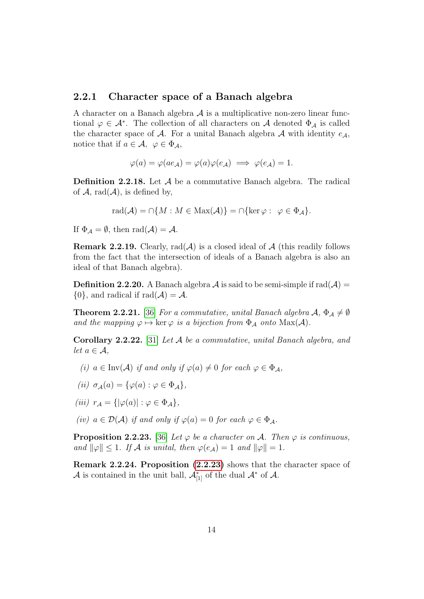#### <span id="page-21-0"></span>2.2.1 Character space of a Banach algebra

A character on a Banach algebra  $A$  is a multiplicative non-zero linear functional  $\varphi \in \mathcal{A}^*$ . The collection of all characters on  $\mathcal{A}$  denoted  $\Phi_{\mathcal{A}}$  is called the character space of A. For a unital Banach algebra A with identity  $e_{\mathcal{A}}$ , notice that if  $a \in \mathcal{A}, \varphi \in \Phi_{\mathcal{A}},$ 

$$
\varphi(a) = \varphi(ae_{\mathcal{A}}) = \varphi(a)\varphi(e_{\mathcal{A}}) \implies \varphi(e_{\mathcal{A}}) = 1.
$$

**Definition 2.2.18.** Let  $\mathcal A$  be a commutative Banach algebra. The radical of  $\mathcal{A}$ , rad $(\mathcal{A})$ , is defined by,

$$
\mathrm{rad}(\mathcal{A}) = \bigcap \{ M : M \in \mathrm{Max}(\mathcal{A}) \} = \bigcap \{ \ker \varphi : \varphi \in \Phi_{\mathcal{A}} \}.
$$

If  $\Phi_{\mathcal{A}} = \emptyset$ , then rad $(\mathcal{A}) = \mathcal{A}$ .

**Remark 2.2.19.** Clearly,  $rad(A)$  is a closed ideal of A (this readily follows from the fact that the intersection of ideals of a Banach algebra is also an ideal of that Banach algebra).

**Definition 2.2.20.** A Banach algebra A is said to be semi-simple if  $rad(A)$  =  $\{0\}$ , and radical if rad $(\mathcal{A}) = \mathcal{A}$ .

**Theorem 2.2.21.** [\[36\]](#page-98-5) For a commutative, unital Banach algebra  $\mathcal{A}, \Phi_{\mathcal{A}} \neq \emptyset$ and the mapping  $\varphi \mapsto \ker \varphi$  is a bijection from  $\Phi_A$  onto  $Max(\mathcal{A})$ .

Corollary 2.2.22. [\[31\]](#page-98-4) Let A be a commutative, unital Banach algebra, and let  $a \in \mathcal{A}$ ,

- (i)  $a \in \text{Inv}(\mathcal{A})$  if and only if  $\varphi(a) \neq 0$  for each  $\varphi \in \Phi_{\mathcal{A}}$ ,
- (ii)  $\sigma_A(a) = {\varphi(a) : \varphi \in \Phi_A},$

$$
(iii) r_{\mathcal{A}} = \{ |\varphi(a)| : \varphi \in \Phi_{\mathcal{A}} \},
$$

(iv)  $a \in \mathcal{D}(\mathcal{A})$  if and only if  $\varphi(a) = 0$  for each  $\varphi \in \Phi_A$ .

<span id="page-21-1"></span>**Proposition 2.2.23.** [\[36\]](#page-98-5) Let  $\varphi$  be a character on A. Then  $\varphi$  is continuous, and  $\|\varphi\| \leq 1$ . If A is unital, then  $\varphi(e_{\mathcal{A}}) = 1$  and  $\|\varphi\| = 1$ .

Remark 2.2.24. Proposition [\(2.2.23\)](#page-21-1) shows that the character space of A is contained in the unit ball,  $\mathcal{A}_{[1]}^*$  of the dual  $\mathcal{A}^*$  of  $\mathcal{A}$ .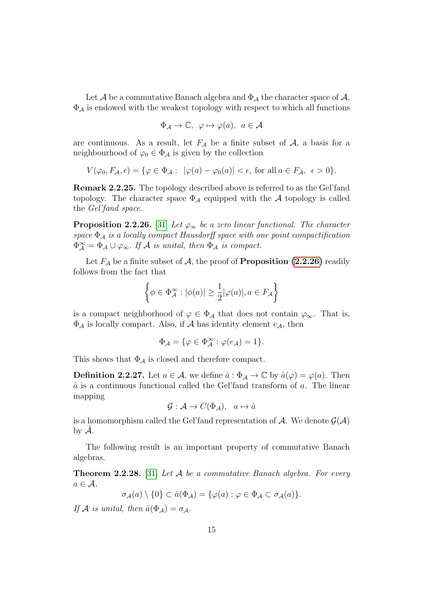Let A be a commutative Banach algebra and  $\Phi_A$  the character space of A,  $\Phi_A$  is endowed with the weakest topology with respect to which all functions

$$
\Phi_{\mathcal{A}} \to \mathbb{C}, \ \varphi \mapsto \varphi(a), \ a \in \mathcal{A}
$$

are continuous. As a result, let  $F_A$  be a finite subset of  $A$ , a basis for a neighbourhood of  $\varphi_0 \in \Phi_{\mathcal{A}}$  is given by the collection

$$
V(\varphi_0, F_{\mathcal{A}}, \epsilon) = \{ \varphi \in \Phi_{\mathcal{A}} : \ |\varphi(a) - \varphi_0(a)| < \epsilon, \text{ for all } a \in F_{\mathcal{A}}, \ \epsilon > 0 \}.
$$

Remark 2.2.25. The topology described above is referred to as the Gel'fand topology. The character space  $\Phi_A$  equipped with the A topology is called the Gel'fand space.

<span id="page-22-0"></span>**Proposition 2.2.26.** [\[31\]](#page-98-4) Let  $\varphi_{\infty}$  be a zero linear functional. The character space  $\Phi_A$  is a locally compact Hausdorff space with one point compactification  $\Phi_{\mathcal{A}}^{\infty} = \Phi_{\mathcal{A}} \cup \varphi_{\infty}$ . If  $\mathcal{A}$  is unital, then  $\Phi_{\mathcal{A}}$  is compact.

Let  $F_A$  be a finite subset of A, the proof of **Proposition [\(2.2.26\)](#page-22-0)** readily follows from the fact that

$$
\left\{\phi \in \Phi_{\mathcal{A}}^{\infty} : |\phi(a)| \ge \frac{1}{2} |\varphi(a)|, a \in F_{\mathcal{A}}\right\}
$$

is a compact neighborhood of  $\varphi \in \Phi_{\mathcal{A}}$  that does not contain  $\varphi_{\infty}$ . That is,  $\Phi_{\mathcal{A}}$  is locally compact. Also, if  $\mathcal{A}$  has identity element  $e_{\mathcal{A}}$ , then

$$
\Phi_{\mathcal{A}}=\{\varphi\in \Phi_{\mathcal{A}}^{\infty}: \varphi(e_{\mathcal{A}})=1\}.
$$

This shows that  $\Phi_{\mathcal{A}}$  is closed and therefore compact.

**Definition 2.2.27.** Let  $a \in \mathcal{A}$ , we define  $\hat{a} : \Phi_{\mathcal{A}} \to \mathbb{C}$  by  $\hat{a}(\varphi) = \varphi(a)$ . Then  $\hat{a}$  is a continuous functional called the Gel'fand transform of  $a$ . The linear mapping

$$
\mathcal{G} : \mathcal{A} \to C(\Phi_{\mathcal{A}}), \quad a \mapsto \hat{a}
$$

is a homomorphism called the Gel'fand representation of A. We denote  $\mathcal{G}(\mathcal{A})$ by  $\mathcal{A}$ .

The following result is an important property of commutative Banach algebras.

**Theorem 2.2.28.** [\[31\]](#page-98-4) Let  $A$  be a commutative Banach algebra. For every  $a \in \mathcal{A}$ ,

$$
\sigma_{\mathcal{A}}(a) \setminus \{0\} \subset \hat{a}(\Phi_{\mathcal{A}}) = \{\varphi(a) : \varphi \in \Phi_{\mathcal{A}} \subset \sigma_{\mathcal{A}}(a)\}.
$$

If A is unital, then  $\hat{a}(\Phi_{\mathcal{A}}) = \sigma_{\mathcal{A}}$ .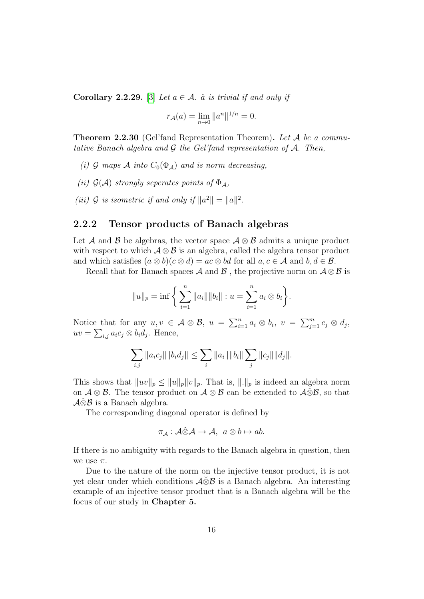Corollary 2.2.29. [\[3\]](#page-96-7) Let  $a \in \mathcal{A}$ .  $\hat{a}$  is trivial if and only if

$$
r_{\mathcal{A}}(a) = \lim_{n \to 0} \|a^n\|^{1/n} = 0.
$$

**Theorem 2.2.30** (Gel'fand Representation Theorem). Let A be a commutative Banach algebra and  $\mathcal G$  the Gel'fand representation of  $\mathcal A$ . Then,

- (i) G maps A into  $C_0(\Phi_{\mathcal{A}})$  and is norm decreasing,
- (ii)  $G(\mathcal{A})$  strongly seperates points of  $\Phi_{\mathcal{A}}$ ,
- (iii) G is isometric if and only if  $||a^2|| = ||a||^2$ .

#### <span id="page-23-0"></span>2.2.2 Tensor products of Banach algebras

Let A and B be algebras, the vector space  $\mathcal{A} \otimes \mathcal{B}$  admits a unique product with respect to which  $\mathcal{A} \otimes \mathcal{B}$  is an algebra, called the algebra tensor product and which satisfies  $(a \otimes b)(c \otimes d) = ac \otimes bd$  for all  $a, c \in A$  and  $b, d \in B$ .

Recall that for Banach spaces A and B, the projective norm on  $\mathcal{A} \otimes \mathcal{B}$  is

$$
||u||_p = \inf \left\{ \sum_{i=1}^n ||a_i|| ||b_i|| : u = \sum_{i=1}^n a_i \otimes b_i \right\}.
$$

Notice that for any  $u, v \in \mathcal{A} \otimes \mathcal{B}$ ,  $u = \sum_{i=1}^n a_i \otimes b_i$ ,  $v = \sum_{j=1}^m c_j \otimes d_j$ ,  $uv = \sum_{i,j} a_i c_j \otimes b_i d_j$ . Hence,

$$
\sum_{i,j} ||a_i c_j|| ||b_i d_j|| \leq \sum_i ||a_i|| ||b_i|| \sum_j ||c_j|| ||d_j||.
$$

This shows that  $||uv||_p \leq ||u||_p ||v||_p$ . That is,  $||.||_p$  is indeed an algebra norm on  $\mathcal{A} \otimes \mathcal{B}$ . The tensor product on  $\mathcal{A} \otimes \mathcal{B}$  can be extended to  $\mathcal{A} \otimes \mathcal{B}$ , so that  $\mathcal{A}\hat{\otimes}\mathcal{B}$  is a Banach algebra.

The corresponding diagonal operator is defined by

$$
\pi_{\mathcal{A}}: \mathcal{A}\hat{\otimes}\mathcal{A}\to \mathcal{A}, \ \ a\otimes b\mapsto ab.
$$

If there is no ambiguity with regards to the Banach algebra in question, then we use  $\pi$ .

Due to the nature of the norm on the injective tensor product, it is not yet clear under which conditions  $\mathcal{A} \check{\otimes} \mathcal{B}$  is a Banach algebra. An interesting example of an injective tensor product that is a Banach algebra will be the focus of our study in Chapter 5.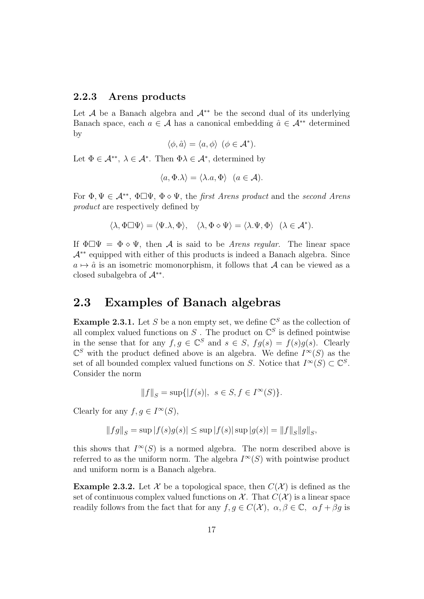#### <span id="page-24-0"></span>2.2.3 Arens products

Let  $A$  be a Banach algebra and  $A^{**}$  be the second dual of its underlying Banach space, each  $a \in \mathcal{A}$  has a canonical embedding  $\hat{a} \in \mathcal{A}^{**}$  determined by

$$
\langle \phi, \hat{a} \rangle = \langle a, \phi \rangle \, \, (\phi \in \mathcal{A}^*).
$$

Let  $\Phi \in \mathcal{A}^{**}, \ \lambda \in \mathcal{A}^*$ . Then  $\Phi \lambda \in \mathcal{A}^*$ , determined by

$$
\langle a, \Phi. \lambda \rangle = \langle \lambda. a, \Phi \rangle \quad (a \in \mathcal{A}).
$$

For  $\Phi, \Psi \in \mathcal{A}^{**}$ ,  $\Phi \Box \Psi$ ,  $\Phi \diamond \Psi$ , the first Arens product and the second Arens product are respectively defined by

$$
\langle \lambda, \Phi \Box \Psi \rangle = \langle \Psi, \lambda, \Phi \rangle, \quad \langle \lambda, \Phi \diamond \Psi \rangle = \langle \lambda. \Psi, \Phi \rangle \quad (\lambda \in \mathcal{A}^*).
$$

If  $\Phi \Box \Psi = \Phi \diamond \Psi$ , then A is said to be Arens regular. The linear space  $\mathcal{A}^*$  equipped with either of this products is indeed a Banach algebra. Since  $a \mapsto \hat{a}$  is an isometric momonorphism, it follows that A can be viewed as a closed subalgebra of  $A^{**}$ .

### <span id="page-24-1"></span>2.3 Examples of Banach algebras

**Example 2.3.1.** Let S be a non empty set, we define  $\mathbb{C}^S$  as the collection of all complex valued functions on  $S$ . The product on  $\mathbb{C}^S$  is defined pointwise in the sense that for any  $f, g \in \mathbb{C}^S$  and  $s \in S$ ,  $fg(s) = f(s)g(s)$ . Clearly  $\mathbb{C}^S$  with the product defined above is an algebra. We define  $I^{\infty}(S)$  as the set of all bounded complex valued functions on S. Notice that  $I^{\infty}(S) \subset \mathbb{C}^{S}$ . Consider the norm

$$
||f||_S = \sup\{|f(s)|, s \in S, f \in I^{\infty}(S)\}.
$$

Clearly for any  $f, g \in I^{\infty}(S)$ ,

$$
||fg||_S = \sup |f(s)g(s)| \le \sup |f(s)| \sup |g(s)| = ||f||_S ||g||_S,
$$

this shows that  $I^{\infty}(S)$  is a normed algebra. The norm described above is referred to as the uniform norm. The algebra  $I^{\infty}(S)$  with pointwise product and uniform norm is a Banach algebra.

**Example 2.3.2.** Let X be a topological space, then  $C(\mathcal{X})$  is defined as the set of continuous complex valued functions on  $\mathcal{X}$ . That  $C(\mathcal{X})$  is a linear space readily follows from the fact that for any  $f, g \in C(\mathcal{X})$ ,  $\alpha, \beta \in \mathbb{C}$ ,  $\alpha f + \beta g$  is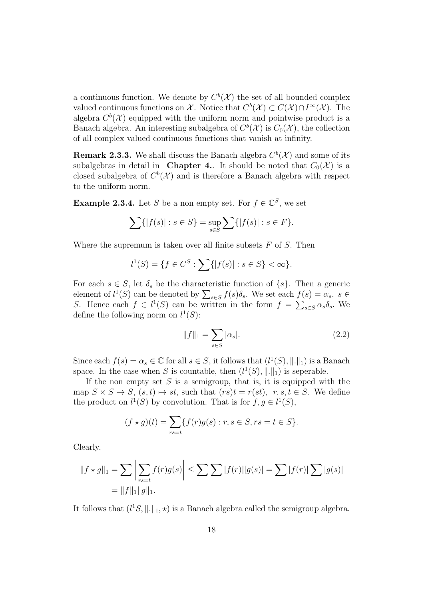a continuous function. We denote by  $C^b(\mathcal{X})$  the set of all bounded complex valued continuous functions on X. Notice that  $C^b(\mathcal{X}) \subset C(\mathcal{X}) \cap I^{\infty}(\mathcal{X})$ . The algebra  $C^b(\mathcal{X})$  equipped with the uniform norm and pointwise product is a Banach algebra. An interesting subalgebra of  $C^b(\mathcal{X})$  is  $C_0(\mathcal{X})$ , the collection of all complex valued continuous functions that vanish at infinity.

**Remark 2.3.3.** We shall discuss the Banach algebra  $C^b(\mathcal{X})$  and some of its subalgebras in detail in **Chapter 4.** It should be noted that  $C_0(\mathcal{X})$  is a closed subalgebra of  $C^b(\mathcal{X})$  and is therefore a Banach algebra with respect to the uniform norm.

**Example 2.3.4.** Let S be a non empty set. For  $f \in \mathbb{C}^S$ , we set

$$
\sum \{ |f(s)| : s \in S \} = \sup_{s \in S} \sum \{ |f(s)| : s \in F \}.
$$

Where the supremum is taken over all finite subsets  $F$  of  $S$ . Then

$$
l^{1}(S) = \{ f \in C^{S} : \sum \{ |f(s)| : s \in S \} < \infty \}.
$$

For each  $s \in S$ , let  $\delta_s$  be the characteristic function of  $\{s\}$ . Then a generic element of  $l^1(S)$  can be denoted by  $\sum_{s \in S} f(s)\delta_s$ . We set each  $f(s) = \alpha_s$ ,  $s \in$ S. Hence each  $f \in l^1(S)$  can be written in the form  $f = \sum_{s \in S} \alpha_s \delta_s$ . We define the following norm on  $l^1(S)$ :

$$
||f||_1 = \sum_{s \in S} |\alpha_s|.
$$
 (2.2)

Since each  $f(s) = \alpha_s \in \mathbb{C}$  for all  $s \in S$ , it follows that  $(l^1(S), \|\cdot\|_1)$  is a Banach space. In the case when S is countable, then  $(l^1(S), \|\cdot\|_1)$  is seperable.

If the non empty set  $S$  is a semigroup, that is, it is equipped with the map  $S \times S \to S$ ,  $(s, t) \mapsto st$ , such that  $(rs)t = r(st)$ ,  $r, s, t \in S$ . We define the product on  $l^1(S)$  by convolution. That is for  $f, g \in l^1(S)$ ,

$$
(f \star g)(t) = \sum_{rs=t} \{ f(r)g(s) : r, s \in S, rs = t \in S \}.
$$

Clearly,

$$
||f * g||_1 = \sum \left| \sum_{rs=t} f(r)g(s) \right| \le \sum \sum |f(r)||g(s)| = \sum |f(r)| \sum |g(s)|
$$
  
= ||f||\_1 ||g||\_1.

It follows that  $(l<sup>1</sup>S, \|\cdot\|_1, \star)$  is a Banach algebra called the semigroup algebra.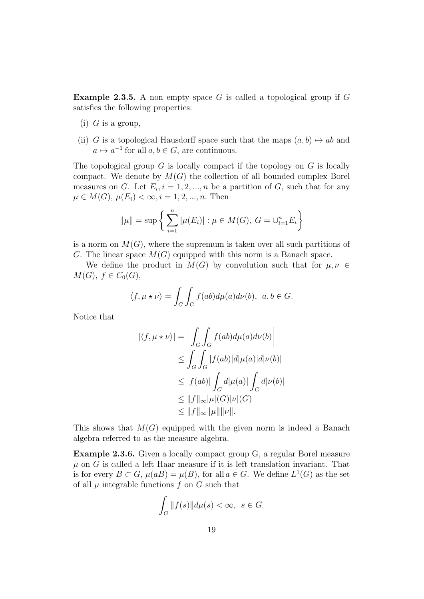**Example 2.3.5.** A non empty space G is called a topological group if G satisfies the following properties:

- (i)  $G$  is a group,
- (ii) G is a topological Hausdorff space such that the maps  $(a, b) \mapsto ab$  and  $a \mapsto a^{-1}$  for all  $a, b \in G$ , are continuous.

The topological group  $G$  is locally compact if the topology on  $G$  is locally compact. We denote by  $M(G)$  the collection of all bounded complex Borel measures on G. Let  $E_i$ ,  $i = 1, 2, ..., n$  be a partition of G, such that for any  $\mu \in M(G), \, \mu(E_i) < \infty, i = 1, 2, ..., n.$  Then

$$
\|\mu\| = \sup \left\{ \sum_{i=1}^{n} |\mu(E_i)| : \mu \in M(G), \ G = \cup_{i=1}^{n} E_i \right\}
$$

is a norm on  $M(G)$ , where the supremum is taken over all such partitions of G. The linear space  $M(G)$  equipped with this norm is a Banach space.

We define the product in  $M(G)$  by convolution such that for  $\mu, \nu \in$  $M(G), f \in C_0(G),$ 

$$
\langle f, \mu \star \nu \rangle = \int_G \int_G f(ab) d\mu(a) d\nu(b), \ a, b \in G.
$$

Notice that

$$
|\langle f, \mu * \nu \rangle| = \left| \int_G \int_G f(ab) d\mu(a) d\nu(b) \right|
$$
  
\n
$$
\leq \int_G \int_G |f(ab)| d|\mu(a)| d|\nu(b)|
$$
  
\n
$$
\leq |f(ab)| \int_G d|\mu(a)| \int_G d|\nu(b)|
$$
  
\n
$$
\leq ||f||_{\infty} |\mu|(G)|\nu|(G)
$$
  
\n
$$
\leq ||f||_{\infty} ||\mu|| ||\nu||.
$$

This shows that  $M(G)$  equipped with the given norm is indeed a Banach algebra referred to as the measure algebra.

Example 2.3.6. Given a locally compact group G, a regular Borel measure  $\mu$  on G is called a left Haar measure if it is left translation invariant. That is for every  $B \subset G$ ,  $\mu(aB) = \mu(B)$ , for all  $a \in G$ . We define  $L^1(G)$  as the set of all  $\mu$  integrable functions  $f$  on  $G$  such that

$$
\int_G ||f(s)|| d\mu(s) < \infty, \ s \in G.
$$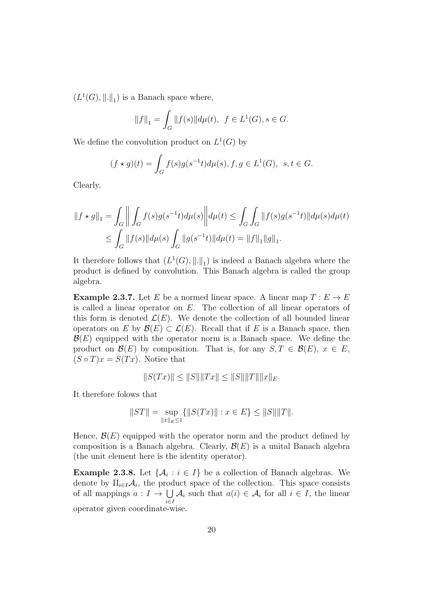$(L^1(G), \|\cdot\|_1)$  is a Banach space where,

$$
||f||_1 = \int_G ||f(s)||d\mu(t), \ f \in L^1(G), s \in G.
$$

We define the convolution product on  $L^1(G)$  by

$$
(f \star g)(t) = \int_G f(s)g(s^{-1}t)d\mu(s), f, g \in L^1(G), \ s, t \in G.
$$

Clearly,

$$
||f * g||_1 = \int_G \left\| \int_G f(s)g(s^{-1}t) d\mu(s) \right\| d\mu(t) \le \int_G \int_G ||f(s)g(s^{-1}t)|| d\mu(s) d\mu(t)
$$
  

$$
\le \int_G ||f(s)|| d\mu(s) \int_G ||g(s^{-1}t)|| d\mu(t) = ||f||_1 ||g||_1.
$$

It therefore follows that  $(L^1(G), \|\. \|_1)$  is indeed a Banach algebra where the product is defined by convolution. This Banach algebra is called the group algebra.

**Example 2.3.7.** Let E be a normed linear space. A linear map  $T : E \to E$ is called a linear operator on E. The collection of all linear operators of this form is denoted  $\mathcal{L}(E)$ . We denote the collection of all bounded linear operators on E by  $\mathcal{B}(E) \subset \mathcal{L}(E)$ . Recall that if E is a Banach space, then  $\mathcal{B}(E)$  equipped with the operator norm is a Banach space. We define the product on  $\mathcal{B}(E)$  by composition. That is, for any  $S, T \in \mathcal{B}(E)$ ,  $x \in E$ ,  $(S \circ T)x = S(Tx)$ . Notice that

$$
||S(Tx)|| \le ||S|| ||Tx|| \le ||S|| ||T|| ||x||_E.
$$

It therefore folows that

$$
||ST|| = \sup_{||x||_E \le 1} \{ ||S(Tx)|| : x \in E \} \le ||S|| ||T||.
$$

Hence,  $\mathcal{B}(E)$  equipped with the operator norm and the product defined by composition is a Banach algebra. Clearly,  $\mathcal{B}(E)$  is a unital Banach algebra (the unit element here is the identity operator).

**Example 2.3.8.** Let  $\{A_i : i \in I\}$  be a collection of Banach algebras. We denote by  $\prod_{i\in I} A_i$ , the product space of the collection. This space consists of all mappings  $a: I \to \bigcup$ i∈I  $\mathcal{A}_i$  such that  $a(i) \in \mathcal{A}_i$  for all  $i \in I$ , the linear operator given coordinate-wise.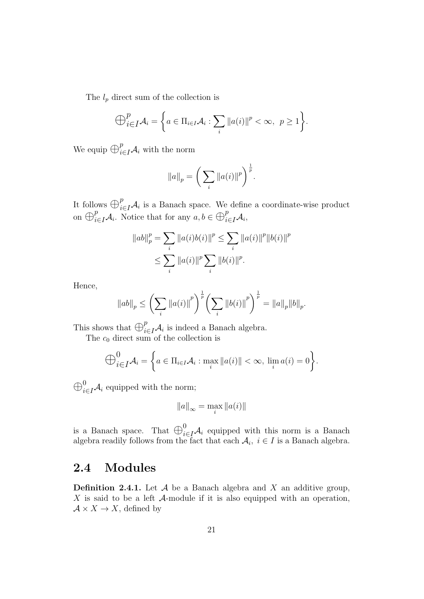The  $l_p$  direct sum of the collection is

$$
\bigoplus_{i=1}^p A_i = \bigg\{ a \in \Pi_{i \in I} A_i : \sum_i \|a(i)\|^p < \infty, \ p \ge 1 \bigg\}.
$$

We equip  $\bigoplus_{i\in I}^p\mathcal{A}_i$  with the norm

$$
||a||_p = \left(\sum_i ||a(i)||^p\right)^{\frac{1}{p}}.
$$

It follows  $\bigoplus_{i\in I}^p\mathcal{A}_i$  is a Banach space. We define a coordinate-wise product on  $\bigoplus_{i\in I}^p\mathcal{A}_i$ . Notice that for any  $a, b \in \bigoplus_{i\in I}^p\mathcal{A}_i$ ,

$$
||ab||_p^p = \sum_i ||a(i)b(i)||^p \le \sum_i ||a(i)||^p ||b(i)||^p
$$
  

$$
\le \sum_i ||a(i)||^p \sum_i ||b(i)||^p.
$$

Hence,

$$
||ab||_p \le \left(\sum_i ||a(i)||^p\right)^{\frac{1}{p}} \left(\sum_i ||b(i)||^p\right)^{\frac{1}{p}} = ||a||_p ||b||_p.
$$

This shows that  $\bigoplus_{i\in I}^p \mathcal{A}_i$  is indeed a Banach algebra.

The  $c_0$  direct sum of the collection is

$$
\bigoplus_{i\in I}^{0} A_i = \bigg\{ a\in \Pi_{i\in I} A_i : \max_i \|a(i)\| < \infty, \lim_i a(i) = 0 \bigg\}.
$$

 $\bigoplus_{i\in I}^{0} A_i$  equipped with the norm;

$$
||a||_{\infty} = \max_{i} ||a(i)||
$$

is a Banach space. That  $\bigoplus_{i\in I}^{0} A_i$  equipped with this norm is a Banach algebra readily follows from the fact that each  $A_i$ ,  $i \in I$  is a Banach algebra.

### <span id="page-28-0"></span>2.4 Modules

**Definition 2.4.1.** Let  $\mathcal A$  be a Banach algebra and  $X$  an additive group, X is said to be a left  $A$ -module if it is also equipped with an operation,  $\mathcal{A} \times X \to X$ , defined by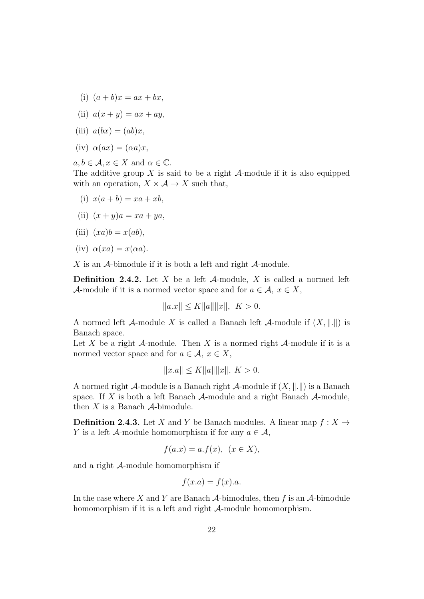- (i)  $(a + b)x = ax + bx$ ,
- (ii)  $a(x + y) = ax + ay$ ,
- (iii)  $a(bx) = (ab)x$ ,

$$
(iv) \ \alpha(ax) = (\alpha a)x,
$$

 $a, b \in \mathcal{A}, x \in X$  and  $\alpha \in \mathbb{C}$ .

The additive group X is said to be a right  $A$ -module if it is also equipped with an operation,  $X \times \mathcal{A} \rightarrow X$  such that,

- (i)  $x(a + b) = xa + xb$ ,
- (ii)  $(x + y)a = xa + ya$ ,

(iii) 
$$
(xa)b = x(ab)
$$
,

(iv) 
$$
\alpha(xa) = x(\alpha a)
$$
.

X is an  $A$ -bimodule if it is both a left and right  $A$ -module.

**Definition 2.4.2.** Let X be a left  $A$ -module, X is called a normed left A-module if it is a normed vector space and for  $a \in \mathcal{A}, x \in X$ ,

$$
||a.x|| \le K||a|| ||x||, K > 0.
$$

A normed left A-module X is called a Banach left A-module if  $(X, \|\cdot\|)$  is Banach space.

Let X be a right  $A$ -module. Then X is a normed right  $A$ -module if it is a normed vector space and for  $a \in \mathcal{A}, x \in X$ ,

$$
||x.a|| \le K||a|| ||x||, K > 0.
$$

A normed right  $\mathcal A$ -module is a Banach right  $\mathcal A$ -module if  $(X, \|\cdot\|)$  is a Banach space. If X is both a left Banach  $A$ -module and a right Banach  $A$ -module, then  $X$  is a Banach  $A$ -bimodule.

**Definition 2.4.3.** Let X and Y be Banach modules. A linear map  $f: X \rightarrow$ Y is a left A-module homomorphism if for any  $a \in \mathcal{A}$ ,

$$
f(a.x) = a.f(x), \ (x \in X),
$$

and a right A-module homomorphism if

$$
f(x.a) = f(x).a.
$$

In the case where X and Y are Banach A-bimodules, then f is an A-bimodule homomorphism if it is a left and right  $A$ -module homomorphism.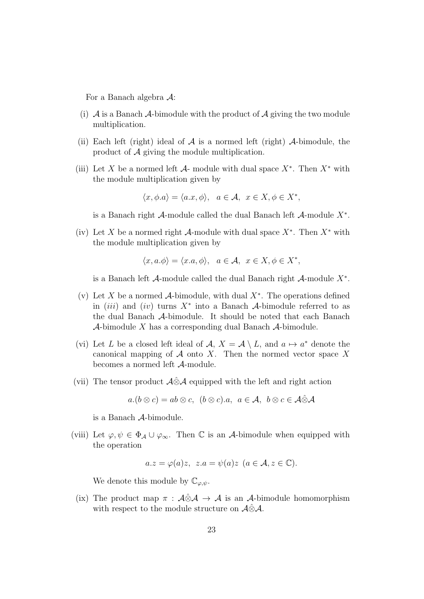For a Banach algebra A:

- (i)  $\mathcal A$  is a Banach  $\mathcal A$ -bimodule with the product of  $\mathcal A$  giving the two module multiplication.
- (ii) Each left (right) ideal of  $A$  is a normed left (right)  $A$ -bimodule, the product of A giving the module multiplication.
- (iii) Let X be a normed left  $A$  module with dual space  $X^*$ . Then  $X^*$  with the module multiplication given by

$$
\langle x, \phi. a \rangle = \langle a. x, \phi \rangle, \quad a \in \mathcal{A}, \ x \in X, \phi \in X^*,
$$

is a Banach right  $A$ -module called the dual Banach left  $A$ -module  $X^*$ .

(iv) Let X be a normed right  $A$ -module with dual space  $X^*$ . Then  $X^*$  with the module multiplication given by

$$
\langle x, a.\phi \rangle = \langle x.a, \phi \rangle, \ a \in \mathcal{A}, \ x \in X, \phi \in X^*,
$$

is a Banach left  $A$ -module called the dual Banach right  $A$ -module  $X^*$ .

- (v) Let X be a normed  $A$ -bimodule, with dual  $X^*$ . The operations defined in (iii) and (iv) turns  $X^*$  into a Banach A-bimodule referred to as the dual Banach A-bimodule. It should be noted that each Banach A-bimodule X has a corresponding dual Banach  $A$ -bimodule.
- (vi) Let L be a closed left ideal of  $\mathcal{A}, X = \mathcal{A} \setminus L$ , and  $a \mapsto a^*$  denote the canonical mapping of  $A$  onto X. Then the normed vector space X becomes a normed left A-module.
- (vii) The tensor product  $\mathcal{A}\hat{\otimes}\mathcal{A}$  equipped with the left and right action

 $a.(b \otimes c) = ab \otimes c, (b \otimes c).a, a \in \mathcal{A}, b \otimes c \in \mathcal{A} \hat{\otimes} \mathcal{A}$ 

is a Banach A-bimodule.

(viii) Let  $\varphi, \psi \in \Phi_{\mathcal{A}} \cup \varphi_{\infty}$ . Then C is an A-bimodule when equipped with the operation

$$
a.z = \varphi(a)z, \ z.a = \psi(a)z \ (a \in \mathcal{A}, z \in \mathbb{C}).
$$

We denote this module by  $\mathbb{C}_{\varphi,\psi}$ .

(ix) The product map  $\pi$ :  $\mathcal{A} \hat{\otimes} \mathcal{A} \to \mathcal{A}$  is an  $\mathcal{A}$ -bimodule homomorphism with respect to the module structure on  $\mathcal{A}\hat{\otimes}\mathcal{A}$ .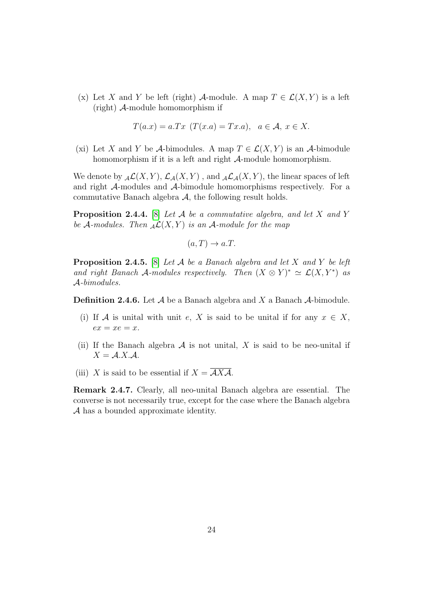(x) Let X and Y be left (right) A-module. A map  $T \in \mathcal{L}(X, Y)$  is a left (right) A-module homomorphism if

$$
T(a.x) = a.Tx \ (T(x.a) = Tx.a), \ a \in \mathcal{A}, x \in X.
$$

(xi) Let X and Y be A-bimodules. A map  $T \in \mathcal{L}(X, Y)$  is an A-bimodule homomorphism if it is a left and right  $A$ -module homomorphism.

We denote by  $_A\mathcal{L}(X, Y), \mathcal{L}_A(X, Y)$ , and  $_A\mathcal{L}_A(X, Y)$ , the linear spaces of left and right A-modules and A-bimodule homomorphisms respectively. For a commutative Banach algebra  $A$ , the following result holds.

**Proposition 2.4.4.** [\[8\]](#page-96-5) Let A be a commutative algebra, and let X and Y be A-modules. Then  $_{\mathcal{A}}\mathcal{L}(X, Y)$  is an A-module for the map

$$
(a, T) \to a.T.
$$

**Proposition 2.4.5.** [\[8\]](#page-96-5) Let  $A$  be a Banach algebra and let  $X$  and  $Y$  be left and right Banach A-modules respectively. Then  $(X \otimes Y)^* \simeq \mathcal{L}(X, Y^*)$  as A-bimodules.

**Definition 2.4.6.** Let  $\mathcal A$  be a Banach algebra and  $X$  a Banach  $\mathcal A$ -bimodule.

- (i) If A is unital with unit e, X is said to be unital if for any  $x \in X$ ,  $ex = xe = x.$
- (ii) If the Banach algebra  $A$  is not unital,  $X$  is said to be neo-unital if  $X = A.X.A$ .
- (iii) X is said to be essential if  $X = \overline{AXA}$ .

Remark 2.4.7. Clearly, all neo-unital Banach algebra are essential. The converse is not necessarily true, except for the case where the Banach algebra A has a bounded approximate identity.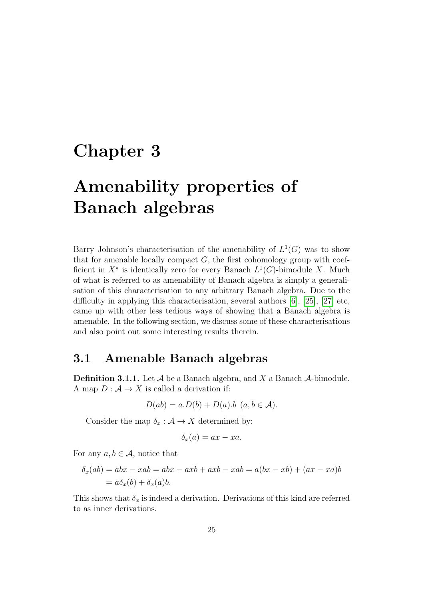## <span id="page-32-0"></span>Chapter 3

# Amenability properties of Banach algebras

Barry Johnson's characterisation of the amenability of  $L^1(G)$  was to show that for amenable locally compact  $G$ , the first cohomology group with coefficient in  $X^*$  is identically zero for every Banach  $L^1(G)$ -bimodule X. Much of what is referred to as amenability of Banach algebra is simply a generalisation of this characterisation to any arbitrary Banach algebra. Due to the difficulty in applying this characterisation, several authors  $[6]$ ,  $[25]$ ,  $[27]$  etc, came up with other less tedious ways of showing that a Banach algebra is amenable. In the following section, we discuss some of these characterisations and also point out some interesting results therein.

### <span id="page-32-1"></span>3.1 Amenable Banach algebras

**Definition 3.1.1.** Let  $\mathcal A$  be a Banach algebra, and  $X$  a Banach  $\mathcal A$ -bimodule. A map  $D: \mathcal{A} \to X$  is called a derivation if:

$$
D(ab) = a.D(b) + D(a).b \ (a, b \in \mathcal{A}).
$$

Consider the map  $\delta_x : \mathcal{A} \to X$  determined by:

$$
\delta_x(a) = ax - xa.
$$

For any  $a, b \in \mathcal{A}$ , notice that

$$
\delta_x(ab) = abx - xab = abx - axb + axb - xab = a(bx - xb) + (ax - xa)b
$$
  
=  $a\delta_x(b) + \delta_x(a)b$ .

This shows that  $\delta_x$  is indeed a derivation. Derivations of this kind are referred to as inner derivations.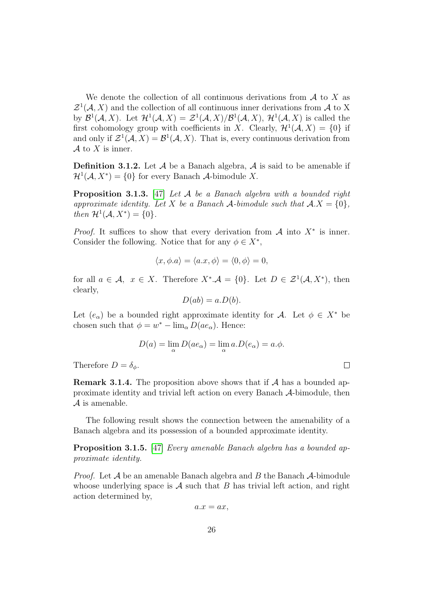We denote the collection of all continuous derivations from  $A$  to X as  $\mathcal{Z}^1(\mathcal{A}, X)$  and the collection of all continuous inner derivations from A to X by  $\mathcal{B}^1(\mathcal{A},X)$ . Let  $\mathcal{H}^1(\mathcal{A},X)=\mathcal{Z}^1(\mathcal{A},X)/\mathcal{B}^1(\mathcal{A},X)$ ,  $\mathcal{H}^1(\mathcal{A},X)$  is called the first cohomology group with coefficients in X. Clearly,  $\mathcal{H}^1(\mathcal{A}, X) = \{0\}$  if and only if  $\mathcal{Z}^1(\mathcal{A}, X) = \mathcal{B}^1(\mathcal{A}, X)$ . That is, every continuous derivation from  $\mathcal A$  to  $X$  is inner.

**Definition 3.1.2.** Let  $\mathcal A$  be a Banach algebra,  $\mathcal A$  is said to be amenable if  $\mathcal{H}^1(\mathcal{A}, X^*) = \{0\}$  for every Banach  $\mathcal{A}$ -bimodule X.

<span id="page-33-0"></span>Proposition 3.1.3. [\[47\]](#page-99-2) Let A be a Banach algebra with a bounded right approximate identity. Let X be a Banach A-bimodule such that  $A.X = \{0\},\$ then  $\mathcal{H}^1(\mathcal{A}, X^*) = \{0\}.$ 

*Proof.* It suffices to show that every derivation from  $A$  into  $X^*$  is inner. Consider the following. Notice that for any  $\phi \in X^*$ ,

$$
\langle x, \phi. a \rangle = \langle a. x, \phi \rangle = \langle 0, \phi \rangle = 0,
$$

for all  $a \in \mathcal{A}$ ,  $x \in X$ . Therefore  $X^*\mathcal{A} = \{0\}$ . Let  $D \in \mathcal{Z}^1(\mathcal{A}, X^*)$ , then clearly,

$$
D(ab) = a.D(b).
$$

Let  $(e_{\alpha})$  be a bounded right approximate identity for A. Let  $\phi \in X^*$  be chosen such that  $\phi = w^* - \lim_{\alpha} D(a e_{\alpha})$ . Hence:

$$
D(a) = \lim_{\alpha} D(ae_{\alpha}) = \lim_{\alpha} a.D(e_{\alpha}) = a.\phi.
$$

 $\Box$ 

Therefore  $D = \delta_{\phi}$ .

**Remark 3.1.4.** The proposition above shows that if  $\mathcal A$  has a bounded approximate identity and trivial left action on every Banach A-bimodule, then A is amenable.

The following result shows the connection between the amenability of a Banach algebra and its possession of a bounded approximate identity.

Proposition 3.1.5. [\[47\]](#page-99-2) Every amenable Banach algebra has a bounded approximate identity.

*Proof.* Let  $A$  be an amenable Banach algebra and  $B$  the Banach  $A$ -bimodule whoose underlying space is  $A$  such that  $B$  has trivial left action, and right action determined by,

 $a.x = ax$ ,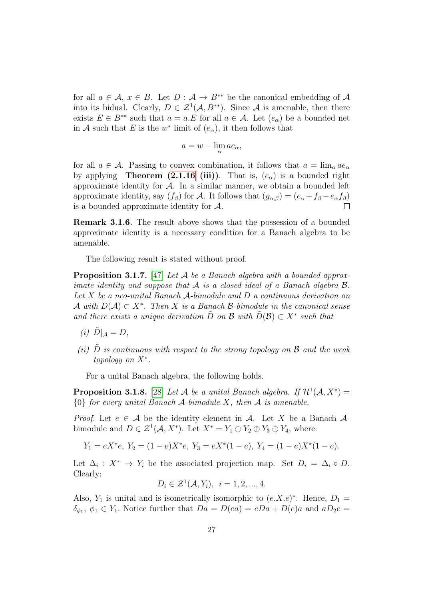for all  $a \in \mathcal{A}, x \in B$ . Let  $D : \mathcal{A} \to B^{**}$  be the canonical embedding of  $\mathcal{A}$ into its bidual. Clearly,  $D \in \mathcal{Z}^1(\mathcal{A}, B^{**})$ . Since A is amenable, then there exists  $E \in B^{**}$  such that  $a = a.E$  for all  $a \in \mathcal{A}$ . Let  $(e_{\alpha})$  be a bounded net in A such that E is the  $w^*$  limit of  $(e_{\alpha})$ , it then follows that

$$
a = w - \lim_{\alpha} ae_{\alpha},
$$

for all  $a \in \mathcal{A}$ . Passing to convex combination, it follows that  $a = \lim_{\alpha} ae_{\alpha}$ by applying **Theorem [\(2.1.16](#page-15-1) (iii))**. That is,  $(e_{\alpha})$  is a bounded right approximate identity for  $A$ . In a similar manner, we obtain a bounded left approximate identity, say  $(f_\beta)$  for A. It follows that  $(g_{\alpha,\beta}) = (e_\alpha + f_\beta - e_\alpha f_\beta)$ is a bounded approximate identity for  $A$ .  $\Box$ 

Remark 3.1.6. The result above shows that the possession of a bounded approximate identity is a necessary condition for a Banach algebra to be amenable.

The following result is stated without proof.

**Proposition 3.1.7.** [\[47\]](#page-99-2) Let  $A$  be a Banach algebra with a bounded approximate identity and suppose that  $A$  is a closed ideal of a Banach algebra  $B$ . Let  $X$  be a neo-unital Banach  $A$ -bimodule and  $D$  a continuous derivation on A with  $D(\mathcal{A}) \subset X^*$ . Then X is a Banach B-bimodule in the canonical sense and there exists a unique derivation  $\tilde{D}$  on  $\mathcal{B}$  with  $\tilde{D}(\mathcal{B}) \subset X^*$  such that

- (i)  $\tilde{D}|_A = D$ ,
- (ii)  $\tilde{D}$  is continuous with respect to the strong topology on  $\mathcal{B}$  and the weak topology on  $X^*$ .

For a unital Banach algebra, the following holds.

**Proposition 3.1.8.** [\[28\]](#page-98-0) Let A be a unital Banach algebra. If  $\mathcal{H}^1(\mathcal{A}, X^*) =$  ${0}$  for every unital Banach A-bimodule X, then A is amenable.

*Proof.* Let  $e \in \mathcal{A}$  be the identity element in  $\mathcal{A}$ . Let X be a Banach  $\mathcal{A}$ bimodule and  $D \in \mathcal{Z}^1(\mathcal{A}, X^*)$ . Let  $X^* = Y_1 \oplus Y_2 \oplus Y_3 \oplus Y_4$ , where:

$$
Y_1 = eX^*e
$$
,  $Y_2 = (1 - e)X^*e$ ,  $Y_3 = eX^*(1 - e)$ ,  $Y_4 = (1 - e)X^*(1 - e)$ .

Let  $\Delta_i: X^* \to Y_i$  be the associated projection map. Set  $D_i = \Delta_i \circ D$ . Clearly:

$$
D_i \in \mathcal{Z}^1(\mathcal{A}, Y_i), \ \ i = 1, 2, ..., 4.
$$

Also,  $Y_1$  is unital and is isometrically isomorphic to  $(e.X.e)^*$ . Hence,  $D_1 =$  $\delta_{\phi_1}, \phi_1 \in Y_1$ . Notice further that  $Da = D(ea) = eDa + D(e)a$  and  $aD_2e =$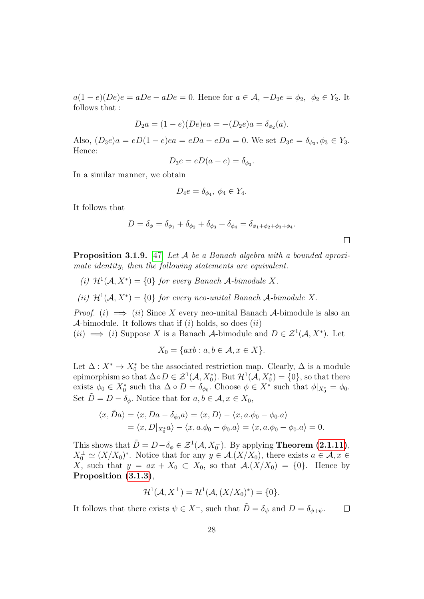$a(1-e)(De)e = aDe - aDe = 0$ . Hence for  $a \in \mathcal{A}$ ,  $-D_2e = \phi_2$ ,  $\phi_2 \in Y_2$ . It follows that :

$$
D_2 a = (1 - e)(De)ea = -(D_2 e)a = \delta_{\phi_2}(a).
$$

Also,  $(D_3e)a = eD(1-e)ea = eDa - eDa = 0$ . We set  $D_3e = \delta_{\phi_3}, \phi_3 \in Y_3$ . Hence:

$$
D_3e = eD(a - e) = \delta_{\phi_3}.
$$

In a similar manner, we obtain

$$
D_4e = \delta_{\phi_4}, \ \phi_4 \in Y_4.
$$

It follows that

$$
D = \delta_{\phi} = \delta_{\phi_1} + \delta_{\phi_2} + \delta_{\phi_3} + \delta_{\phi_4} = \delta_{\phi_1 + \phi_2 + \phi_3 + \phi_4}.
$$

 $\Box$ 

**Proposition 3.1.9.** [\[47\]](#page-99-2) Let A be a Banach algebra with a bounded aproximate identity, then the following statements are equivalent.

- (i)  $\mathcal{H}^1(\mathcal{A}, X^*) = \{0\}$  for every Banach A-bimodule X.
- (ii)  $\mathcal{H}^1(\mathcal{A}, X^*) = \{0\}$  for every neo-unital Banach A-bimodule X.

*Proof.* (i)  $\implies$  (ii) Since X every neo-unital Banach A-bimodule is also an A-bimodule. It follows that if  $(i)$  holds, so does  $(ii)$ 

(ii)  $\implies$  (i) Suppose X is a Banach A-bimodule and  $D \in \mathcal{Z}^1(\mathcal{A}, X^*)$ . Let

$$
X_0 = \{axb : a, b \in \mathcal{A}, x \in X\}.
$$

Let  $\Delta: X^* \to X_0^*$  be the associated restriction map. Clearly,  $\Delta$  is a module epimorphism so that  $\Delta \circ D \in \mathcal{Z}^1(\mathcal{A}, X_0^*)$ . But  $\mathcal{H}^1(\mathcal{A}, X_0^*) = \{0\}$ , so that there exists  $\phi_0 \in X_0^*$  such tha  $\Delta \circ D = \delta_{\phi_0}$ . Choose  $\phi \in X^*$  such that  $\phi|_{X_0^*} = \phi_0$ . Set  $\overline{D} = D - \delta_{\phi}$ . Notice that for  $a, b \in \mathcal{A}, x \in X_0$ ,

$$
\langle x, \tilde{D}a \rangle = \langle x, Da - \delta_{\phi_0} a \rangle = \langle x, D \rangle - \langle x, a.\phi_0 - \phi_0.a \rangle
$$
  
=  $\langle x, D|_{X_0^*} a \rangle - \langle x, a.\phi_0 - \phi_0.a \rangle = \langle x, a.\phi_0 - \phi_0.a \rangle = 0.$ 

This shows that  $\tilde{D} = D - \delta_{\phi} \in \mathcal{Z}^1(\mathcal{A}, X_0^{\perp})$ . By applying **Theorem [\(2.1.11\)](#page-14-1)**,  $X_0^{\perp} \simeq (X/X_0)^*$ . Notice that for any  $y \in \mathcal{A}\,(X/X_0)$ , there exists  $a \in \mathcal{A}, x \in$ X, such that  $y = ax + X_0 \subset X_0$ , so that  $\mathcal{A} \cdot (X/X_0) = \{0\}$ . Hence by Proposition [\(3.1.3\)](#page-33-0),

$$
\mathcal{H}^1(\mathcal{A}, X^{\perp}) = \mathcal{H}^1(\mathcal{A}, (X/X_0)^*) = \{0\}.
$$

It follows that there exists  $\psi \in X^{\perp}$ , such that  $\tilde{D} = \delta_{\psi}$  and  $D = \delta_{\phi + \psi}$ .  $\Box$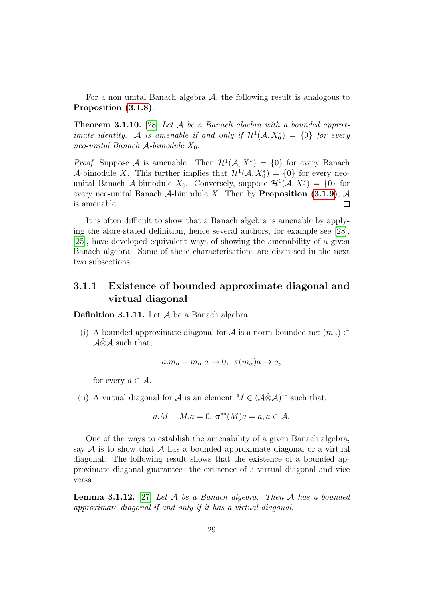For a non unital Banach algebra  $A$ , the following result is analogous to Proposition [\(3.1.8\)](#page-34-0).

**Theorem 3.1.10.** [\[28\]](#page-98-0) Let A be a Banach algebra with a bounded approximate identity. A is amenable if and only if  $\mathcal{H}^1(\mathcal{A}, X_0^*) = \{0\}$  for every neo-unital Banach A-bimodule  $X_0$ .

*Proof.* Suppose A is amenable. Then  $\mathcal{H}^1(\mathcal{A}, X^*) = \{0\}$  for every Banach A-bimodule X. This further implies that  $\mathcal{H}^1(\mathcal{A}, X_0^*) = \{0\}$  for every neounital Banach A-bimodule  $X_0$ . Conversely, suppose  $\mathcal{H}^1(\mathcal{A}, X_0^*) = \{0\}$  for every neo-unital Banach A-bimodule X. Then by **Proposition** [\(3.1.9\)](#page-35-0), A is amenable.  $\Box$ 

It is often difficult to show that a Banach algebra is amenable by applying the afore-stated definition, hence several authors, for example see [\[28\]](#page-98-0), [\[25\]](#page-97-0), have developed equivalent ways of showing the amenability of a given Banach algebra. Some of these characterisations are discussed in the next two subsections.

### 3.1.1 Existence of bounded approximate diagonal and virtual diagonal

**Definition 3.1.11.** Let  $\mathcal A$  be a Banach algebra.

(i) A bounded approximate diagonal for A is a norm bounded net  $(m_\alpha) \subset$  $\mathcal{A} \hat{\otimes} \mathcal{A}$  such that,

$$
a.m_{\alpha}-m_{\alpha}.a \to 0, \ \pi(m_{\alpha})a \to a,
$$

for every  $a \in \mathcal{A}$ .

(ii) A virtual diagonal for A is an element  $M \in (\mathcal{A} \hat{\otimes} \mathcal{A})^{**}$  such that,

$$
a.M - M.a = 0, \pi^{**}(M)a = a, a \in \mathcal{A}.
$$

One of the ways to establish the amenability of a given Banach algebra, say  $A$  is to show that  $A$  has a bounded approximate diagonal or a virtual diagonal. The following result shows that the existence of a bounded approximate diagonal guarantees the existence of a virtual diagonal and vice versa.

<span id="page-36-0"></span>**Lemma 3.1.12.** [\[27\]](#page-97-1) Let  $A$  be a Banach algebra. Then  $A$  has a bounded approximate diagonal if and only if it has a virtual diagonal.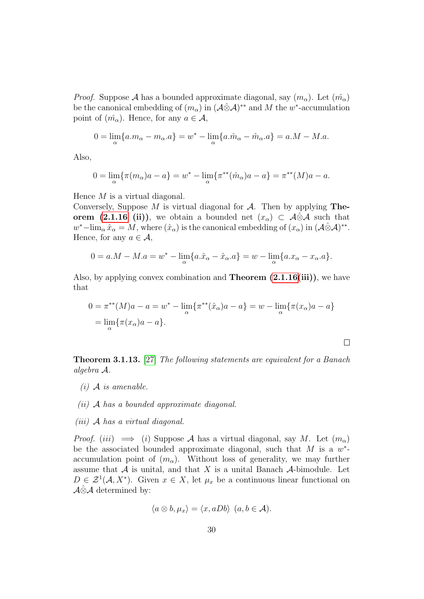*Proof.* Suppose A has a bounded approximate diagonal, say  $(m_\alpha)$ . Let  $(\hat{m_\alpha})$ be the canonical embedding of  $(m_\alpha)$  in  $({\cal A}\hat{\otimes}{\cal A})^{**}$  and  $M$  the  $w^*$ -accumulation point of  $(\hat{m}_{\alpha})$ . Hence, for any  $a \in \mathcal{A}$ ,

$$
0 = \lim_{\alpha} \{ a.m_{\alpha} - m_{\alpha}.a \} = w^* - \lim_{\alpha} \{ a.\hat{m}_{\alpha} - \hat{m}_{\alpha}.a \} = a.M - M.a.
$$

Also,

$$
0 = \lim_{\alpha} {\{\pi(m_{\alpha})a - a\}} = w^* - \lim_{\alpha} {\{\pi^{**}(\hat{m}_{\alpha})a - a\}} = \pi^{**}(M)a - a.
$$

Hence  $M$  is a virtual diagonal.

Conversely, Suppose M is virtual diagonal for  $A$ . Then by applying **The-**orem [\(2.1.16](#page-15-0) (ii)), we obtain a bounded net  $(x_\alpha) \subset A\hat{\otimes}A$  such that  $w^*-\lim_{\alpha}\hat{x}_{\alpha}=M$ , where  $(\hat{x}_{\alpha})$  is the canonical embedding of  $(x_{\alpha})$  in  $(\mathcal{A}\hat{\otimes}\mathcal{A})^{**}$ . Hence, for any  $a \in \mathcal{A}$ ,

$$
0 = a.M - M.a = w^* - \lim_{\alpha} \{a.\hat{x}_{\alpha} - \hat{x}_{\alpha}.a\} = w - \lim_{\alpha} \{a.x_{\alpha} - x_{\alpha}.a\}.
$$

Also, by applying convex combination and **Theorem**  $(2.1.16(iii))$  $(2.1.16(iii))$ , we have that

$$
0 = \pi^{**}(M)a - a = w^* - \lim_{\alpha} {\{\pi^{**}(\hat{x}_{\alpha})a - a\}} = w - \lim_{\alpha} {\{\pi(x_{\alpha})a - a\}}
$$

$$
= \lim_{\alpha} {\{\pi(x_{\alpha})a - a\}}.
$$

<span id="page-37-0"></span>Theorem 3.1.13. [\[27\]](#page-97-1) The following statements are equivalent for a Banach algebra A.

 $\Box$ 

- $(i)$  A is amenable.
- (ii) A has a bounded approximate diagonal.
- (iii) A has a virtual diagonal.

*Proof.* (iii)  $\implies$  (i) Suppose A has a virtual diagonal, say M. Let  $(m_{\alpha})$ be the associated bounded approximate diagonal, such that  $M$  is a  $w^*$ accumulation point of  $(m_\alpha)$ . Without loss of generality, we may further assume that  $A$  is unital, and that  $X$  is a unital Banach  $A$ -bimodule. Let  $D \in \mathcal{Z}^1(\mathcal{A}, X^*)$ . Given  $x \in X$ , let  $\mu_x$  be a continuous linear functional on  $\mathcal{A} \hat{\otimes} \mathcal{A}$  determined by:

$$
\langle a\otimes b,\mu_x\rangle=\langle x,aDb\rangle \ (a,b\in\mathcal{A}).
$$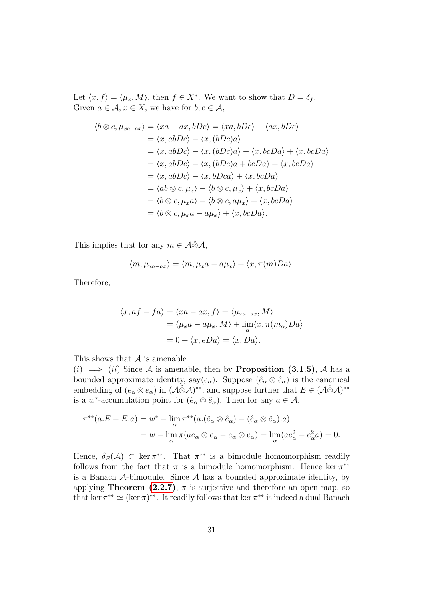Let  $\langle x, f \rangle = \langle \mu_x, M \rangle$ , then  $f \in X^*$ . We want to show that  $D = \delta_f$ . Given  $a \in \mathcal{A}, x \in X$ , we have for  $b, c \in \mathcal{A}$ ,

$$
\langle b \otimes c, \mu_{xa-ax} \rangle = \langle xa - ax, bDc \rangle = \langle xa, bDc \rangle - \langle ax, bDc \rangle
$$
  
\n
$$
= \langle x, abDc \rangle - \langle x, (bDc)a \rangle
$$
  
\n
$$
= \langle x, abDc \rangle - \langle x, (bDc)a \rangle - \langle x, bcDa \rangle + \langle x, bcDa \rangle
$$
  
\n
$$
= \langle x, abDc \rangle - \langle x, (bDc)a + bcDa \rangle + \langle x, bcDa \rangle
$$
  
\n
$$
= \langle x, abDc \rangle - \langle x, bDca \rangle + \langle x, bcDa \rangle
$$
  
\n
$$
= \langle ab \otimes c, \mu_x \rangle - \langle b \otimes c, \mu_x \rangle + \langle x, bcDa \rangle
$$
  
\n
$$
= \langle b \otimes c, \mu_x a \rangle - \langle b \otimes c, a\mu_x \rangle + \langle x, bcDa \rangle
$$
  
\n
$$
= \langle b \otimes c, \mu_x a - a\mu_x \rangle + \langle x, bcDa \rangle.
$$

This implies that for any  $m \in \mathcal{A} \hat{\otimes} \mathcal{A}$ ,

$$
\langle m, \mu_{xa-ax} \rangle = \langle m, \mu_x a - a \mu_x \rangle + \langle x, \pi(m)Da \rangle.
$$

Therefore,

$$
\langle x, af - fa \rangle = \langle xa - ax, f \rangle = \langle \mu_{xa - ax}, M \rangle
$$
  
=  $\langle \mu_x a - a\mu_x, M \rangle + \lim_{\alpha} \langle x, \pi(m_\alpha) Da \rangle$   
=  $0 + \langle x, eDa \rangle = \langle x, Da \rangle$ .

This shows that  $A$  is amenable.

(i)  $\implies$  (ii) Since A is amenable, then by **Proposition [\(3.1.5\)](#page-33-0)**, A has a bounded approximate identity, say( $e_{\alpha}$ ). Suppose  $(\hat{e}_{\alpha} \otimes \hat{e}_{\alpha})$  is the canonical embedding of  $(e_{\alpha} \otimes e_{\alpha})$  in  $({\cal A} \hat{\otimes} {\cal A})^{**}$ , and suppose further that  $E \in ({\cal A} \hat{\otimes} {\cal A})^{**}$ is a w<sup>\*</sup>-accumulation point for  $(\hat{e}_{\alpha} \otimes \hat{e}_{\alpha})$ . Then for any  $a \in \mathcal{A}$ ,

$$
\pi^{**}(a.E - E.a) = w^* - \lim_{\alpha} \pi^{**}(a.(\hat{e}_{\alpha} \otimes \hat{e}_{\alpha}) - (\hat{e}_{\alpha} \otimes \hat{e}_{\alpha}).a)
$$

$$
= w - \lim_{\alpha} \pi(ae_{\alpha} \otimes e_{\alpha} - e_{\alpha} \otimes e_{\alpha}) = \lim_{\alpha}(ae_{\alpha}^2 - e_{\alpha}^2 a) = 0.
$$

Hence,  $\delta_E(\mathcal{A}) \subset \ker \pi^{**}$ . That  $\pi^{**}$  is a bimodule homomorphism readily follows from the fact that  $\pi$  is a bimodule homomorphism. Hence ker  $\pi^{**}$ is a Banach  $A$ -bimodule. Since  $A$  has a bounded approximate identity, by applying **Theorem [\(2.2.7\)](#page-18-0)**,  $\pi$  is surjective and therefore an open map, so that ker  $\pi^{**} \simeq (\ker \pi)^{**}$ . It readily follows that ker  $\pi^{**}$  is indeed a dual Banach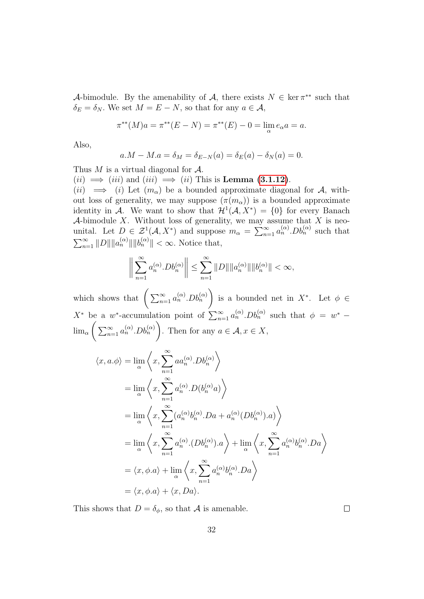A-bimodule. By the amenability of A, there exists  $N \in \ker \pi^{**}$  such that  $\delta_E = \delta_N$ . We set  $M = E - N$ , so that for any  $a \in \mathcal{A}$ ,

$$
\pi^{**}(M)a = \pi^{**}(E - N) = \pi^{**}(E) - 0 = \lim_{\alpha} e_{\alpha} a = a.
$$

Also,

$$
a.M - M.a = \delta_M = \delta_{E-N}(a) = \delta_E(a) - \delta_N(a) = 0.
$$

Thus M is a virtual diagonal for  $\mathcal{A}$ .

 $(ii) \implies (iii)$  and  $(iii) \implies (ii)$  This is **Lemma [\(3.1.12\)](#page-36-0)**. (ii)  $\implies$  (i) Let  $(m_{\alpha})$  be a bounded approximate diagonal for A, without loss of generality, we may suppose  $(\pi(m_{\alpha}))$  is a bounded approximate

identity in A. We want to show that  $\mathcal{H}^1(\mathcal{A}, X^*) = \{0\}$  for every Banach A-bimodule X. Without loss of generality, we may assume that X is neounital. Let  $D \in \mathcal{Z}^1(\mathcal{A}, X^*)$  and suppose  $m_\alpha = \sum_{n=1}^{\infty} a_n^{(\alpha)} Db_n^{(\alpha)}$  such that  $\sum_{n=1}^{\infty} ||D|| ||a_n^{(\alpha)}|| ||b_n^{(\alpha)}|| < \infty$ . Notice that,

$$
\bigg\|\sum_{n=1}^{\infty}a_n^{(\alpha)}\cdot Db_n^{(\alpha)}\bigg\| \le \sum_{n=1}^{\infty} \|D\| \|a_n^{(\alpha)}\| \|b_n^{(\alpha)}\| < \infty,
$$

which shows that  $\Big(\sum_{n=1}^{\infty} a_n^{(\alpha)} Db_n^{(\alpha)}\Big)$ ) is a bounded net in  $X^*$ . Let  $\phi$  ∈  $X^*$  be a w<sup>\*</sup>-accumulation point of  $\sum_{n=1}^{\infty} a_n^{(\alpha)}$ .  $Db_n^{(\alpha)}$  such that  $\phi = w^*$  –  $\lim_{\alpha} \left( \sum_{n=1}^{\infty} a_n^{(\alpha)} . Db_n^{(\alpha)} \right)$  $\setminus$ . Then for any  $a \in \mathcal{A}, x \in X$ ,

$$
\langle x, a, \phi \rangle = \lim_{\alpha} \left\langle x, \sum_{n=1}^{\infty} a a_n^{(\alpha)} \cdot D b_n^{(\alpha)} \right\rangle
$$
  
\n
$$
= \lim_{\alpha} \left\langle x, \sum_{n=1}^{\infty} a_n^{(\alpha)} \cdot D(b_n^{(\alpha)} a) \right\rangle
$$
  
\n
$$
= \lim_{\alpha} \left\langle x, \sum_{n=1}^{\infty} (a_n^{(\alpha)} b_n^{(\alpha)} \cdot D a + a_n^{(\alpha)} (D b_n^{(\alpha)}) \cdot a) \right\rangle
$$
  
\n
$$
= \lim_{\alpha} \left\langle x, \sum_{n=1}^{\infty} a_n^{(\alpha)} \cdot (D b_n^{(\alpha)}) \cdot a \right\rangle + \lim_{\alpha} \left\langle x, \sum_{n=1}^{\infty} a_n^{(\alpha)} b_n^{(\alpha)} \cdot D a \right\rangle
$$
  
\n
$$
= \langle x, \phi, a \rangle + \lim_{\alpha} \left\langle x, \sum_{n=1}^{\infty} a_n^{(\alpha)} b_n^{(\alpha)} \cdot D a \right\rangle
$$
  
\n
$$
= \langle x, \phi, a \rangle + \langle x, D a \rangle.
$$

This shows that  $D = \delta_{\phi}$ , so that A is amenable.

 $\Box$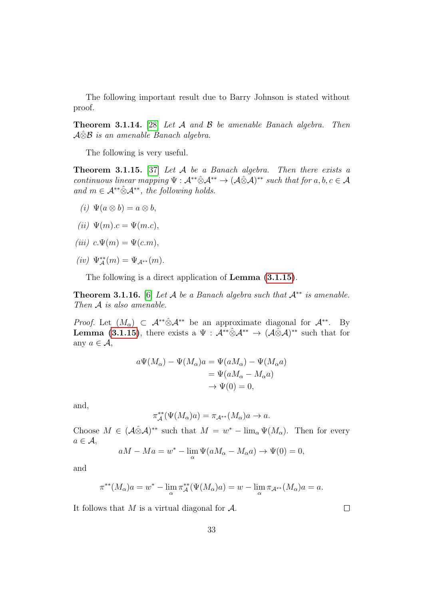The following important result due to Barry Johnson is stated without proof.

**Theorem 3.1.14.** [\[28\]](#page-98-0) Let A and B be amenable Banach algebra. Then  $\mathcal{A}\hat{\otimes}\mathcal{B}$  is an amenable Banach algebra.

The following is very useful.

<span id="page-40-0"></span>**Theorem 3.1.15.** [\[37\]](#page-98-1) Let  $A$  be a Banach algebra. Then there exists a continuous linear mapping  $\Psi : \mathcal{A}^{**} \hat{\otimes} \mathcal{A}^{**} \to (\mathcal{A} \hat{\otimes} \mathcal{A})^{**}$  such that for  $a, b, c \in \mathcal{A}$ and  $m \in \mathcal{A}^{**} \hat{\otimes} \mathcal{A}^{**}$ , the following holds.

- (i)  $\Psi(a \otimes b) = a \otimes b$ ,
- (ii)  $\Psi(m).c = \Psi(m.c),$
- (iii)  $c.\Psi(m) = \Psi(c.m),$
- (iv)  $\Psi_{\mathcal{A}}^{**}(m) = \Psi_{\mathcal{A}^{**}}(m)$ .

The following is a direct application of Lemma [\(3.1.15\)](#page-40-0).

Theorem 3.1.16. [\[6\]](#page-96-0) Let A be a Banach algebra such that  $A^{**}$  is amenable. Then A is also amenable.

*Proof.* Let  $(M_{\alpha}) \subset A^{**} \hat{\otimes} A^{**}$  be an approximate diagonal for  $A^{**}$ . By **Lemma [\(3.1.15\)](#page-40-0)**, there exists a  $\Psi : \mathcal{A}^{**} \hat{\otimes} \mathcal{A}^{**} \to (\mathcal{A} \hat{\otimes} \mathcal{A})^{**}$  such that for any  $a \in \mathcal{A}$ ,

$$
a\Psi(M_{\alpha}) - \Psi(M_{\alpha})a = \Psi(aM_{\alpha}) - \Psi(M_{\alpha}a)
$$
  
=  $\Psi(aM_{\alpha} - M_{\alpha}a)$   
 $\rightarrow \Psi(0) = 0,$ 

and,

$$
\pi_{\mathcal{A}}^{**}(\Psi(M_\alpha)a)=\pi_{\mathcal{A}^{**}}(M_\alpha)a\to a.
$$

Choose  $M \in (\mathcal{A}\hat{\otimes}\mathcal{A})^{**}$  such that  $M = w^* - \lim_{\alpha} \Psi(M_{\alpha})$ . Then for every  $a \in \mathcal{A},$ 

$$
aM - Ma = w^* - \lim_{\alpha} \Psi(aM_{\alpha} - M_{\alpha}a) \to \Psi(0) = 0,
$$

and

$$
\pi^{**}(M_{\alpha})a = w^* - \lim_{\alpha} \pi^{**}_{\mathcal{A}}(\Psi(M_{\alpha})a) = w - \lim_{\alpha} \pi_{\mathcal{A}^{**}}(M_{\alpha})a = a.
$$

It follows that M is a virtual diagonal for  $\mathcal{A}$ .

 $\Box$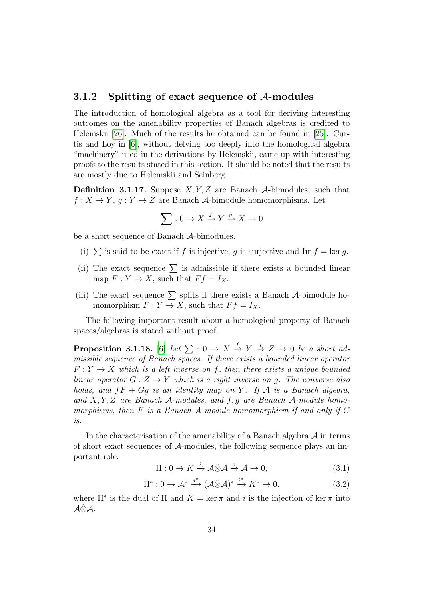#### 3.1.2 Splitting of exact sequence of A-modules

The introduction of homological algebra as a tool for deriving interesting outcomes on the amenability properties of Banach algebras is credited to Helemskii [\[26\]](#page-97-2). Much of the results he obtained can be found in [\[25\]](#page-97-0). Curtis and Loy in [\[6\]](#page-96-0), without delving too deeply into the homological algebra "machinery" used in the derivations by Helemskii, came up with interesting proofs to the results stated in this section. It should be noted that the results are mostly due to Helemskii and Seinberg.

**Definition 3.1.17.** Suppose  $X, Y, Z$  are Banach A-bimodules, such that  $f: X \to Y$ ,  $q: Y \to Z$  are Banach A-bimodule homomorphisms. Let

$$
\sum: 0 \to X \xrightarrow{f} Y \xrightarrow{g} X \to 0
$$

be a short sequence of Banach A-bimodules.

- (i)  $\sum$  is said to be exact if f is injective, g is surjective and Im  $f = \ker g$ .
- (ii) The exact sequence  $\sum$  is admissible if there exists a bounded linear map  $F: Y \to X$ , such that  $F f = I_X$ .
- (iii) The exact sequence  $\sum$  splits if there exists a Banach A-bimodule homomorphism  $F: Y \to X$ , such that  $Ff = I_X$ .

The following important result about a homological property of Banach spaces/algebras is stated without proof.

<span id="page-41-0"></span>**Proposition 3.1.18.** [\[6\]](#page-96-0) Let  $\sum: 0 \to X \xrightarrow{f} Y \xrightarrow{g} Z \to 0$  be a short admissible sequence of Banach spaces. If there exists a bounded linear operator  $F: Y \to X$  which is a left inverse on f, then there exists a unique bounded linear operator  $G: Z \to Y$  which is a right inverse on q. The converse also holds, and  $fF + Gg$  is an identity map on Y. If A is a Banach algebra, and  $X, Y, Z$  are Banach A-modules, and  $f, g$  are Banach A-module homomorphisms, then  $F$  is a Banach  $A$ -module homomorphism if and only if  $G$ is.

In the characterisation of the amenability of a Banach algebra  $\mathcal A$  in terms of short exact sequences of  $A$ -modules, the following sequence plays an important role.

$$
\Pi: 0 \to K \xrightarrow{i} \mathcal{A} \hat{\otimes} \mathcal{A} \xrightarrow{\pi} \mathcal{A} \to 0,
$$
\n(3.1)

$$
\Pi^* : 0 \to \mathcal{A}^* \xrightarrow{\pi^*} (\mathcal{A} \hat{\otimes} \mathcal{A})^* \xrightarrow{i^*} K^* \to 0. \tag{3.2}
$$

where  $\Pi^*$  is the dual of  $\Pi$  and  $K = \ker \pi$  and i is the injection of  $\ker \pi$  into  $\mathcal{A}\hat{\otimes}\mathcal{A}$  .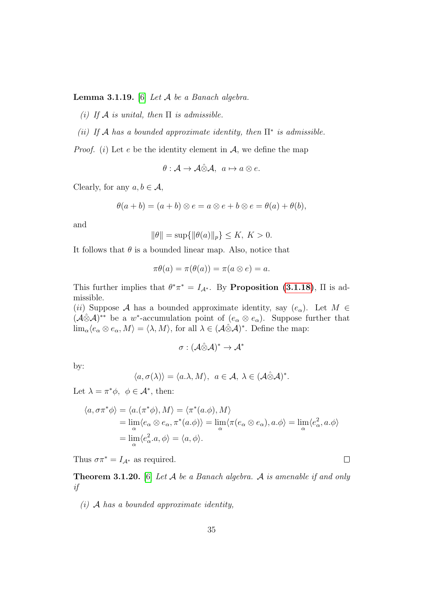**Lemma 3.1.19.** [\[6\]](#page-96-0) Let  $A$  be a Banach algebra.

(i) If  $A$  is unital, then  $\Pi$  is admissible.

(ii) If A has a bounded approximate identity, then  $\Pi^*$  is admissible.

*Proof.* (i) Let e be the identity element in  $A$ , we define the map

$$
\theta: \mathcal{A} \to \mathcal{A} \hat{\otimes} \mathcal{A}, \ \ a \mapsto a \otimes e.
$$

Clearly, for any  $a, b \in \mathcal{A}$ ,

$$
\theta(a+b) = (a+b) \otimes e = a \otimes e + b \otimes e = \theta(a) + \theta(b),
$$

and

$$
\|\theta\| = \sup\{\|\theta(a)\|_p\} \le K, \ K > 0.
$$

It follows that  $\theta$  is a bounded linear map. Also, notice that

$$
\pi\theta(a) = \pi(\theta(a)) = \pi(a \otimes e) = a.
$$

This further implies that  $\theta^* \pi^* = I_{\mathcal{A}^*}$ . By **Proposition [\(3.1.18\)](#page-41-0)**,  $\Pi$  is admissible.

(ii) Suppose A has a bounded approximate identity, say  $(e_{\alpha})$ . Let  $M \in$  $(\mathcal{A}\hat{\otimes}\mathcal{A})^{**}$  be a w<sup>\*</sup>-accumulation point of  $(e_{\alpha}\otimes e_{\alpha})$ . Suppose further that  $\lim_{\alpha} \langle e_{\alpha} \otimes e_{\alpha}, M \rangle = \langle \lambda, M \rangle$ , for all  $\lambda \in (A \hat{\otimes} A)^*$ . Define the map:

$$
\sigma:({\cal A}\hat\otimes{\cal A})^*\to{\cal A}^*
$$

by:

$$
\langle a,\sigma(\lambda)\rangle=\langle a.\lambda,M\rangle, \ \ a\in \mathcal{A},\ \lambda\in (\mathcal{A}\hat{\otimes}\mathcal{A})^*.
$$

Let  $\lambda = \pi^* \phi$ ,  $\phi \in \mathcal{A}^*$ , then:

$$
\langle a, \sigma \pi^* \phi \rangle = \langle a.(\pi^* \phi), M \rangle = \langle \pi^*(a. \phi), M \rangle
$$
  
=  $\lim_{\alpha} \langle e_{\alpha} \otimes e_{\alpha}, \pi^*(a. \phi) \rangle = \lim_{\alpha} \langle \pi(e_{\alpha} \otimes e_{\alpha}), a. \phi \rangle = \lim_{\alpha} \langle e_{\alpha}^2, a. \phi \rangle$   
=  $\lim_{\alpha} \langle e_{\alpha}^2 \cdot a, \phi \rangle = \langle a, \phi \rangle$ .

Thus  $\sigma \pi^* = I_{\mathcal{A}^*}$  as required.

**Theorem 3.1.20.** [\[6\]](#page-96-0) Let  $A$  be a Banach algebra.  $A$  is amenable if and only if

 $(i)$  A has a bounded approximate identity,

 $\Box$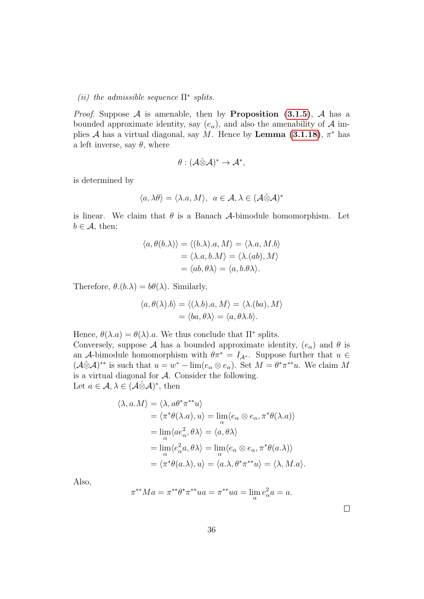#### (ii) the admissible sequence  $\Pi^*$  splits.

*Proof.* Suppose A is amenable, then by **Proposition** [\(3.1.5\)](#page-33-0), A has a bounded approximate identity, say  $(e_{\alpha})$ , and also the amenability of A implies A has a virtual diagonal, say M. Hence by Lemma  $(3.1.18)$ ,  $\pi^*$  has a left inverse, say  $\theta$ , where

$$
\theta: (\mathcal{A}\hat{\otimes}\mathcal{A})^* \to \mathcal{A}^*,
$$

is determined by

$$
\langle a, \lambda \theta \rangle = \langle \lambda a, M \rangle, \ a \in \mathcal{A}, \lambda \in (\mathcal{A} \hat{\otimes} \mathcal{A})^*
$$

is linear. We claim that  $\theta$  is a Banach A-bimodule homomorphism. Let  $b \in \mathcal{A}$ , then:

$$
\langle a, \theta(b.\lambda) \rangle = \langle (b.\lambda).a, M \rangle = \langle \lambda.a, M.b \rangle
$$
  
=  $\langle \lambda.a, b.M \rangle = \langle \lambda.(ab), M \rangle$   
=  $\langle ab, \theta \lambda \rangle = \langle a, b.\theta \lambda \rangle$ .

Therefore,  $\theta$ . $(b.\lambda) = b\theta(\lambda)$ . Similarly,

$$
\langle a, \theta(\lambda).b \rangle = \langle (\lambda.b).a, M \rangle = \langle \lambda.(ba), M \rangle = \langle ba, \theta \lambda \rangle = \langle a, \theta \lambda.b \rangle.
$$

Hence,  $\theta(\lambda.a) = \theta(\lambda).a$ . We thus conclude that  $\Pi^*$  splits.

Conversely, suppose A has a bounded approximate identity,  $(e_{\alpha})$  and  $\theta$  is an A-bimodule homomorphism with  $\theta \pi^* = I_{\mathcal{A}^*}$ . Suppose further that  $u \in$  $(\mathcal{A}\hat{\otimes}\mathcal{A})^{**}$  is such that  $u=w^*-\lim_{\alpha\to\infty} (e_\alpha\otimes e_\alpha)$ . Set  $M=\theta^*\pi^{**}u$ . We claim M is a virtual diagonal for  $A$ . Consider the following. Let  $a \in \mathcal{A}, \lambda \in (\mathcal{A} \hat{\otimes} \mathcal{A})^*$ , then

$$
\langle \lambda, a.M \rangle = \langle \lambda, a\theta^* \pi^{**} u \rangle
$$
  
\n
$$
= \langle \pi^* \theta(\lambda a), u \rangle = \lim_{\alpha} \langle e_{\alpha} \otimes e_{\alpha}, \pi^* \theta(\lambda a) \rangle
$$
  
\n
$$
= \lim_{\alpha} \langle a e_{\alpha}^2, \theta \lambda \rangle = \langle a, \theta \lambda \rangle
$$
  
\n
$$
= \lim_{\alpha} \langle e_{\alpha}^2 a, \theta \lambda \rangle = \lim_{\alpha} \langle e_{\alpha} \otimes e_{\alpha}, \pi^* \theta(a.\lambda) \rangle
$$
  
\n
$$
= \langle \pi^* \theta(a.\lambda), u \rangle = \langle a.\lambda, \theta^* \pi^{**} u \rangle = \langle \lambda, M.a \rangle.
$$

Also,

$$
\pi^{**}Ma = \pi^{**}\theta^*\pi^{**}ua = \pi^{**}ua = \lim_{\alpha} e_{\alpha}^2 a = a.
$$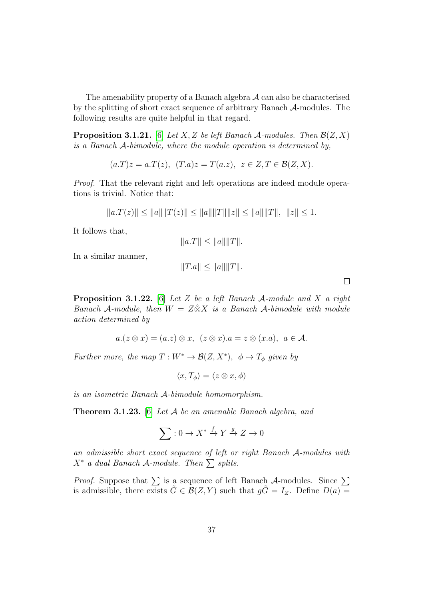The amenability property of a Banach algebra  $\mathcal A$  can also be characterised by the splitting of short exact sequence of arbitrary Banach A-modules. The following results are quite helpful in that regard.

**Proposition 3.1.21.** [\[6\]](#page-96-0) Let X, Z be left Banach A-modules. Then  $\mathcal{B}(Z, X)$ is a Banach A-bimodule, where the module operation is determined by,

$$
(a.T)z = a.T(z), (T.a)z = T(a.z), z \in Z, T \in \mathcal{B}(Z, X).
$$

Proof. That the relevant right and left operations are indeed module operations is trivial. Notice that:

$$
||a.T(z)|| \le ||a|| ||T(z)|| \le ||a|| ||T|| ||z|| \le ||a|| ||T||, ||z|| \le 1.
$$

It follows that,

$$
||a.T|| \le ||a|| ||T||.
$$

In a similar manner,

$$
||T.a|| \le ||a|| ||T||.
$$

 $\Box$ 

<span id="page-44-0"></span>**Proposition 3.1.22.** [\[6\]](#page-96-0) Let Z be a left Banach A-module and X a right Banach A-module, then  $W = Z \hat{\otimes} X$  is a Banach A-bimodule with module action determined by

$$
a.(z \otimes x) = (a.z) \otimes x, \ (z \otimes x).a = z \otimes (x.a), \ a \in \mathcal{A}.
$$

Further more, the map  $T: W^* \to \mathcal{B}(Z, X^*)$ ,  $\phi \mapsto T_{\phi}$  given by

$$
\langle x, T_{\phi} \rangle = \langle z \otimes x, \phi \rangle
$$

is an isometric Banach A-bimodule homomorphism.

Theorem 3.1.23. [\[6\]](#page-96-0) Let A be an amenable Banach algebra, and

$$
\sum: 0 \to X^* \xrightarrow{f} Y \xrightarrow{g} Z \to 0
$$

an admissible short exact sequence of left or right Banach A-modules with  $X^*$  a dual Banach A-module. Then  $\sum$  splits.

*Proof.* Suppose that  $\sum$  is a sequence of left Banach A-modules. Since  $\sum$ is admissible, there exists  $\tilde{G} \in \mathcal{B}(Z, Y)$  such that  $g\tilde{G} = I_Z$ . Define  $D(a)$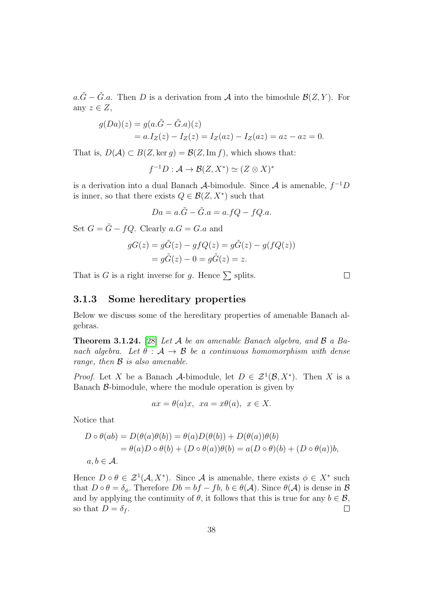$a.\tilde{G}-\tilde{G}.a$ . Then D is a derivation from A into the bimodule  $\mathcal{B}(Z, Y)$ . For any  $z \in Z$ ,

$$
g(Da)(z) = g(a.\tilde{G} - \tilde{G}.a)(z)
$$
  
= a.I<sub>Z</sub>(z) - I<sub>Z</sub>(z) = I<sub>Z</sub>(az) - I<sub>Z</sub>(az) = az - az = 0.

That is,  $D(\mathcal{A}) \subset B(Z, \ker q) = \mathcal{B}(Z, \operatorname{Im} f)$ , which shows that:

 $f^{-1}D: \mathcal{A} \to \mathcal{B}(Z, X^*) \simeq (Z \otimes X)^*$ 

is a derivation into a dual Banach  $\mathcal{A}$ -bimodule. Since  $\mathcal{A}$  is amenable,  $f^{-1}D$ is inner, so that there exists  $Q \in \mathcal{B}(Z, X^*)$  such that

$$
Da = a.\tilde{G} - \tilde{G}.a = a.fQ - fQ.a.
$$

Set  $G = \tilde{G} - fQ$ . Clearly  $a.G = G.a$  and

$$
gG(z) = g\tilde{G}(z) - gfQ(z) = g\tilde{G}(z) - g(fQ(z))
$$
  
=  $g\tilde{G}(z) - 0 = g\tilde{G}(z) = z$ .

That is G is a right inverse for g. Hence  $\sum$  splits.

 $\Box$ 

#### 3.1.3 Some hereditary properties

Below we discuss some of the hereditary properties of amenable Banach algebras.

<span id="page-45-0"></span>**Theorem 3.1.24.** [\[28\]](#page-98-0) Let A be an amenable Banach algebra, and  $\beta$  a Banach algebra. Let  $\theta : A \rightarrow B$  be a continuous homomorphism with dense range, then  $\mathcal B$  is also amenable.

*Proof.* Let X be a Banach A-bimodule, let  $D \in \mathcal{Z}^1(\mathcal{B}, X^*)$ . Then X is a Banach  $\beta$ -bimodule, where the module operation is given by

$$
ax = \theta(a)x, \ xa = x\theta(a), \ x \in X.
$$

Notice that

$$
D \circ \theta(ab) = D(\theta(a)\theta(b)) = \theta(a)D(\theta(b)) + D(\theta(a))\theta(b)
$$
  
=  $\theta(a)D \circ \theta(b) + (D \circ \theta(a))\theta(b) = a(D \circ \theta)(b) + (D \circ \theta(a))b$ ,  
 $a, b \in \mathcal{A}$ .

Hence  $D \circ \theta \in \mathcal{Z}^1(\mathcal{A}, X^*)$ . Since A is amenable, there exists  $\phi \in X^*$  such that  $D \circ \theta = \delta_{\phi}$ . Therefore  $Db = bf - fb$ ,  $b \in \theta(\mathcal{A})$ . Since  $\theta(\mathcal{A})$  is dense in  $\mathcal{B}$ and by applying the continuity of  $\theta$ , it follows that this is true for any  $b \in \mathcal{B}$ , so that  $D = \delta_f$ .  $\Box$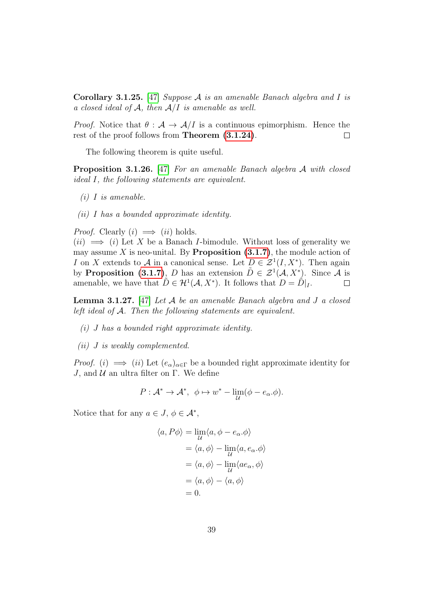**Corollary 3.1.25.** [\[47\]](#page-99-0) Suppose A is an amenable Banach algebra and I is a closed ideal of  $A$ , then  $A/I$  is amenable as well.

*Proof.* Notice that  $\theta : A \rightarrow A/I$  is a continuous epimorphism. Hence the rest of the proof follows from **Theorem [\(3.1.24\)](#page-45-0)**.  $\Box$ 

The following theorem is quite useful.

<span id="page-46-1"></span>**Proposition 3.1.26.** [\[47\]](#page-99-0) For an amenable Banach algebra  $\mathcal A$  with closed ideal I, the following statements are equivalent.

- $(i)$  I is amenable.
- (ii) I has a bounded approximate identity.

*Proof.* Clearly  $(i) \implies (ii)$  holds.

 $(ii) \implies (i)$  Let X be a Banach I-bimodule. Without loss of generality we may assume X is neo-unital. By **Proposition [\(3.1.7\)](#page-34-1)**, the module action of I on X extends to A in a canonical sense. Let  $D \in \mathcal{Z}^1(I, X^*)$ . Then again by Proposition [\(3.1.7\)](#page-34-1), D has an extension  $\tilde{D} \in \mathcal{Z}^1(\mathcal{A}, X^*)$ . Since  $\tilde{\mathcal{A}}$  is amenable, we have that  $\tilde{D} \in \mathcal{H}^1(\mathcal{A}, X^*)$ . It follows that  $D = \tilde{D}|_I$ .  $\Box$ 

<span id="page-46-0"></span>**Lemma 3.1.27.** [\[47\]](#page-99-0) Let  $A$  be an amenable Banach algebra and  $J$  a closed left ideal of A. Then the following statements are equivalent.

- (i) J has a bounded right approximate identity.
- (ii) J is weakly complemented.

*Proof.* (i)  $\implies$  (ii) Let  $(e_{\alpha})_{\alpha \in \Gamma}$  be a bounded right approximate identity for J, and  $U$  an ultra filter on Γ. We define

$$
P: \mathcal{A}^* \to \mathcal{A}^*, \ \ \phi \mapsto w^* - \lim_{\mathcal{U}} (\phi - e_\alpha. \phi).
$$

Notice that for any  $a \in J$ ,  $\phi \in \mathcal{A}^*$ ,

$$
\langle a, P\phi \rangle = \lim_{\mathcal{U}} \langle a, \phi - e_{\alpha}.\phi \rangle
$$
  
=  $\langle a, \phi \rangle - \lim_{\mathcal{U}} \langle a, e_{\alpha}.\phi \rangle$   
=  $\langle a, \phi \rangle - \lim_{\mathcal{U}} \langle ae_{\alpha}, \phi \rangle$   
=  $\langle a, \phi \rangle - \langle a, \phi \rangle$   
= 0.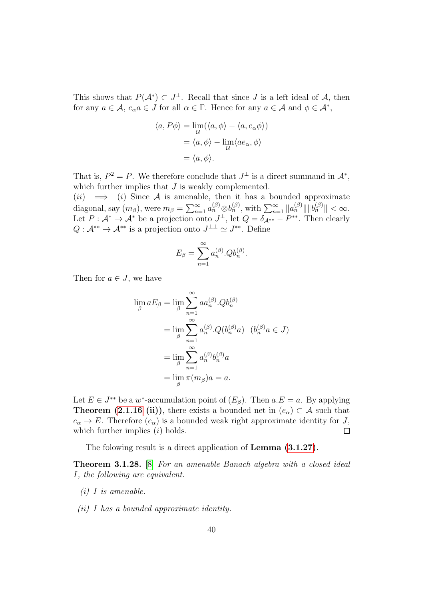This shows that  $P(A^*) \subset J^{\perp}$ . Recall that since J is a left ideal of A, then for any  $a \in \mathcal{A}$ ,  $e_{\alpha}a \in J$  for all  $\alpha \in \Gamma$ . Hence for any  $a \in \mathcal{A}$  and  $\phi \in \mathcal{A}^*$ ,

$$
\langle a, P\phi \rangle = \lim_{\mathcal{U}} (\langle a, \phi \rangle - \langle a, e_{\alpha}\phi \rangle)
$$

$$
= \langle a, \phi \rangle - \lim_{\mathcal{U}} \langle ae_{\alpha}, \phi \rangle
$$

$$
= \langle a, \phi \rangle.
$$

That is,  $P^2 = P$ . We therefore conclude that  $J^{\perp}$  is a direct summand in  $\mathcal{A}^*$ , which further implies that  $J$  is weakly complemented.

 $(ii) \implies (i)$  Since A is amenable, then it has a bounded approximate diagonal, say  $(m_\beta)$ , were  $m_\beta = \sum_{n=1}^\infty a_n^{(\beta)} \otimes b_n^{(\beta)}$ , with  $\sum_{n=1}^\infty ||a_n^{(\beta)}|| ||b_n^{(\beta)}|| < \infty$ . Let  $P: \mathcal{A}^* \to \mathcal{A}^*$  be a projection onto  $J^{\perp}$ , let  $Q = \delta_{\mathcal{A}^{**}} - P^{**}$ . Then clearly  $Q: \mathcal{A}^{**} \to \mathcal{A}^{**}$  is a projection onto  $J^{\perp \perp} \simeq J^{**}$ . Define

$$
E_{\beta} = \sum_{n=1}^{\infty} a_n^{(\beta)} Q b_n^{(\beta)}.
$$

Then for  $a \in J$ , we have

$$
\lim_{\beta} aE_{\beta} = \lim_{\beta} \sum_{n=1}^{\infty} a a_n^{(\beta)} Q b_n^{(\beta)}
$$
  
\n
$$
= \lim_{\beta} \sum_{n=1}^{\infty} a_n^{(\beta)} Q (b_n^{(\beta)} a) \quad (b_n^{(\beta)} a \in J)
$$
  
\n
$$
= \lim_{\beta} \sum_{n=1}^{\infty} a_n^{(\beta)} b_n^{(\beta)} a
$$
  
\n
$$
= \lim_{\beta} \pi (m_{\beta}) a = a.
$$

Let  $E \in J^{**}$  be a w<sup>\*</sup>-accumulation point of  $(E_\beta)$ . Then  $a.E = a$ . By applying **Theorem [\(2.1.16](#page-15-0) (ii))**, there exists a bounded net in  $(e_{\alpha}) \subset A$  such that  $e_{\alpha} \to E$ . Therefore  $(e_{\alpha})$  is a bounded weak right approximate identity for J, which further implies  $(i)$  holds.  $\Box$ 

The folowing result is a direct application of Lemma [\(3.1.27\)](#page-46-0).

Theorem 3.1.28. [\[8\]](#page-96-1) For an amenable Banach algebra with a closed ideal I, the following are equivalent.

- $(i)$  I is amenable.
- (ii) I has a bounded approximate identity.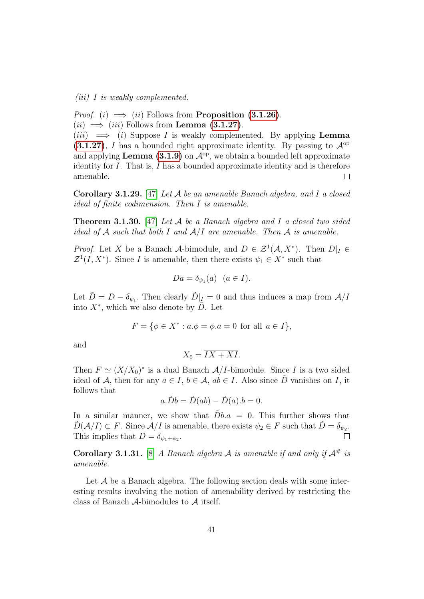(iii) I is weakly complemented.

*Proof.* (i)  $\implies$  (ii) Follows from **Proposition [\(3.1.26\)](#page-46-1)**.  $(iii) \implies (iii)$  Follows from **Lemma** [\(3.1.27\)](#page-46-0).  $(iii) \implies (i)$  Suppose I is weakly complemented. By applying Lemma  $(3.1.27)$ , I has a bounded right approximate identity. By passing to  $\mathcal{A}^{\text{op}}$ and applying **Lemma** [\(3.1.9\)](#page-35-0) on  $\mathcal{A}^{\text{op}}$ , we obtain a bounded left approximate

identity for I. That is, I has a bounded approximate identity and is therefore amenable.  $\Box$ 

**Corollary 3.1.29.** [\[47\]](#page-99-0) Let  $A$  be an amenable Banach algebra, and I a closed ideal of finite codimension. Then I is amenable.

<span id="page-48-0"></span>**Theorem 3.1.30.** [\[47\]](#page-99-0) Let  $A$  be a Banach algebra and I a closed two sided ideal of  $A$  such that both I and  $A/I$  are amenable. Then  $A$  is amenable.

*Proof.* Let X be a Banach A-bimodule, and  $D \in \mathcal{Z}^1(\mathcal{A}, X^*)$ . Then  $D|_I \in$  $\mathcal{Z}^1(I, X^*)$ . Since I is amenable, then there exists  $\psi_1 \in X^*$  such that

$$
Da = \delta_{\psi_1}(a) \quad (a \in I).
$$

Let  $\tilde{D} = D - \delta_{\psi_1}$ . Then clearly  $\tilde{D}|_{\underline{I}} = 0$  and thus induces a map from  $\mathcal{A}/I$ into  $X^*$ , which we also denote by  $\tilde{D}$ . Let

$$
F = \{ \phi \in X^* : a.\phi = \phi.a = 0 \text{ for all } a \in I \},\
$$

and

$$
X_0 = \overline{IX + XI}.
$$

Then  $F \simeq (X/X_0)^*$  is a dual Banach  $A/I$ -bimodule. Since I is a two sided ideal of A, then for any  $a \in I$ ,  $b \in A$ ,  $ab \in I$ . Also since D vanishes on I, it follows that a.<br>Da oa D∞(a).

$$
a.\ddot{D}b = \ddot{D}(ab) - \ddot{D}(a).b = 0.
$$

In a similar manner, we show that  $\tilde{D}b.a = 0$ . This further shows that  $\tilde{D}(\mathcal{A}/I) \subset F$ . Since  $\mathcal{A}/I$  is amenable, there exists  $\psi_2 \in F$  such that  $\tilde{D} = \delta_{\psi_2}$ . This implies that  $D = \delta_{\psi_1 + \psi_2}$ .  $\Box$ 

**Corollary 3.1.31.** [\[8\]](#page-96-1) A Banach algebra A is amenable if and only if  $A^{\#}$  is amenable.

Let  $A$  be a Banach algebra. The following section deals with some interesting results involving the notion of amenability derived by restricting the class of Banach A-bimodules to A itself.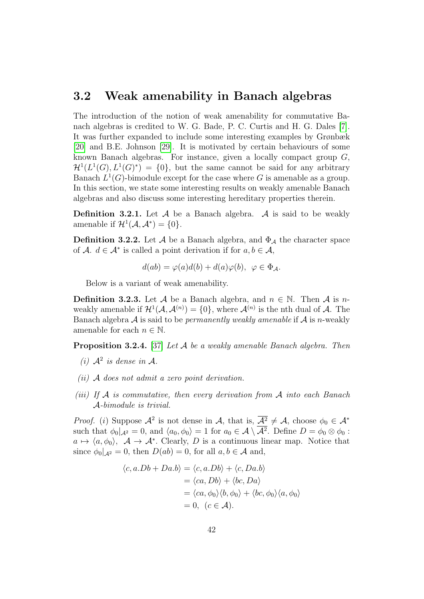## 3.2 Weak amenability in Banach algebras

The introduction of the notion of weak amenability for commutative Banach algebras is credited to W. G. Bade, P. C. Curtis and H. G. Dales [\[7\]](#page-96-2). It was further expanded to include some interesting examples by Grønbæk [\[20\]](#page-97-3) and B.E. Johnson [\[29\]](#page-98-2). It is motivated by certain behaviours of some known Banach algebras. For instance, given a locally compact group  $G$ ,  $\mathcal{H}^1(L^1(G), L^1(G)^*) = \{0\}$ , but the same cannot be said for any arbitrary Banach  $L^1(G)$ -bimodule except for the case where G is amenable as a group. In this section, we state some interesting results on weakly amenable Banach algebras and also discuss some interesting hereditary properties therein.

**Definition 3.2.1.** Let  $\mathcal A$  be a Banach algebra.  $\mathcal A$  is said to be weakly amenable if  $\mathcal{H}^1(\mathcal{A}, \mathcal{A}^*) = \{0\}.$ 

**Definition 3.2.2.** Let A be a Banach algebra, and  $\Phi_A$  the character space of A.  $d \in \mathcal{A}^*$  is called a point derivation if for  $a, b \in \mathcal{A}$ ,

$$
d(ab) = \varphi(a)d(b) + d(a)\varphi(b), \ \ \varphi \in \Phi_{\mathcal{A}}.
$$

Below is a variant of weak amenability.

**Definition 3.2.3.** Let A be a Banach algebra, and  $n \in \mathbb{N}$ . Then A is nweakly amenable if  $\mathcal{H}^1(\mathcal{A}, \mathcal{A}^{(n)}) = \{0\}$ , where  $\mathcal{A}^{(n)}$  is the nth dual of  $\mathcal{A}$ . The Banach algebra  $A$  is said to be *permanently weakly amenable* if  $A$  is *n*-weakly amenable for each  $n \in \mathbb{N}$ .

Proposition 3.2.4. [\[37\]](#page-98-1) Let A be a weakly amenable Banach algebra. Then

- (i)  $\mathcal{A}^2$  is dense in  $\mathcal{A}$ .
- (ii) A does not admit a zero point derivation.
- (iii) If  $A$  is commutative, then every derivation from  $A$  into each Banach A-bimodule is trivial.

*Proof.* (i) Suppose  $\mathcal{A}^2$  is not dense in  $\mathcal{A}$ , that is,  $\overline{\mathcal{A}^2} \neq \mathcal{A}$ , choose  $\phi_0 \in \mathcal{A}^*$ such that  $\phi_0|_{A^2} = 0$ , and  $\langle a_0, \phi_0 \rangle = 1$  for  $a_0 \in A \setminus A^2$ . Define  $D = \phi_0 \otimes \phi_0$ :  $a \mapsto \langle a, \phi_0 \rangle$ ,  $\mathcal{A} \to \mathcal{A}^*$ . Clearly, D is a continuous linear map. Notice that since  $\phi_0|_{\mathcal{A}^2} = 0$ , then  $D(ab) = 0$ , for all  $a, b \in \mathcal{A}$  and,

$$
\langle c, a.Db + Da.b \rangle = \langle c, a.Db \rangle + \langle c, Da.b \rangle
$$
  
=  $\langle ca, Db \rangle + \langle bc, Da \rangle$   
=  $\langle ca, \phi_0 \rangle \langle b, \phi_0 \rangle + \langle bc, \phi_0 \rangle \langle a, \phi_0 \rangle$   
= 0,  $(c \in \mathcal{A}).$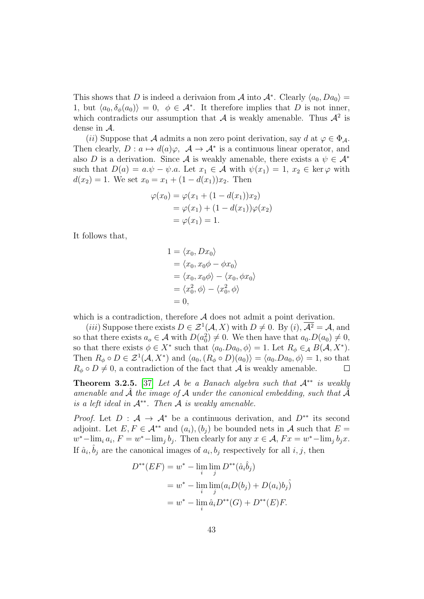This shows that D is indeed a derivaion from  $\mathcal A$  into  $\mathcal A^*$ . Clearly  $\langle a_0, Da_0 \rangle =$ 1, but  $\langle a_0, \delta_\phi(a_0) \rangle = 0, \phi \in \mathcal{A}^*$ . It therefore implies that D is not inner, which contradicts our assumption that  $A$  is weakly amenable. Thus  $A^2$  is dense in A.

(ii) Suppose that A admits a non zero point derivation, say d at  $\varphi \in \Phi_{\mathcal{A}}$ . Then clearly,  $D: a \mapsto d(a)\varphi, \mathcal{A} \to \mathcal{A}^*$  is a continuous linear operator, and also D is a derivation. Since A is weakly amenable, there exists a  $\psi \in \mathcal{A}^*$ such that  $D(a) = a.\psi - \psi.a.$  Let  $x_1 \in \mathcal{A}$  with  $\psi(x_1) = 1, x_2 \in \ker \varphi$  with  $d(x_2) = 1$ . We set  $x_0 = x_1 + (1 - d(x_1))x_2$ . Then

$$
\varphi(x_0) = \varphi(x_1 + (1 - d(x_1))x_2)
$$
  
=  $\varphi(x_1) + (1 - d(x_1))\varphi(x_2)$   
=  $\varphi(x_1) = 1$ .

It follows that,

$$
1 = \langle x_0, Dx_0 \rangle
$$
  
=  $\langle x_0, x_0 \phi - \phi x_0 \rangle$   
=  $\langle x_0, x_0 \phi \rangle - \langle x_0, \phi x_0 \rangle$   
=  $\langle x_0^2, \phi \rangle - \langle x_0^2, \phi \rangle$   
= 0,

which is a contradiction, therefore  $A$  does not admit a point derivation.

(*iii*) Suppose there exists  $D \in \mathcal{Z}^1(\mathcal{A}, X)$  with  $D \neq 0$ . By (*i*),  $\overline{\mathcal{A}^2} = \mathcal{A}$ , and so that there exists  $a_o \in \mathcal{A}$  with  $D(a_0^2) \neq 0$ . We then have that  $a_0.D(a_0) \neq 0$ , so that there exists  $\phi \in X^*$  such that  $\langle a_0, Da_0, \phi \rangle = 1$ . Let  $R_{\phi} \in_{\mathcal{A}} B(\mathcal{A}, X^*)$ . Then  $R_{\phi} \circ D \in \mathcal{Z}^{1}(\mathcal{A}, X^*)$  and  $\langle a_0, (R_{\phi} \circ D)(a_0) \rangle = \langle a_0, Da_0, \phi \rangle = 1$ , so that  $R_{\phi} \circ D \neq 0$ , a contradiction of the fact that A is weakly amenable.  $\Box$ 

**Theorem 3.2.5.** [\[37\]](#page-98-1) Let A be a Banach algebra such that  $A^{**}$  is weakly amenable and  $\hat{\mathcal{A}}$  the image of  $\mathcal A$  under the canonical embedding, such that  $\hat{\mathcal{A}}$ is a left ideal in  $A^{**}$ . Then A is weakly amenable.

*Proof.* Let  $D : A \rightarrow A^*$  be a continuous derivation, and  $D^{**}$  its second adjoint. Let  $E, F \in \mathcal{A}^{**}$  and  $(a_i), (b_i)$  be bounded nets in A such that  $E =$  $w^*-\lim_i a_i, F = w^*-\lim_j b_j$ . Then clearly for any  $x \in \mathcal{A}$ ,  $Fx = w^*-\lim_j b_jx$ . If  $\hat{a}_i, \hat{b}_j$  are the canonical images of  $a_i, b_j$  respectively for all  $i, j$ , then

$$
D^{**}(EF) = w^* - \lim_{i} \lim_{j} D^{**}(\hat{a}_i \hat{b}_j)
$$
  
=  $w^* - \lim_{i} \lim_{j} (a_i D(b_j) + D(a_i)b_j)$   
=  $w^* - \lim_{i} \hat{a}_i D^{**}(G) + D^{**}(E)F.$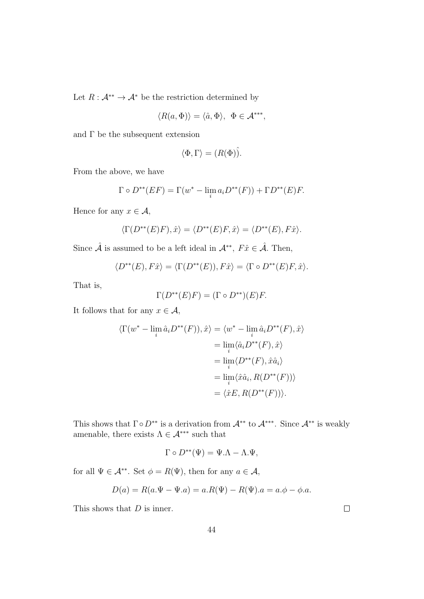Let  $R : \mathcal{A}^{**} \to \mathcal{A}^*$  be the restriction determined by

$$
\langle R(a,\Phi)\rangle = \langle \hat{a},\Phi\rangle, \ \Phi \in \mathcal{A}^{***},
$$

and  $\Gamma$  be the subsequent extension

$$
\langle \Phi, \Gamma \rangle = (R(\Phi)).
$$

From the above, we have

$$
\Gamma \circ D^{**}(EF) = \Gamma(w^* - \lim_i a_i D^{**}(F)) + \Gamma D^{**}(E)F.
$$

Hence for any  $x \in \mathcal{A}$ ,

$$
\langle \Gamma(D^{**}(E)F), \hat{x} \rangle = \langle D^{**}(E)F, \hat{x} \rangle = \langle D^{**}(E), F\hat{x} \rangle.
$$

Since  $\hat{\mathcal{A}}$  is assumed to be a left ideal in  $\mathcal{A}^{**}$ ,  $F\hat{x} \in \hat{\mathcal{A}}$ . Then,

$$
\langle D^{**}(E), F\hat{x}\rangle = \langle \Gamma(D^{**}(E)), F\hat{x}\rangle = \langle \Gamma \circ D^{**}(E)F, \hat{x}\rangle.
$$

That is,

$$
\Gamma(D^{**}(E)F) = (\Gamma \circ D^{**})(E)F.
$$

It follows that for any  $x \in \mathcal{A}$ ,

$$
\langle \Gamma(w^* - \lim_i \hat{a}_i D^{**}(F)), \hat{x} \rangle = \langle w^* - \lim_i \hat{a}_i D^{**}(F), \hat{x} \rangle
$$
  
\n
$$
= \lim_i \langle \hat{a}_i D^{**}(F), \hat{x} \rangle
$$
  
\n
$$
= \lim_i \langle D^{**}(F), \hat{x} \hat{a}_i \rangle
$$
  
\n
$$
= \lim_i \langle \hat{x} \hat{a}_i, R(D^{**}(F)) \rangle
$$
  
\n
$$
= \langle \hat{x} E, R(D^{**}(F)) \rangle.
$$

This shows that  $\Gamma \circ D^{**}$  is a derivation from  $\mathcal{A}^{**}$  to  $\mathcal{A}^{***}$ . Since  $\mathcal{A}^{**}$  is weakly amenable, there exists  $\Lambda \in \mathcal{A}^{***}$  such that

$$
\Gamma \circ D^{**}(\Psi) = \Psi . \Lambda - \Lambda . \Psi,
$$

for all  $\Psi \in \mathcal{A}^{**}$ . Set  $\phi = R(\Psi)$ , then for any  $a \in \mathcal{A}$ ,

$$
D(a) = R(a.\Psi - \Psi.a) = a.R(\Psi) - R(\Psi).a = a.\phi - \phi.a.
$$

This shows that D is inner.

 $\Box$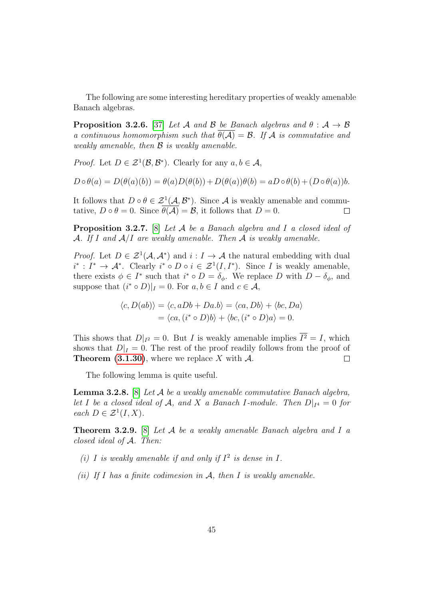The following are some interesting hereditary properties of weakly amenable Banach algebras.

**Proposition 3.2.6.** [\[37\]](#page-98-1) Let A and B be Banach algebras and  $\theta : A \rightarrow B$ a continuous homomorphism such that  $\theta(\mathcal{A}) = \mathcal{B}$ . If  $\mathcal{A}$  is commutative and weakly amenable, then  $\mathcal B$  is weakly amenable.

*Proof.* Let  $D \in \mathcal{Z}^1(\mathcal{B}, \mathcal{B}^*)$ . Clearly for any  $a, b \in \mathcal{A}$ ,

$$
D \circ \theta(a) = D(\theta(a)(b)) = \theta(a)D(\theta(b)) + D(\theta(a))\theta(b) = aD \circ \theta(b) + (D \circ \theta(a))b.
$$

It follows that  $D \circ \theta \in \mathcal{Z}^1(\mathcal{A}, \mathcal{B}^*)$ . Since  $\mathcal{A}$  is weakly amenable and commutative,  $D \circ \theta = 0$ . Since  $\overline{\theta(\mathcal{A})} = \mathcal{B}$ , it follows that  $D = 0$ . □

Proposition 3.2.7. [\[8\]](#page-96-1) Let A be a Banach algebra and I a closed ideal of A. If I and  $A/I$  are weakly amenable. Then A is weakly amenable.

*Proof.* Let  $D \in \mathcal{Z}^1(\mathcal{A}, \mathcal{A}^*)$  and  $i : I \to \mathcal{A}$  the natural embedding with dual  $i^*$ :  $I^*$  →  $\mathcal{A}^*$ . Clearly  $i^* \circ D \circ i \in \mathcal{Z}^1(I, I^*)$ . Since I is weakly amenable, there exists  $\phi \in I^*$  such that  $i^* \circ D = \delta_{\phi}$ . We replace D with  $D - \delta_{\phi}$ , and suppose that  $(i^* \circ D)|_I = 0$ . For  $a, b \in I$  and  $c \in \mathcal{A}$ ,

$$
\langle c, D(ab) \rangle = \langle c, aDb + Da.b \rangle = \langle ca, Db \rangle + \langle bc, Da \rangle
$$

$$
= \langle ca, (i^* \circ D)b \rangle + \langle bc, (i^* \circ D)a \rangle = 0.
$$

This shows that  $D|_{I^2} = 0$ . But I is weakly amenable implies  $I^2 = I$ , which shows that  $D|_I = 0$ . The rest of the proof readily follows from the proof of **Theorem [\(3.1.30\)](#page-48-0)**, where we replace X with  $\mathcal{A}$ .  $\Box$ 

The following lemma is quite useful.

<span id="page-52-0"></span>**Lemma 3.2.8.** [\[8\]](#page-96-1) Let  $A$  be a weakly amenable commutative Banach algebra, let I be a closed ideal of A, and X a Banach I-module. Then  $D|_{I^4} = 0$  for each  $D \in \mathcal{Z}^1(I,X)$ .

**Theorem 3.2.9.** [\[8\]](#page-96-1) Let A be a weakly amenable Banach algebra and I a closed ideal of A. Then:

- (i) I is weakly amenable if and only if  $I^2$  is dense in I.
- (ii) If I has a finite codimesion in  $A$ , then I is weakly amenable.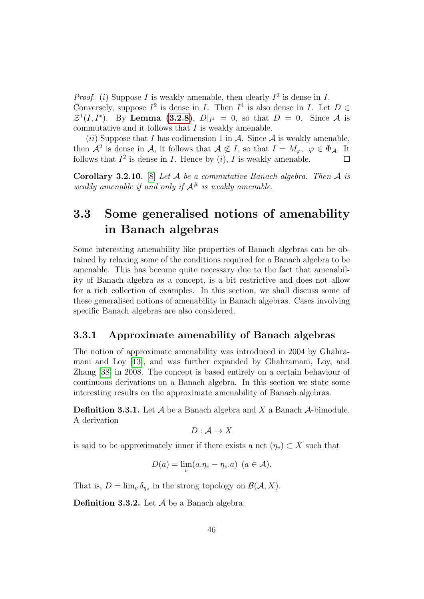*Proof.* (i) Suppose I is weakly amenable, then clearly  $I^2$  is dense in I. Conversely, suppose  $I^2$  is dense in I. Then  $I^4$  is also dense in I. Let  $D \in$  $\mathcal{Z}^1(I, I^*)$ . By Lemma [\(3.2.8\)](#page-52-0),  $D|_{I^4} = 0$ , so that  $D = 0$ . Since A is commutative and it follows that  $I$  is weakly amenable.

(*ii*) Suppose that I has codimension 1 in A. Since A is weakly amenable, then  $\mathcal{A}^2$  is dense in  $\mathcal{A}$ , it follows that  $\mathcal{A} \not\subset I$ , so that  $I = M_{\varphi}, \varphi \in \Phi_{\mathcal{A}}$ . It follows that  $I^2$  is dense in I. Hence by  $(i)$ , I is weakly amenable.  $\Box$ 

Corollary 3.2.10. [\[8\]](#page-96-1) Let  $A$  be a commutative Banach algebra. Then  $A$  is weakly amenable if and only if  $A^{\#}$  is weakly amenable.

# 3.3 Some generalised notions of amenability in Banach algebras

Some interesting amenability like properties of Banach algebras can be obtained by relaxing some of the conditions required for a Banach algebra to be amenable. This has become quite necessary due to the fact that amenability of Banach algebra as a concept, is a bit restrictive and does not allow for a rich collection of examples. In this section, we shall discuss some of these generalised notions of amenability in Banach algebras. Cases involving specific Banach algebras are also considered.

#### 3.3.1 Approximate amenability of Banach algebras

The notion of approximate amenability was introduced in 2004 by Ghahramani and Loy [\[13\]](#page-96-3), and was further expanded by Ghahramani, Loy, and Zhang [\[38\]](#page-98-3) in 2008. The concept is based entirely on a certain behaviour of continuous derivations on a Banach algebra. In this section we state some interesting results on the approximate amenability of Banach algebras.

**Definition 3.3.1.** Let  $\mathcal A$  be a Banach algebra and  $X$  a Banach  $\mathcal A$ -bimodule. A derivation

$$
D: \mathcal{A} \to X
$$

is said to be approximately inner if there exists a net  $(\eta_v) \subset X$  such that

$$
D(a) = \lim_{v} (a.\eta_v - \eta_v.a) \ (a \in \mathcal{A}).
$$

That is,  $D = \lim_{v} \delta_{\eta_v}$  in the strong topology on  $\mathcal{B}(\mathcal{A}, X)$ .

Definition 3.3.2. Let A be a Banach algebra.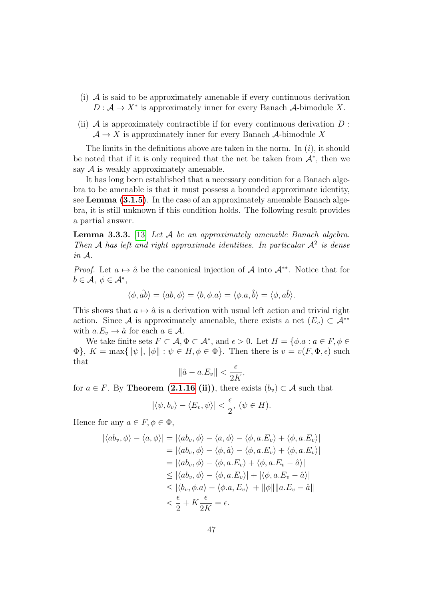- (i)  $\mathcal A$  is said to be approximately amenable if every continuous derivation  $D: \mathcal{A} \to X^*$  is approximately inner for every Banach  $\mathcal{A}$ -bimodule X.
- (ii)  $\mathcal A$  is approximately contractible if for every continuous derivation  $D$ :  $\mathcal{A} \to X$  is approximately inner for every Banach  $\mathcal{A}$ -bimodule X

The limits in the definitions above are taken in the norm. In  $(i)$ , it should be noted that if it is only required that the net be taken from  $\mathcal{A}^*$ , then we say  $A$  is weakly approximately amenable.

It has long been established that a necessary condition for a Banach algebra to be amenable is that it must possess a bounded approximate identity, see Lemma [\(3.1.5\)](#page-33-0). In the case of an approximately amenable Banach algebra, it is still unknown if this condition holds. The following result provides a partial answer.

**Lemma 3.3.3.** [\[13\]](#page-96-3) Let  $A$  be an approximately amenable Banach algebra. Then A has left and right approximate identities. In particular  $A^2$  is dense in A.

*Proof.* Let  $a \mapsto \hat{a}$  be the canonical injection of A into  $\mathcal{A}^{**}$ . Notice that for  $b \in \mathcal{A}, \ \phi \in \mathcal{A}^*,$ 

$$
\langle \phi, \hat{ab} \rangle = \langle ab, \phi \rangle = \langle b, \phi, a \rangle = \langle \phi, a, \hat{b} \rangle = \langle \phi, a\hat{b} \rangle.
$$

This shows that  $a \mapsto \hat{a}$  is a derivation with usual left action and trivial right action. Since A is approximately amenable, there exists a net  $(E_v) \subset \mathcal{A}^{**}$ with  $a.E_v \to \hat{a}$  for each  $a \in \mathcal{A}$ .

We take finite sets  $F \subset \mathcal{A}, \Phi \subset \mathcal{A}^*$ , and  $\epsilon > 0$ . Let  $H = \{\phi.a : a \in F, \phi \in \mathcal{A}\}$  $\Phi$ ,  $K = \max{\{\|\psi\|, \|\phi\| : \psi \in H, \phi \in \Phi\}}$ . Then there is  $v = v(F, \Phi, \epsilon)$  such that

$$
\|\hat{a} - a.E_v\| < \frac{\epsilon}{2K},
$$

for  $a \in F$ . By **Theorem [\(2.1.16](#page-15-0) (ii))**, there exists  $(b_v) \subset A$  such that

$$
|\langle \psi, b_v \rangle - \langle E_v, \psi \rangle| < \frac{\epsilon}{2}, \ (\psi \in H).
$$

Hence for any  $a \in F, \phi \in \Phi$ ,

$$
\begin{aligned} |\langle ab_v, \phi \rangle - \langle a, \phi \rangle| &= |\langle ab_v, \phi \rangle - \langle a, \phi \rangle - \langle \phi, a.E_v \rangle + \langle \phi, a.E_v \rangle| \\ &= |\langle ab_v, \phi \rangle - \langle \phi, \hat{a} \rangle - \langle \phi, a.E_v \rangle + \langle \phi, a.E_v \rangle| \\ &= |\langle ab_v, \phi \rangle - \langle \phi, a.E_v \rangle + \langle \phi, a.E_v - \hat{a} \rangle| \\ &\leq |\langle ab_v, \phi \rangle - \langle \phi, a.E_v \rangle| + |\langle \phi, a.E_v - \hat{a} \rangle| \\ &\leq |\langle b_v, \phi, a \rangle - \langle \phi, a, E_v \rangle| + \|\phi\| \|a.E_v - \hat{a}\| \\ &< \frac{\epsilon}{2} + K \frac{\epsilon}{2K} = \epsilon. \end{aligned}
$$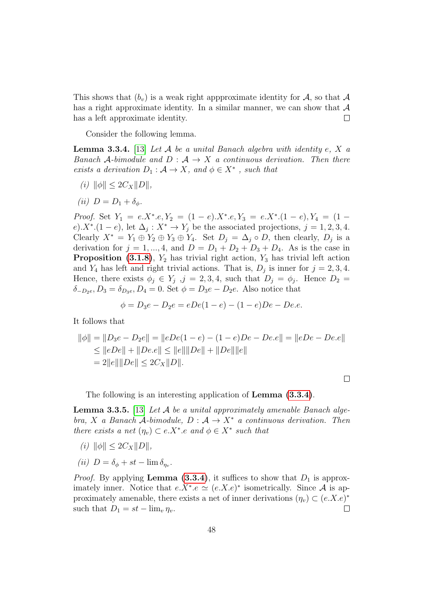This shows that  $(b_v)$  is a weak right appproximate identity for A, so that A has a right approximate identity. In a similar manner, we can show that  $\mathcal A$ has a left approximate identity.  $\Box$ 

Consider the following lemma.

<span id="page-55-0"></span>**Lemma 3.3.4.** [\[13\]](#page-96-3) Let A be a unital Banach algebra with identity  $e, X$  a Banach A-bimodule and  $D: A \rightarrow X$  a continuous derivation. Then there exists a derivation  $D_1: \mathcal{A} \to X$ , and  $\phi \in X^*$ , such that

- (i)  $\|\phi\| \leq 2C_X\|D\|$ ,
- (ii)  $D = D_1 + \delta_{\phi}$ .

Proof. Set  $Y_1 = e.X^*.e, Y_2 = (1 - e).X^*.e, Y_3 = e.X^*.(1 - e), Y_4 = (1 - e).Y_5 = (1 - e).Y_6 = (1 - e).Y_7 = (1 - e).Y_7 = (1 - e).Y_8 = (1 - e).Y_9 = (1 - e).Y_9 = (1 - e).Y_9 = (1 - e).Y_9 = (1 - e).Y_9 = (1 - e).Y_9 = (1 - e).Y_9 = (1 - e).Y_9 = (1 - e).Y_9 = (1 - e).Y_9 = (1 - e).Y_9 = (1 - e).Y_9 = (1 - e).Y_9 = (1 - e).Y$ e). $X^*$ .(1 – e), let  $\Delta_j: X^* \to Y_j$  be the associated projections,  $j = 1, 2, 3, 4$ . Clearly  $X^* = Y_1 \oplus Y_2 \oplus Y_3 \oplus Y_4$ . Set  $D_j = \Delta_j \circ D$ , then clearly,  $D_j$  is a derivation for  $j = 1, ..., 4$ , and  $D = D_1 + D_2 + D_3 + D_4$ . As is the case in **Proposition** [\(3.1.8\)](#page-34-0),  $Y_2$  has trivial right action,  $Y_3$  has trivial left action and  $Y_4$  has left and right trivial actions. That is,  $D_j$  is inner for  $j = 2, 3, 4$ . Hence, there exists  $\phi_j \in Y_j$ ,  $j = 2, 3, 4$ , such that  $D_j = \phi_j$ . Hence  $D_2 =$  $\delta_{-D_2e}, D_3 = \delta_{D_3e}, D_4 = 0$ . Set  $\phi = D_3e - D_2e$ . Also notice that

$$
\phi = D_3 e - D_2 e = e D e (1 - e) - (1 - e) D e - D e e.
$$

It follows that

$$
\|\phi\| = \|D_3 e - D_2 e\| = \|eDe(1 - e) - (1 - e)De - De.e\| = \|eDe - De.e\|
$$
  
\n
$$
\le \|eDe\| + \|De.e\| \le \|e\| \|De\| + \|De\| \|e\|
$$
  
\n
$$
= 2\|e\| \|De\| \le 2C_X \|D\|.
$$

 $\Box$ 

The following is an interesting application of Lemma [\(3.3.4\)](#page-55-0).

<span id="page-55-1"></span>**Lemma 3.3.5.** [\[13\]](#page-96-3) Let  $A$  be a unital approximately amenable Banach algebra, X a Banach A-bimodule,  $D: A \to X^*$  a continuous derivation. Then there exists a net  $(\eta_v) \subset e.X^*$ . e and  $\phi \in X^*$  such that

- (i)  $\|\phi\| \leq 2C_X \|D\|$ ,
- (*ii*)  $D = \delta_{\phi} + st \lim \delta_{\eta_v}$ .

*Proof.* By applying Lemma  $(3.3.4)$ , it suffices to show that  $D_1$  is approximately inner. Notice that  $e.X^* \text{.} e \simeq (e.X.e)^*$  isometrically. Since A is approximately amenable, there exists a net of inner derivations  $(\eta_v) \subset (e.X.e)^*$ such that  $D_1 = st - \lim_v \eta_v$ .  $\Box$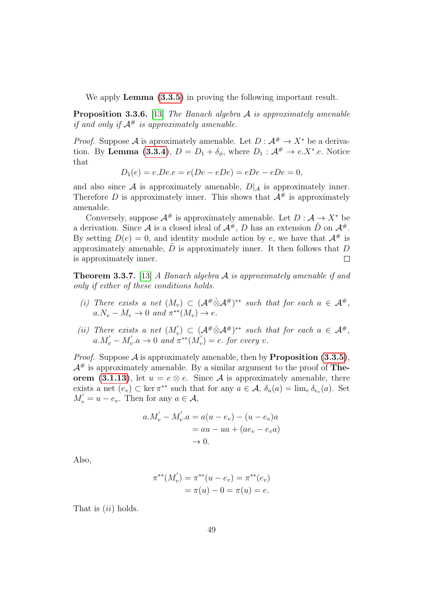We apply **Lemma** [\(3.3.5\)](#page-55-1) in proving the following important result.

**Proposition 3.3.6.** [\[13\]](#page-96-3) The Banach algebra  $A$  is approximately amenable if and only if  $A^{\#}$  is approximately amenable.

*Proof.* Suppose A is aproximately amenable. Let  $D : \mathcal{A}^{\#} \to X^*$  be a deriva-tion. By Lemma [\(3.3.4\)](#page-55-0),  $D = D_1 + \delta_{\phi}$ , where  $D_1 : \mathcal{A}^{\#} \to e.X^* \text{.} e$ . Notice that

$$
D_1(e) = e. De.e = e(De - eDe) = eDe - eDe = 0,
$$

and also since A is approximately amenable,  $D|_A$  is approximately inner. Therefore D is approximately inner. This shows that  $A^{\#}$  is approximately amenable.

Conversely, suppose  $\mathcal{A}^{\#}$  is approximately amenable. Let  $D : \mathcal{A} \to X^*$  be a derivation. Since A is a closed ideal of  $A^{\#}$ , D has an extension  $\tilde{D}$  on  $A^{\#}$ . By setting  $D(e) = 0$ , and identity module action by e, we have that  $A^{\#}$  is approximately amenable,  $\ddot{D}$  is approximately inner. It then follows that  $D$ is approximately inner.  $\Box$ 

<span id="page-56-0"></span>**Theorem 3.3.7.** [\[13\]](#page-96-3) A Banach algebra  $A$  is approximately amenable if and only if either of these conditions holds.

- (i) There exists a net  $(M_v) \subset (A^{\#}\hat{\otimes}A^{\#})^{**}$  such that for each  $a \in A^{\#}$ ,  $a.N_v - M_v \to 0$  and  $\pi^{**}(M_v) \to e$ .
- (ii) There exists a net  $(M'_i)$  $v'_v$ )  $\subset$   $(\mathcal{A}^{\#}\hat{\otimes}\mathcal{A}^{\#})^{**}$  such that for each  $a \in \mathcal{A}^{\#}$ ,  $a.M'_v-M'_v$  $v u'_i a \to 0$  and  $\pi^{**}(M'_i)$  $v(v) = e$ . for every v.

*Proof.* Suppose  $\mathcal A$  is approximately amenable, then by **Proposition [\(3.3.5\)](#page-55-1)**,  $A^{\#}$  is approximately amenable. By a similar argument to the proof of **The-**orem [\(3.1.13\)](#page-37-0), let  $u = e \otimes e$ . Since A is approximately amenable, there exists a net  $(e_v) \subset \ker \pi^{**}$  such that for any  $a \in \mathcal{A}$ ,  $\delta_u(a) = \lim_v \delta_{e_v}(a)$ . Set  $M'_v = u - e_v$ . Then for any  $a \in \mathcal{A}$ ,

$$
a.M'_v - M'_v.a = a(u - e_v) - (u - e_v)a
$$
  
= au - ua + (ae\_v - e\_va)  
 $\to 0.$ 

Also,

$$
\pi^{**}(M'_v) = \pi^{**}(u - e_v) = \pi^{**}(e_v)
$$

$$
= \pi(u) - 0 = \pi(u) = e.
$$

That is *(ii)* holds.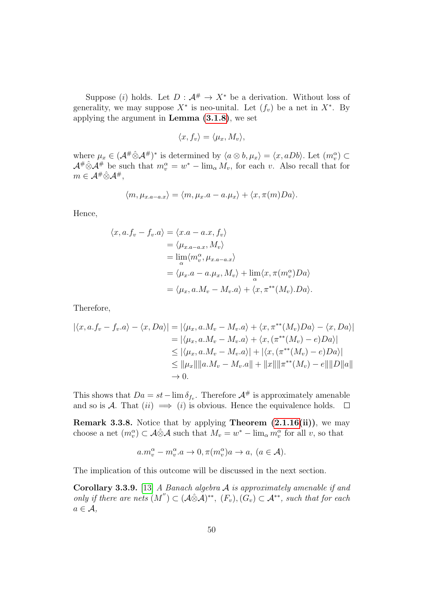Suppose (i) holds. Let  $D : \mathcal{A}^{\#} \to X^*$  be a derivation. Without loss of generality, we may suppose  $X^*$  is neo-unital. Let  $(f_v)$  be a net in  $X^*$ . By applying the argument in **Lemma**  $(3.1.8)$ , we set

$$
\langle x, f_v \rangle = \langle \mu_x, M_v \rangle,
$$

where  $\mu_x \in (A^{\#}\hat{\otimes}A^{\#})^*$  is determined by  $\langle a\otimes b,\mu_x\rangle = \langle x, aDb\rangle$ . Let  $(m_v^{\alpha}) \subset$  $\mathcal{A}^{\#}\hat{\otimes}\mathcal{A}^{\#}$  be such that  $m_v^{\alpha} = w^* - \lim_{\alpha} M_v$ , for each v. Also recall that for  $m \in \mathcal{A}^{\#}\hat{\otimes} \mathcal{A}^{\#},$ 

$$
\langle m, \mu_{x.a-a.x} \rangle = \langle m, \mu_x.a - a.\mu_x \rangle + \langle x, \pi(m)Da \rangle.
$$

Hence,

$$
\langle x, a.f_v - f_v.a \rangle = \langle x.a - a.x, f_v \rangle
$$
  
\n
$$
= \langle \mu_{x.a-a.x}, M_v \rangle
$$
  
\n
$$
= \lim_{\alpha} \langle m_v^{\alpha}, \mu_{x.a-a.x} \rangle
$$
  
\n
$$
= \langle \mu_x.a - a.\mu_x, M_v \rangle + \lim_{\alpha} \langle x, \pi(m_v^{\alpha})Da \rangle
$$
  
\n
$$
= \langle \mu_x, a.M_v - M_v.a \rangle + \langle x, \pi^{**}(M_v).Da \rangle.
$$

Therefore,

$$
|\langle x, a.f_v - f_v.a \rangle - \langle x, Da \rangle| = |\langle \mu_x, a.M_v - M_v.a \rangle + \langle x, \pi^{**}(M_v)Da \rangle - \langle x, Da \rangle|
$$
  
\n
$$
= |\langle \mu_x, a.M_v - M_v.a \rangle| + \langle x, (\pi^{**}(M_v) - e)Da \rangle|
$$
  
\n
$$
\leq |\langle \mu_x, a.M_v - M_v.a \rangle| + |\langle x, (\pi^{**}(M_v) - e)Da \rangle|
$$
  
\n
$$
\leq \|\mu_x\| \|a.M_v - M_v.a\| + \|x\| \|\pi^{**}(M_v) - e\| \|D\|a\|
$$
  
\n
$$
\to 0.
$$

This shows that  $Da = st - \lim_{\delta f_v}$ . Therefore  $\mathcal{A}^{\#}$  is approximately amenable and so is A. That  $(ii) \implies (i)$  is obvious. Hence the equivalence holds.  $\Box$ 

**Remark 3.3.8.** Notice that by applying **Theorem**  $(2.1.16(ii))$  $(2.1.16(ii))$ , we may choose a net  $(m_v^{\alpha}) \subset \mathcal{A} \hat{\otimes} \mathcal{A}$  such that  $M_v = w^* - \lim_{\alpha} m_v^{\alpha}$  for all v, so that

$$
a.m_v^\alpha - m_v^\alpha.a \to 0, \pi(m_v^\alpha)a \to a, \ (a \in \mathcal{A}).
$$

The implication of this outcome will be discussed in the next section.

Corollary 3.3.9. [\[13\]](#page-96-3) A Banach algebra A is approximately amenable if and only if there are nets  $(M'') \subset (\mathcal{A} \hat{\otimes} \mathcal{A})^{**}$ ,  $(F_v), (G_v) \subset \mathcal{A}^{**}$ , such that for each  $a \in \mathcal{A},$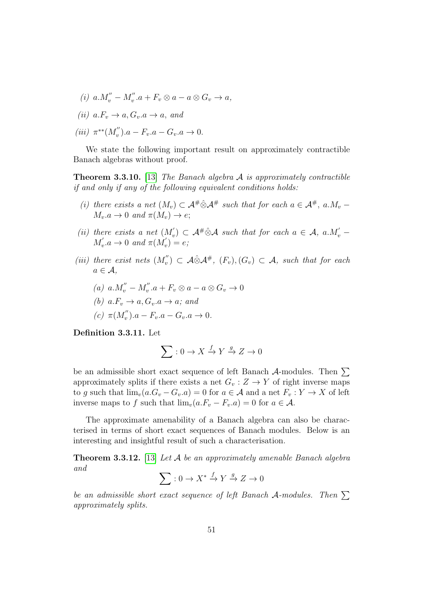- (*i*)  $a.M_v'' M_v''$  $v^{\prime\prime}$ . $a + F_v \otimes a - a \otimes G_v \rightarrow a,$
- (ii)  $a.F_v \rightarrow a, G_v.a \rightarrow a, and$
- (iii)  $\pi^{**}(M''_v)$  $v''(v) \cdot a - F_v \cdot a - G_v \cdot a \to 0.$

We state the following important result on approximately contractible Banach algebras without proof.

<span id="page-58-0"></span>**Theorem 3.3.10.** [\[13\]](#page-96-3) The Banach algebra  $A$  is approximately contractible if and only if any of the following equivalent conditions holds:

- (i) there exists a net  $(M_v) \subset \mathcal{A}^{\#}\hat{\otimes} \mathcal{A}^{\#}$  such that for each  $a \in \mathcal{A}^{\#}$ ,  $a.M_v$   $M_v.a \to 0$  and  $\pi(M_v) \to e;$
- (*ii*) there exists a net  $(M'_i)$  $v'_v$ )  $\subset A^{\#}\hat{\otimes}A$  such that for each  $a \in A$ ,  $a.M'_v M_i'$  $v'_v.a \to 0$  and  $\pi(M'_v)$  $v'_{v})=e;$
- (iii) there exist nets  $(M''_v)$  $v''_v$ )  $\subset \mathcal{A} \hat{\otimes} \mathcal{A}^{\#}$ ,  $(F_v)$ ,  $(G_v) \subset \mathcal{A}$ , such that for each  $a \in \mathcal{A}$ ,

(a) 
$$
a.M_v'' - M_v'' . a + F_v \otimes a - a \otimes G_v \to 0
$$
  
\n(b)  $a.F_v \to a, G_v . a \to a$ ; and  
\n(c)  $\pi(M_v'') . a - F_v . a - G_v . a \to 0$ .

Definition 3.3.11. Let

$$
\sum: 0 \to X \xrightarrow{f} Y \xrightarrow{g} Z \to 0
$$

be an admissible short exact sequence of left Banach  $\mathcal{A}$ -modules. Then  $\Sigma$ approximately splits if there exists a net  $G_v : Z \to Y$  of right inverse maps to g such that  $\lim_{v} (a \cdot G_v - G_v \cdot a) = 0$  for  $a \in \mathcal{A}$  and a net  $F_v : Y \to X$  of left inverse maps to f such that  $\lim_{v} (a.F_v - F_v.a) = 0$  for  $a \in \mathcal{A}$ .

The approximate amenability of a Banach algebra can also be characterised in terms of short exact sequences of Banach modules. Below is an interesting and insightful result of such a characterisation.

**Theorem 3.3.12.** [\[13\]](#page-96-3) Let A be an approximately amenable Banach algebra and

$$
\sum: 0 \to X^* \xrightarrow{f} Y \xrightarrow{g} Z \to 0
$$

be an admissible short exact sequence of left Banach A-modules. Then  $\Sigma$ approximately splits.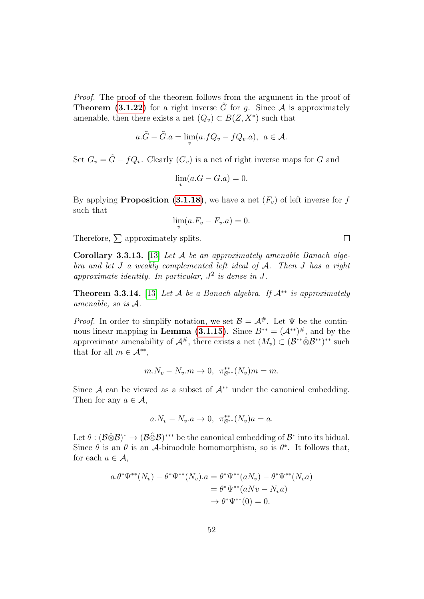Proof. The proof of the theorem follows from the argument in the proof of **Theorem [\(3.1.22\)](#page-44-0)** for a right inverse  $\tilde{G}$  for q. Since A is approximately amenable, then there exists a net  $(Q_v) \subset B(Z, X^*)$  such that

$$
a.\tilde{G} - \tilde{G}.a = \lim_{v} (a.fQ_v - fQ_v.a), \ \ a \in \mathcal{A}.
$$

Set  $G_v = \tilde{G} - fQ_v$ . Clearly  $(G_v)$  is a net of right inverse maps for G and

$$
\lim_{v} (a.G - G.a) = 0.
$$

By applying **Proposition [\(3.1.18\)](#page-41-0)**, we have a net  $(F_v)$  of left inverse for f such that

$$
\lim_{v} (a.F_v - F_v.a) = 0.
$$

Therefore,  $\sum$  approximately splits.

Corollary 3.3.13. [\[13\]](#page-96-3) Let A be an approximately amenable Banach algebra and let J a weakly complemented left ideal of A. Then J has a right approximate identity. In particular,  $J^2$  is dense in J.

<span id="page-59-0"></span>**Theorem 3.3.14.** [\[13\]](#page-96-3) Let A be a Banach algebra. If  $A^{**}$  is approximately amenable, so is A.

*Proof.* In order to simplify notation, we set  $\mathcal{B} = \mathcal{A}^{\#}$ . Let  $\Psi$  be the contin-uous linear mapping in Lemma [\(3.1.15\)](#page-40-0). Since  $B^{**} = (\mathcal{A}^{**})^{\#}$ , and by the approximate amenability of  $\mathcal{A}^{\#}$ , there exists a net  $(M_v) \subset (\mathcal{B}^{**} \hat{\otimes} \mathcal{B}^{**})^{**}$  such that for all  $m \in \mathcal{A}^{**}$ ,

$$
m.N_v - N_v.m \to 0, \ \pi_{\mathcal{B}^{**}}^{**}(N_v)m = m.
$$

Since A can be viewed as a subset of  $A^{**}$  under the canonical embedding. Then for any  $a \in \mathcal{A}$ ,

$$
a.N_v - N_v.a \to 0, \ \pi_{\mathcal{B}^{**}}^{**}(N_v)a = a.
$$

Let  $\theta : (\mathcal{B}\hat{\otimes}\mathcal{B})^* \to (\mathcal{B}\hat{\otimes}\mathcal{B})^{***}$  be the canonical embedding of  $\mathcal{B}^*$  into its bidual. Since  $\theta$  is an  $\theta$  is an A-bimodule homomorphism, so is  $\theta^*$ . It follows that, for each  $a \in \mathcal{A}$ ,

$$
a.\theta^* \Psi^{**}(N_v) - \theta^* \Psi^{**}(N_v).a = \theta^* \Psi^{**}(aN_v) - \theta^* \Psi^{**}(N_v a)
$$
  
= 
$$
\theta^* \Psi^{**}(aNv - N_v a)
$$
  

$$
\rightarrow \theta^* \Psi^{**}(0) = 0.
$$

 $\Box$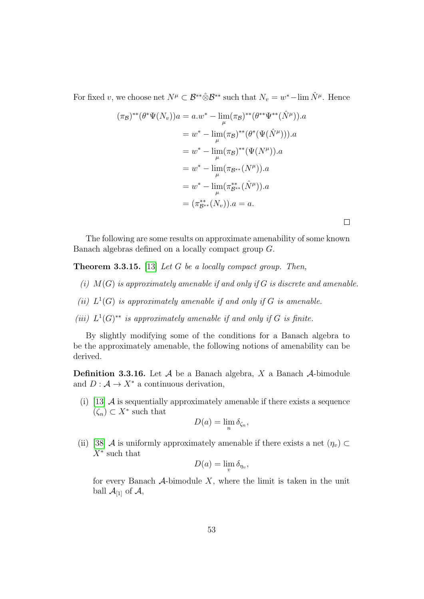For fixed v, we choose net  $N^{\mu} \subset \mathcal{B}^{**} \hat{\otimes} \mathcal{B}^{**}$  such that  $N_v = w^* - \lim \hat{N}^{\mu}$ . Hence

$$
(\pi_{\mathcal{B}})^{**}(\theta^*\Psi(N_v))a = a.w^* - \lim_{\mu} (\pi_{\mathcal{B}})^{**}(\theta^{**}\Psi^{**}(\hat{N}^{\mu})).a
$$
  

$$
= w^* - \lim_{\mu} (\pi_{\mathcal{B}})^{**}(\theta^*(\Psi(\hat{N}^{\mu}))).a
$$
  

$$
= w^* - \lim_{\mu} (\pi_{\mathcal{B}})^{**}(\Psi(N^{\mu})).a
$$
  

$$
= w^* - \lim_{\mu} (\pi_{\mathcal{B}^{**}}(N^{\mu})).a
$$
  

$$
= w^* - \lim_{\mu} (\pi_{\mathcal{B}^{**}}^*(\hat{N}^{\mu})).a
$$
  

$$
= (\pi_{\mathcal{B}^{**}}^{**}(N_v)).a = a.
$$

The following are some results on approximate amenability of some known Banach algebras defined on a locally compact group G.

**Theorem 3.3.15.** [\[13\]](#page-96-3) Let G be a locally compact group. Then,

- (i)  $M(G)$  is approximately amenable if and only if G is discrete and amenable.
- (ii)  $L^1(G)$  is approximately amenable if and only if G is amenable.
- (iii)  $L^1(G)^{**}$  is approximately amenable if and only if G is finite.

By slightly modifying some of the conditions for a Banach algebra to be the approximately amenable, the following notions of amenability can be derived.

**Definition 3.3.16.** Let  $A$  be a Banach algebra,  $X$  a Banach  $A$ -bimodule and  $D: \mathcal{A} \to X^*$  a continuous derivation,

(i)  $\left[13\right]$  A is sequentially approximately amenable if there exists a sequence  $(\zeta_n) \subset X^*$  such that

$$
D(a) = \lim_{n} \delta_{\zeta_n},
$$

(ii) [\[38\]](#page-98-3) A is uniformly approximately amenable if there exists a net  $(\eta_v)$  $X^*$  such that

$$
D(a) = \lim_{v} \delta_{\eta_v},
$$

for every Banach  $A$ -bimodule  $X$ , where the limit is taken in the unit ball  $\mathcal{A}_{[1]}$  of  $\mathcal{A},$ 

 $\Box$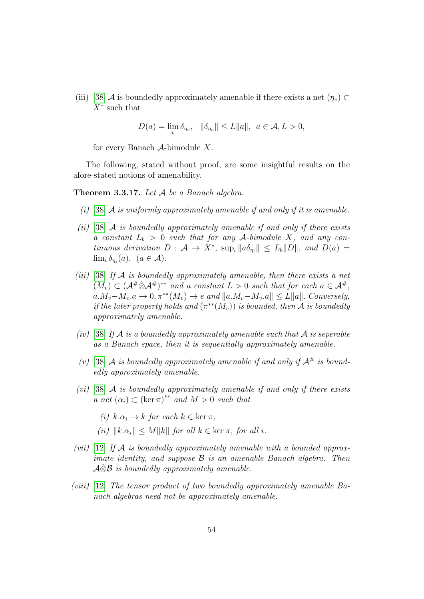(iii) [\[38\]](#page-98-3) A is boundedly approximately amenable if there exists a net  $(\eta_v)$  $X^*$  such that

$$
D(a) = \lim_{v} \delta_{\eta_v}, \quad \|\delta_{\eta_v}\| \le L\|a\|, \ \ a \in \mathcal{A}, L > 0,
$$

for every Banach A-bimodule X.

The following, stated without proof, are some insightful results on the afore-stated notions of amenability.

**Theorem 3.3.17.** Let  $A$  be a Banach algebra.

- (i) [\[38\]](#page-98-3)  $\mathcal A$  is uniformly approximately amenable if and only if it is amenable.
- (ii) [\[38\]](#page-98-3)  $\mathcal A$  is boundedly approximately amenable if and only if there exists a constant  $L_b > 0$  such that for any A-bimodule X, and any continuous derivation  $D: \mathcal{A} \to X^*$ ,  $\sup_i ||a\delta_{\eta_i}|| \le L_b ||D||$ , and  $D(a) =$  $\lim_i \delta_{\eta_i}(a)$ ,  $(a \in \mathcal{A})$ .
- (iii) [\[38\]](#page-98-3) If  $A$  is boundedly approximately amenable, then there exists a net  $(M_v) \subset (A^{\#}\hat{\otimes}A^{\#})^{**}$  and a constant  $L > 0$  such that for each  $a \in A^{\#}$ ,  $a.M_v-M_v.a \to 0, \pi^{**}(M_v) \to e \text{ and } ||a.M_v-M_v.a|| \leq L||a||.$  Conversely, if the later property holds and  $(\pi^{**}(M_v))$  is bounded, then A is boundedly approximately amenable.
- (iv) [\[38\]](#page-98-3) If  $\mathcal A$  is a boundedly approximately amenable such that  $\mathcal A$  is seperable as a Banach space, then it is sequentially approximately amenable.
- (v) [\[38\]](#page-98-3) A is boundedly approximately amenable if and only if  $A^{\#}$  is boundedly approximately amenable.
- (vi) [\[38\]](#page-98-3)  $\mathcal A$  is boundedly approximately amenable if and only if there exists a net  $(\alpha_i) \subset (\ker \pi)^{**}$  and  $M > 0$  such that
	- (i)  $k.\alpha_i \rightarrow k$  for each  $k \in \ker \pi$ ,
	- (ii)  $\|k.\alpha_i\| \leq M \|k\|$  for all  $k \in \text{ker } \pi$ , for all i.
- (vii)  $[12]$  If A is boundedly approximately amenable with a bounded approximate identity, and suppose  $\beta$  is an amenable Banach algebra. Then  $\mathcal{A}\hat{\otimes}\mathcal{B}$  is boundedly approximately amenable.
- (viii) [\[12\]](#page-96-4) The tensor product of two boundedly approximately amenable Banach algebras need not be approximately amenable.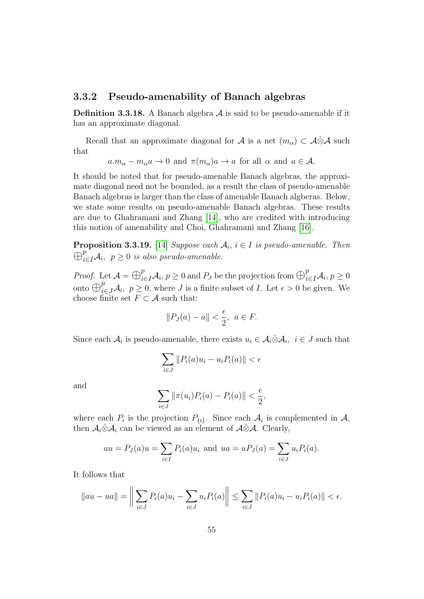#### 3.3.2 Pseudo-amenability of Banach algebras

**Definition 3.3.18.** A Banach algebra  $A$  is said to be pseudo-amenable if it has an approximate diagonal.

Recall that an approximate diagonal for A is a net  $(m_\alpha) \subset \mathcal{A} \hat{\otimes} \mathcal{A}$  such that

$$
a.m_{\alpha}-m_{\alpha}a \to 0
$$
 and  $\pi(m_{\alpha})a \to a$  for all  $\alpha$  and  $a \in \mathcal{A}$ .

It should be noted that for pseudo-amenable Banach algebras, the approximate diagonal need not be bounded, as a result the class of pseudo-amenable Banach algebras is larger than the class of amenable Banach algberas. Below, we state some results on pseudo-amenable Banach algebras. These results are due to Ghahramani and Zhang [\[14\]](#page-97-4), who are credited with introducing this notion of amenability and Choi, Ghahramani and Zhang [\[16\]](#page-97-5).

**Proposition 3.3.19.** [\[14\]](#page-97-4) Suppose each  $A_i$ ,  $i \in I$  is pseudo-amenable. Then  $\bigoplus_{i\in I}^{p} A_i$ ,  $p \geq 0$  is also pseudo-amenable.

*Proof.* Let  $\mathcal{A} = \bigoplus_{i=1}^p \mathcal{A}_i$ ,  $p \geq 0$  and  $P_J$  be the projection from  $\bigoplus_{i=1}^p \mathcal{A}_i$ ,  $p \geq 0$ onto  $\bigoplus_{i\in J}^p\mathcal{A}_i$ ,  $p\geq 0$ , where *J* is a finite subset of *I*. Let  $\epsilon > 0$  be given. We choose finite set  $F\subset \mathcal{A}$  such that:

$$
||P_J(a) - a|| < \frac{\epsilon}{2}, \ a \in F.
$$

Since each  $A_i$  is pseudo-amenable, there exists  $u_i \in \mathcal{A}_i \hat{\otimes} \mathcal{A}_i$ ,  $i \in J$  such that

$$
\sum_{i \in J} ||P_i(a)u_i - u_i P_i(a)|| < \epsilon
$$

and

$$
\sum_{i\in J} \|\pi(u_i)P_i(a) - P_i(a)\| < \frac{\epsilon}{2},
$$

where each  $P_i$  is the projection  $P_{\{i\}}$ . Since each  $\mathcal{A}_i$  is complemented in  $\mathcal{A}_i$ , then  $\mathcal{A}_i \hat{\otimes} \mathcal{A}_i$  can be viewed as an element of  $\mathcal{A} \hat{\otimes} \mathcal{A}_i$ . Clearly,

$$
au = P_J(a)u = \sum_{i \in I} P_i(a)u_i
$$
 and  $ua = uP_J(a) = \sum_{i \in J} u_iP_i(a)$ .

It follows that

$$
||au - ua|| = \left\| \sum_{i \in J} P_i(a)u_i - \sum_{i \in J} u_i P_i(a) \right\| \le \sum_{i \in J} ||P_i(a)u_i - u_i P_i(a)|| < \epsilon.
$$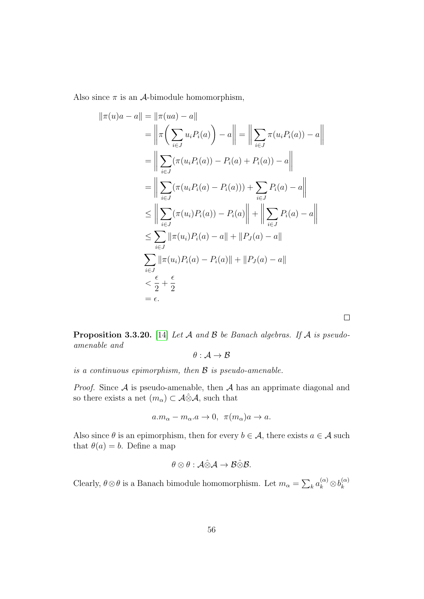Also since  $\pi$  is an A-bimodule homomorphism,

$$
\|\pi(u)a - a\| = \|\pi(ua) - a\| \n= \left\|\pi\left(\sum_{i \in J} u_i P_i(a)\right) - a\right\| = \left\|\sum_{i \in J} \pi(u_i P_i(a)) - a\right\| \n= \left\|\sum_{i \in J} (\pi(u_i P_i(a)) - P_i(a) + P_i(a)) - a\right\| \n= \left\|\sum_{i \in J} (\pi(u_i P_i(a) - P_i(a))) + \sum_{i \in J} P_i(a) - a\right\| \n\leq \left\|\sum_{i \in J} (\pi(u_i) P_i(a)) - P_i(a)\right\| + \left\|\sum_{i \in J} P_i(a) - a\right\| \n\leq \sum_{i \in J} \|\pi(u_i) P_i(a) - a\| + \|P_J(a) - a\| \n\sum_{i \in J} \|\pi(u_i) P_i(a) - P_i(a)\| + \|P_J(a) - a\| \n< \frac{\epsilon}{2} + \frac{\epsilon}{2} \n= \epsilon.
$$

**Proposition 3.3.20.** [\[14\]](#page-97-4) Let  $A$  and  $B$  be Banach algebras. If  $A$  is pseudoamenable and

 $\Box$ 

$$
\theta: \mathcal{A} \rightarrow \mathcal{B}
$$

is a continuous epimorphism, then  $\mathcal B$  is pseudo-amenable.

*Proof.* Since  $A$  is pseudo-amenable, then  $A$  has an apprimate diagonal and so there exists a net  $(m_\alpha) \subset \mathcal{A} \hat{\otimes} \mathcal{A}$ , such that

$$
a.m_{\alpha}-m_{\alpha}.a \to 0, \ \pi(m_{\alpha})a \to a.
$$

Also since  $\theta$  is an epimorphism, then for every  $b \in \mathcal{A}$ , there exists  $a \in \mathcal{A}$  such that  $\theta(a) = b$ . Define a map

$$
\theta \otimes \theta: \mathcal{A} \hat{\otimes} \mathcal{A} \to \mathcal{B} \hat{\otimes} \mathcal{B}.
$$

Clearly,  $\theta \otimes \theta$  is a Banach bimodule homomorphism. Let  $m_{\alpha} = \sum_{k} a_k^{(\alpha)} \otimes b_k^{(\alpha)}$ k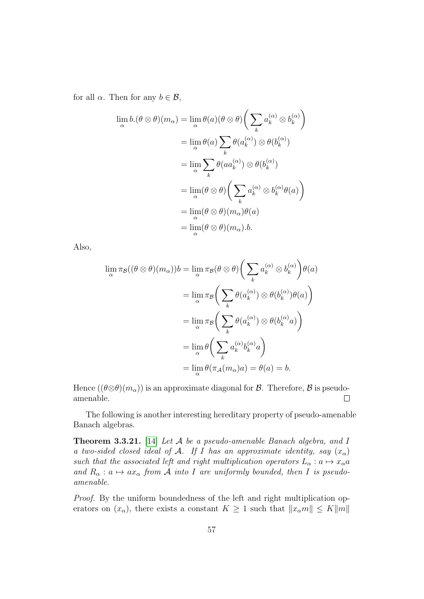for all  $\alpha$ . Then for any  $b \in \mathcal{B}$ ,

$$
\lim_{\alpha} b.(\theta \otimes \theta)(m_{\alpha}) = \lim_{\alpha} \theta(a)(\theta \otimes \theta) \left( \sum_{k} a_{k}^{(\alpha)} \otimes b_{k}^{(\alpha)} \right)
$$

$$
= \lim_{\alpha} \theta(a) \sum_{k} \theta(a_{k}^{(\alpha)}) \otimes \theta(b_{k}^{(\alpha)})
$$

$$
= \lim_{\alpha} \sum_{k} \theta(a a_{k}^{(\alpha)}) \otimes \theta(b_{k}^{(\alpha)})
$$

$$
= \lim_{\alpha} (\theta \otimes \theta) \left( \sum_{k} a_{k}^{(\alpha)} \otimes b_{k}^{(\alpha)} \theta(a) \right)
$$

$$
= \lim_{\alpha} (\theta \otimes \theta)(m_{\alpha})\theta(a)
$$

$$
= \lim_{\alpha} (\theta \otimes \theta)(m_{\alpha}).b.
$$

Also,

$$
\lim_{\alpha} \pi_{\mathcal{B}}((\theta \otimes \theta)(m_{\alpha}))b = \lim_{\alpha} \pi_{\mathcal{B}}(\theta \otimes \theta) \bigg(\sum_{k} a_k^{(\alpha)} \otimes b_k^{(\alpha)}\bigg)\theta(a)
$$

$$
= \lim_{\alpha} \pi_{\mathcal{B}}\bigg(\sum_{k} \theta(a_k^{(\alpha)}) \otimes \theta(b_k^{(\alpha)})\theta(a)\bigg)
$$

$$
= \lim_{\alpha} \pi_{\mathcal{B}}\bigg(\sum_{k} \theta(a_k^{(\alpha)}) \otimes \theta(b_k^{(\alpha)}a)\bigg)
$$

$$
= \lim_{\alpha} \theta\bigg(\sum_{k} a_k^{(\alpha)}b_k^{(\alpha)}a\bigg)
$$

$$
= \lim_{\alpha} \theta(\pi_{\mathcal{A}}(m_{\alpha})a) = \theta(a) = b.
$$

Hence  $((\theta \otimes \theta)(m_{\alpha}))$  is an approximate diagonal for  $\beta$ . Therefore,  $\beta$  is pseudoamenable.  $\Box$ 

The following is another interesting hereditary property of pseudo-amenable Banach algebras.

Theorem 3.3.21. [\[14\]](#page-97-4) Let A be a pseudo-amenable Banach algebra, and I a two-sided closed ideal of A. If I has an approximate identity, say  $(x_{\alpha})$ such that the associated left and right multiplication operators  $L_{\alpha}: \alpha \mapsto x_{\alpha}a$ and  $R_{\alpha}: a \mapsto ax_{\alpha}$  from A into I are uniformly bounded, then I is pseudoamenable.

Proof. By the uniform boundedness of the left and right multiplication operators on  $(x_{\alpha})$ , there exists a constant  $K \geq 1$  such that  $||x_{\alpha}m|| \leq K||m||$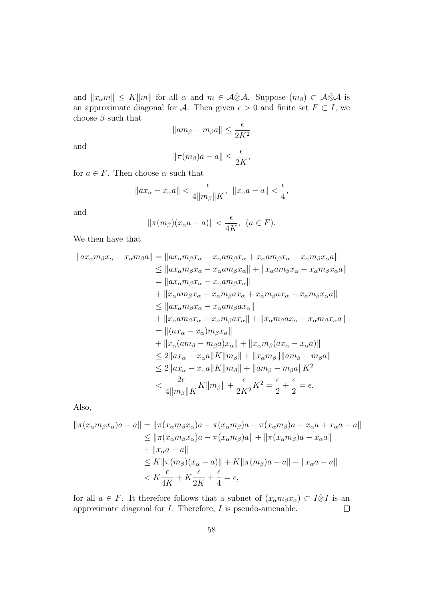and  $||x_{\alpha}m|| \le K||m||$  for all  $\alpha$  and  $m \in \mathcal{A}\hat{\otimes}\mathcal{A}$ . Suppose  $(m_{\beta}) \subset \mathcal{A}\hat{\otimes}\mathcal{A}$  is an approximate diagonal for A. Then given  $\epsilon > 0$  and finite set  $F \subset I$ , we choose  $\beta$  such that

$$
\|am_\beta - m_\beta a\| \leq \frac{\epsilon}{2K^2}
$$

and

$$
\|\pi(m_{\beta})a - a\| \le \frac{\epsilon}{2K},
$$

for  $a \in F$ . Then choose  $\alpha$  such that

$$
||ax_{\alpha}-x_{\alpha}a|| < \frac{\epsilon}{4||m_{\beta}||K}, \ \ ||x_{\alpha}a-a|| < \frac{\epsilon}{4},
$$

and

$$
\|\pi(m_{\beta})(x_{\alpha}a-a)\| < \frac{\epsilon}{4K}, \ (a \in F).
$$

We then have that

$$
||ax_{\alpha}m_{\beta}x_{\alpha} - x_{\alpha}m_{\beta}a|| = ||ax_{\alpha}m_{\beta}x_{\alpha} - x_{\alpha}am_{\beta}x_{\alpha} + x_{\alpha}am_{\beta}x_{\alpha} - x_{\alpha}m_{\beta}x_{\alpha}a||
$$
  
\n
$$
\leq ||ax_{\alpha}m_{\beta}x_{\alpha} - x_{\alpha}am_{\beta}x_{\alpha}|| + ||x_{\alpha}am_{\beta}x_{\alpha} - x_{\alpha}m_{\beta}x_{\alpha}a||
$$
  
\n
$$
= ||ax_{\alpha}m_{\beta}x_{\alpha} - x_{\alpha}am_{\beta}ax_{\alpha}||
$$
  
\n
$$
+ ||x_{\alpha}am_{\beta}x_{\alpha} - x_{\alpha}m_{\beta}ax_{\alpha} + x_{\alpha}m_{\beta}ax_{\alpha} - x_{\alpha}m_{\beta}x_{\alpha}a||
$$
  
\n
$$
\leq ||ax_{\alpha}m_{\beta}x_{\alpha} - x_{\alpha}m_{\beta}ax_{\alpha}|| + ||x_{\alpha}m_{\beta}ax_{\alpha} - x_{\alpha}m_{\beta}x_{\alpha}a||
$$
  
\n
$$
= ||(ax_{\alpha} - x_{\alpha})m_{\beta}x_{\alpha}|| + ||x_{\alpha}m_{\beta}(ax_{\alpha} - x_{\alpha}a)||
$$
  
\n
$$
+ ||x_{\alpha}(am_{\beta} - m_{\beta}a)x_{\alpha}|| + ||x_{\alpha}m_{\beta}(ax_{\alpha} - x_{\alpha}a)||
$$
  
\n
$$
\leq 2||ax_{\alpha} - x_{\alpha}a||K||m_{\beta}|| + ||x_{\alpha}m_{\beta}||||am_{\beta} - m_{\beta}a||
$$
  
\n
$$
\leq 2||ax_{\alpha} - x_{\alpha}a||K||m_{\beta}|| + ||am_{\beta} - m_{\beta}a||K^2
$$
  
\n
$$
< \frac{2\epsilon}{4||m_{\beta}||K}K||m_{\beta}|| + \frac{\epsilon}{2K^2}K^2 = \frac{\epsilon}{2} + \frac{\epsilon}{2} = \epsilon.
$$

Also,

$$
\|\pi(x_{\alpha}m_{\beta}x_{\alpha})a - a\| = \|\pi(x_{\alpha}m_{\beta}x_{\alpha})a - \pi(x_{\alpha}m_{\beta})a + \pi(x_{\alpha}m_{\beta})a - x_{\alpha}a + x_{\alpha}a - a\|
$$
  
\n
$$
\leq \|\pi(x_{\alpha}m_{\beta}x_{\alpha})a - \pi(x_{\alpha}m_{\beta})a\| + \|\pi(x_{\alpha}m_{\beta})a - x_{\alpha}a\|
$$
  
\n
$$
+ \|x_{\alpha}a - a\|
$$
  
\n
$$
\leq K \|\pi(m_{\beta})(x_{\alpha} - a)\| + K \|\pi(m_{\beta})a - a\| + \|x_{\alpha}a - a\|
$$
  
\n
$$
< K \frac{\epsilon}{4K} + K \frac{\epsilon}{2K} + \frac{\epsilon}{4} = \epsilon,
$$

for all  $a \in F$ . It therefore follows that a subnet of  $(x_{\alpha} m_{\beta} x_{\alpha}) \subset I \hat{\otimes} I$  is an approximate diagonal for  $I$ . Therefore,  $I$  is pseudo-amenable.  $\Box$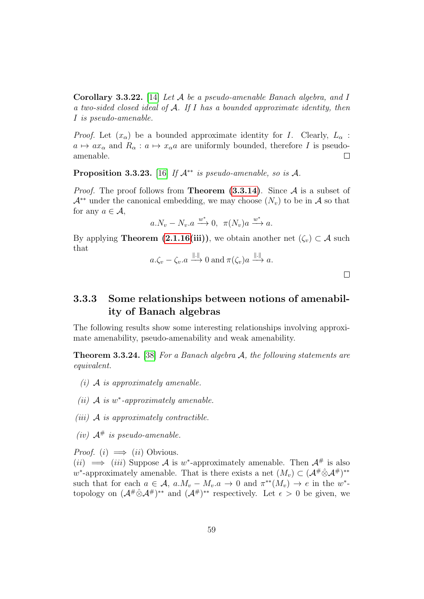**Corollary 3.3.22.** [\[14\]](#page-97-4) Let  $A$  be a pseudo-amenable Banach algebra, and I a two-sided closed ideal of A. If I has a bounded approximate identity, then I is pseudo-amenable.

*Proof.* Let  $(x_{\alpha})$  be a bounded approximate identity for I. Clearly,  $L_{\alpha}$ :  $a \mapsto ax_{\alpha}$  and  $R_{\alpha}: a \mapsto x_{\alpha}a$  are uniformly bounded, therefore I is pseudoamenable.  $\Box$ 

**Proposition 3.3.23.** [\[16\]](#page-97-5) If  $A^{**}$  is pseudo-amenable, so is A.

*Proof.* The proof follows from **Theorem [\(3.3.14\)](#page-59-0)**. Since  $A$  is a subset of  $\mathcal{A}^{**}$  under the canonical embedding, we may choose  $(N_v)$  to be in  $\mathcal{A}$  so that for any  $a \in \mathcal{A}$ ,

$$
a.N_v - N_v.a \xrightarrow{w^*} 0, \ \pi(N_v)a \xrightarrow{w^*} a.
$$

By applying **Theorem [\(2.1.16\(](#page-15-0)iii))**, we obtain another net  $(\zeta_v) \subset A$  such that

$$
a.\zeta_v - \zeta_v.a \xrightarrow{\|.\|} 0
$$
 and  $\pi(\zeta_v)a \xrightarrow{\|.\|} a$ .

 $\Box$ 

## 3.3.3 Some relationships between notions of amenability of Banach algebras

The following results show some interesting relationships involving approximate amenability, pseudo-amenability and weak amenability.

<span id="page-66-0"></span>Theorem 3.3.24. [\[38\]](#page-98-3) For a Banach algebra A, the following statements are equivalent.

- $(i)$  A is approximately amenable.
- $(ii)$  A is w\*-approximately amenable.
- $(iii)$  A is approximately contractible.
- (iv)  $A^{\#}$  is pseudo-amenable.

*Proof.* (*i*)  $\implies$  (*ii*) Obvious.

 $(ii) \implies (iii)$  Suppose A is w<sup>\*</sup>-approximately amenable. Then  $A^{\#}$  is also w<sup>\*</sup>-approximately amenable. That is there exists a net  $(M_v) \subset (\mathcal{A}^{\#}\hat{\otimes} \mathcal{A}^{\#})^{**}$ such that for each  $a \in \mathcal{A}$ ,  $a.M_v - M_v.a \to 0$  and  $\pi^{**}(M_v) \to e$  in the  $w^{*}$ topology on  $(\mathcal{A}^{\#}\hat{\otimes}\mathcal{A}^{\#})^{**}$  and  $(\mathcal{A}^{\#})^{**}$  respectively. Let  $\epsilon > 0$  be given, we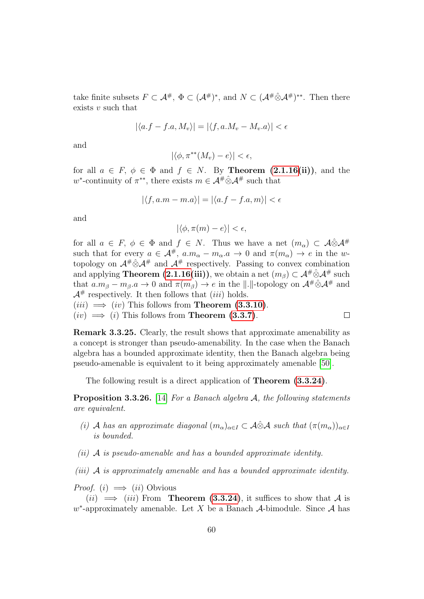take finite subsets  $F \subset \mathcal{A}^{\#}, \ \Phi \subset (\mathcal{A}^{\#})^*$ , and  $N \subset (\mathcal{A}^{\#}\hat{\otimes}\mathcal{A}^{\#})^{**}$ . Then there exists  $v$  such that

$$
|\langle a.f - f.a, M_v \rangle| = |\langle f, a.M_v - M_v.a \rangle| < \epsilon
$$

and

$$
|\langle \phi, \pi^{**}(M_v) - e \rangle| < \epsilon,
$$

for all  $a \in F$ ,  $\phi \in \Phi$  and  $f \in N$ . By **Theorem [\(2.1.16\(](#page-15-0)ii))**, and the w<sup>\*</sup>-continuity of  $\pi^{**}$ , there exists  $m \in \mathcal{A}^{\#}\hat{\otimes} \mathcal{A}^{\#}$  such that

$$
|\langle f, a.m - m.a \rangle| = |\langle a.f - f.a, m \rangle| < \epsilon
$$

and

$$
|\langle \phi, \pi(m) - e \rangle| < \epsilon,
$$

for all  $a \in F$ ,  $\phi \in \Phi$  and  $f \in N$ . Thus we have a net  $(m_\alpha) \subset A\hat{\otimes}A^{\#}$ such that for every  $a \in A^{\#}$ ,  $a.m_{\alpha}-m_{\alpha}.a \to 0$  and  $\pi(m_{\alpha}) \to e$  in the wtopology on  $\mathcal{A}^{\#}\hat{\otimes}\mathcal{A}^{\#}$  and  $\mathcal{A}^{\#}$  respectively. Passing to convex combination and applying **Theorem [\(2.1.16\(](#page-15-0)iii))**, we obtain a net  $(m_\beta) \subset A^{\#}\hat{\otimes}A^{\#}$  such that  $a.m_\beta - m_\beta.a \to 0$  and  $\pi(m_\beta) \to e$  in the  $\|.\|$ -topology on  $\mathcal{A}^{\#}\hat{\otimes} \mathcal{A}^{\#}$  and  $\mathcal{A}^{\#}$  respectively. It then follows that *(iii)* holds.  $(iii) \implies (iv)$  This follows from **Theorem [\(3.3.10\)](#page-58-0)**.  $(iv) \implies (i)$  This follows from **Theorem [\(3.3.7\)](#page-56-0)**.  $\Box$ 

Remark 3.3.25. Clearly, the result shows that approximate amenability as a concept is stronger than pseudo-amenability. In the case when the Banach algebra has a bounded approximate identity, then the Banach algebra being pseudo-amenable is equivalent to it being approximately amenable [\[50\]](#page-99-1).

The following result is a direct application of Theorem [\(3.3.24\)](#page-66-0).

**Proposition 3.3.26.** [\[14\]](#page-97-4) For a Banach algebra  $A$ , the following statements are equivalent.

- (i) A has an approximate diagonal  $(m_\alpha)_{\alpha\in I} \subset \hat{\mathcal{A}} \otimes \mathcal{A}$  such that  $(\pi(m_\alpha))_{\alpha\in I}$ is bounded.
- (ii)  $\mathcal A$  is pseudo-amenable and has a bounded approximate identity.
- (iii) A is approximately amenable and has a bounded approximate identity.
- *Proof.* (*i*)  $\implies$  (*ii*) Obvious

 $(ii) \implies (iii)$  From Theorem [\(3.3.24\)](#page-66-0), it suffices to show that A is  $w^*$ -approximately amenable. Let X be a Banach A-bimodule. Since A has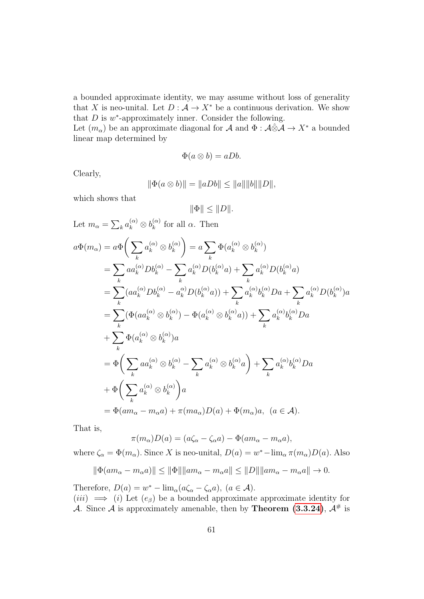a bounded approximate identity, we may assume without loss of generality that X is neo-unital. Let  $D: \mathcal{A} \to X^*$  be a continuous derivation. We show that  $D$  is  $w^*$ -approximately inner. Consider the following.

Let  $(m_\alpha)$  be an approximate diagonal for A and  $\Phi : \mathcal{A} \hat{\otimes} \mathcal{A} \to X^*$  a bounded linear map determined by

$$
\Phi(a\otimes b)=aDb.
$$

Clearly,

$$
\|\Phi(a\otimes b)\| = \|aDb\| \le \|a\| \|b\| \|D\|,
$$

which shows that

$$
\|\Phi\| \le \|D\|.
$$

Let 
$$
m_{\alpha} = \sum_{k} a_{k}^{(\alpha)} \otimes b_{k}^{(\alpha)}
$$
 for all  $\alpha$ . Then  
\n
$$
a\Phi(m_{\alpha}) = a\Phi\left(\sum_{k} a_{k}^{(\alpha)} \otimes b_{k}^{(\alpha)}\right) = a\sum_{k} \Phi(a_{k}^{(\alpha)} \otimes b_{k}^{(\alpha)})
$$
\n
$$
= \sum_{k} a a_{k}^{(\alpha)} Db_{k}^{(\alpha)} - \sum_{k} a_{k}^{(\alpha)} D(b_{k}^{(\alpha)} a) + \sum_{k} a_{k}^{(\alpha)} D(b_{k}^{(\alpha)} a)
$$
\n
$$
= \sum_{k} (a a_{k}^{(\alpha)} Db_{k}^{(\alpha)} - a_{k}^{\alpha} D(b_{k}^{(\alpha)} a)) + \sum_{k} a_{k}^{(\alpha)} b_{k}^{(\alpha)} Da + \sum_{k} a_{k}^{(\alpha)} D(b_{k}^{(\alpha)}) a
$$
\n
$$
= \sum_{k} (\Phi(a a_{k}^{(\alpha)} \otimes b_{k}^{(\alpha)}) - \Phi(a_{k}^{(\alpha)} \otimes b_{k}^{(\alpha)} a)) + \sum_{k} a_{k}^{(\alpha)} b_{k}^{(\alpha)} Da
$$
\n
$$
+ \sum_{k} \Phi(a_{k}^{(\alpha)} \otimes b_{k}^{(\alpha)}) a
$$
\n
$$
= \Phi\left(\sum_{k} a a_{k}^{(\alpha)} \otimes b_{k}^{(\alpha)} - \sum_{k} a_{k}^{(\alpha)} \otimes b_{k}^{(\alpha)} a\right) + \sum_{k} a_{k}^{(\alpha)} b_{k}^{(\alpha)} Da
$$
\n
$$
+ \Phi\left(\sum_{k} a_{k}^{(\alpha)} \otimes b_{k}^{(\alpha)}\right) a
$$
\n
$$
= \Phi(a m_{\alpha} - m_{\alpha} a) + \pi(m a_{\alpha}) D(a) + \Phi(m_{\alpha}) a, \ (a \in \mathcal{A}).
$$

That is,

$$
\pi(m_{\alpha})D(a) = (a\zeta_{\alpha} - \zeta_{\alpha}a) - \Phi(am_{\alpha} - m_{\alpha}a),
$$

where  $\zeta_{\alpha} = \Phi(m_{\alpha})$ . Since X is neo-unital,  $D(a) = w^* - \lim_{\alpha} \pi(m_{\alpha})D(a)$ . Also

$$
\|\Phi(am_\alpha - m_\alpha a)\| \le \|\Phi\| \|am_\alpha - m_\alpha a\| \le \|D\| \|am_\alpha - m_\alpha a\| \to 0.
$$

Therefore,  $D(a) = w^* - \lim_{\alpha} (a\zeta_{\alpha} - \zeta_{\alpha}a), (a \in \mathcal{A}).$ (*iii*)  $\implies$  (*i*) Let (*e<sub>β</sub>*) be a bounded approximate approximate identity for A. Since A is approximately amenable, then by **Theorem [\(3.3.24\)](#page-66-0)**,  $A^{\#}$  is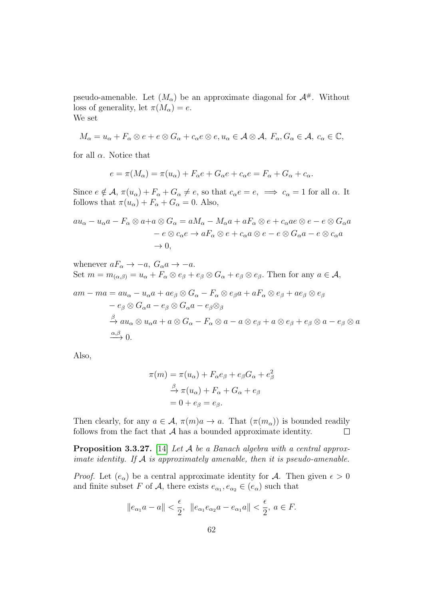pseudo-amenable. Let  $(M_{\alpha})$  be an approximate diagonal for  $\mathcal{A}^{\#}$ . Without loss of generality, let  $\pi(M_{\alpha}) = e$ . We set

$$
M_{\alpha}=u_{\alpha}+F_{\alpha}\otimes e+e\otimes G_{\alpha}+c_{\alpha}e\otimes e, u_{\alpha}\in \mathcal{A}\otimes \mathcal{A}, F_{\alpha}, G_{\alpha}\in \mathcal{A}, c_{\alpha}\in \mathbb{C},
$$

for all  $\alpha$ . Notice that

$$
e = \pi(M_{\alpha}) = \pi(u_{\alpha}) + F_{\alpha}e + G_{\alpha}e + c_{\alpha}e = F_{\alpha} + G_{\alpha} + c_{\alpha}.
$$

Since  $e \notin \mathcal{A}$ ,  $\pi(u_{\alpha}) + F_{\alpha} + G_{\alpha} \neq e$ , so that  $c_{\alpha}e = e$ ,  $\implies c_{\alpha} = 1$  for all  $\alpha$ . It follows that  $\pi(u_{\alpha}) + F_{\alpha} + G_{\alpha} = 0$ . Also,

$$
au_{\alpha} - u_{\alpha}a - F_{\alpha} \otimes a + a \otimes G_{\alpha} = aM_{\alpha} - M_{\alpha}a + aF_{\alpha} \otimes e + c_{\alpha}ae \otimes e - e \otimes G_{\alpha}a
$$

$$
- e \otimes c_{\alpha}e \to aF_{\alpha} \otimes e + c_{\alpha}a \otimes e - e \otimes G_{\alpha}a - e \otimes c_{\alpha}a
$$

$$
\to 0,
$$

whenever  $aF_{\alpha} \rightarrow -a$ ,  $G_{\alpha}a \rightarrow -a$ . Set  $m = m_{(\alpha,\beta)} = u_\alpha + F_\alpha \otimes e_\beta + e_\beta \otimes G_\alpha + e_\beta \otimes e_\beta$ . Then for any  $a \in \mathcal{A}$ ,

$$
am - ma = au_{\alpha} - u_{\alpha}a + ae_{\beta} \otimes G_{\alpha} - F_{\alpha} \otimes e_{\beta}a + aF_{\alpha} \otimes e_{\beta} + ae_{\beta} \otimes e_{\beta}
$$
  

$$
- e_{\beta} \otimes G_{\alpha}a - e_{\beta} \otimes G_{\alpha}a - e_{\beta} \otimes_{\beta}
$$
  

$$
\xrightarrow{\beta} au_{\alpha} \otimes u_{\alpha}a + a \otimes G_{\alpha} - F_{\alpha} \otimes a - a \otimes e_{\beta} + a \otimes e_{\beta} + e_{\beta} \otimes a - e_{\beta} \otimes a
$$
  

$$
\xrightarrow{\alpha, \beta} 0.
$$

Also,

$$
\pi(m) = \pi(u_{\alpha}) + F_{\alpha}e_{\beta} + e_{\beta}G_{\alpha} + e_{\beta}^{2}
$$

$$
\xrightarrow{\beta} \pi(u_{\alpha}) + F_{\alpha} + G_{\alpha} + e_{\beta}
$$

$$
= 0 + e_{\beta} = e_{\beta}.
$$

Then clearly, for any  $a \in \mathcal{A}$ ,  $\pi(m)a \to a$ . That  $(\pi(m_{\alpha}))$  is bounded readily follows from the fact that  $A$  has a bounded approximate identity.  $\Box$ 

**Proposition 3.3.27.** [\[14\]](#page-97-4) Let A be a Banach algebra with a central approximate identity. If  $A$  is approximately amenable, then it is pseudo-amenable.

*Proof.* Let  $(e_{\alpha})$  be a central approximate identity for A. Then given  $\epsilon > 0$ and finite subset F of A, there exists  $e_{\alpha_1}, e_{\alpha_2} \in (e_{\alpha})$  such that

$$
||e_{\alpha_1}a - a|| < \frac{\epsilon}{2}, \ ||e_{\alpha_1}e_{\alpha_2}a - e_{\alpha_1}a|| < \frac{\epsilon}{2}, \ a \in F.
$$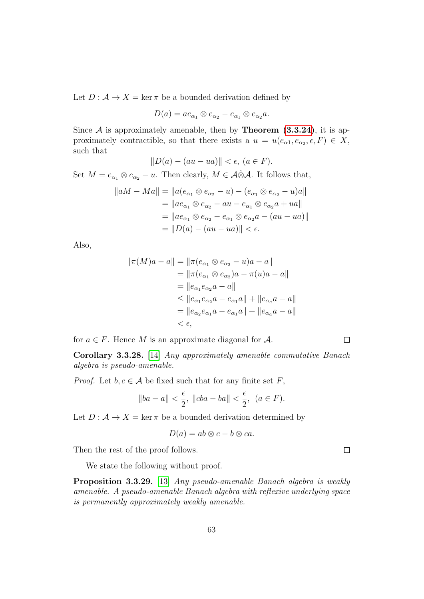Let  $D: \mathcal{A} \to X = \ker \pi$  be a bounded derivation defined by

$$
D(a) = ae_{\alpha_1} \otimes e_{\alpha_2} - e_{\alpha_1} \otimes e_{\alpha_2} a.
$$

Since  $A$  is approximately amenable, then by **Theorem [\(3.3.24\)](#page-66-0)**, it is approximately contractible, so that there exists a  $u = u(e_{\alpha 1}, e_{\alpha_2}, \epsilon, F) \in X$ , such that

$$
||D(a) - (au - ua)|| < \epsilon, \ (a \in F).
$$

Set  $M = e_{\alpha_1} \otimes e_{\alpha_2} - u$ . Then clearly,  $M \in \mathcal{A} \hat{\otimes} \mathcal{A}$ . It follows that,

$$
||aM - Ma|| = ||a(e_{\alpha_1} \otimes e_{\alpha_2} - u) - (e_{\alpha_1} \otimes e_{\alpha_2} - u)a||
$$
  
=  $||ae_{\alpha_1} \otimes e_{\alpha_2} - au - e_{\alpha_1} \otimes e_{\alpha_2}a + ua||$   
=  $||ae_{\alpha_1} \otimes e_{\alpha_2} - e_{\alpha_1} \otimes e_{\alpha_2}a - (au - ua)||$   
=  $||D(a) - (au - ua)|| < \epsilon$ .

Also,

$$
\|\pi(M)a - a\| = \|\pi(e_{\alpha_1} \otimes e_{\alpha_2} - u)a - a\|
$$
  
\n
$$
= \|\pi(e_{\alpha_1} \otimes e_{\alpha_2})a - \pi(u)a - a\|
$$
  
\n
$$
= \|e_{\alpha_1}e_{\alpha_2}a - a\|
$$
  
\n
$$
\leq \|e_{\alpha_1}e_{\alpha_2}a - e_{\alpha_1}a\| + \|e_{\alpha_a}a - a\|
$$
  
\n
$$
= \|e_{\alpha_2}e_{\alpha_1}a - e_{\alpha_1}a\| + \|e_{\alpha_a}a - a\|
$$
  
\n
$$
< \epsilon,
$$

for  $a \in F$ . Hence M is an approximate diagonal for A.

Corollary 3.3.28. [\[14\]](#page-97-4) Any approximately amenable commutative Banach algebra is pseudo-amenable.

*Proof.* Let  $b, c \in \mathcal{A}$  be fixed such that for any finite set F,

$$
||ba - a|| < \frac{\epsilon}{2}, \ ||cba - ba|| < \frac{\epsilon}{2}, \ (a \in F).
$$

Let  $D : \mathcal{A} \to X = \ker \pi$  be a bounded derivation determined by

$$
D(a) = ab \otimes c - b \otimes ca.
$$

Then the rest of the proof follows.

We state the following without proof.

Proposition 3.3.29. [\[13\]](#page-96-3) Any pseudo-amenable Banach algebra is weakly amenable. A pseudo-amenable Banach algebra with reflexive underlying space is permanently approximately weakly amenable.

 $\Box$ 

 $\Box$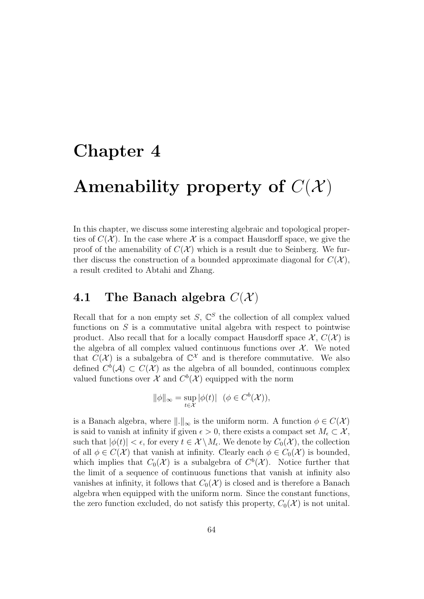# Chapter 4

# Amenability property of  $C(\mathcal{X})$

In this chapter, we discuss some interesting algebraic and topological properties of  $C(\mathcal{X})$ . In the case where X is a compact Hausdorff space, we give the proof of the amenability of  $C(\mathcal{X})$  which is a result due to Seinberg. We further discuss the construction of a bounded approximate diagonal for  $C(\mathcal{X})$ , a result credited to Abtahi and Zhang.

# 4.1 The Banach algebra  $C(\mathcal{X})$

Recall that for a non empty set  $S$ ,  $\mathbb{C}^S$  the collection of all complex valued functions on  $S$  is a commutative unital algebra with respect to pointwise product. Also recall that for a locally compact Hausdorff space  $\mathcal{X}, C(\mathcal{X})$  is the algebra of all complex valued continuous functions over  $\mathcal{X}$ . We noted that  $C(\mathcal{X})$  is a subalgebra of  $\mathbb{C}^{\mathcal{X}}$  and is therefore commutative. We also defined  $C^b(\mathcal{A}) \subset C(\mathcal{X})$  as the algebra of all bounded, continuous complex valued functions over  $\mathcal X$  and  $C^b(\mathcal X)$  equipped with the norm

$$
\|\phi\|_{\infty} = \sup_{t \in \mathcal{X}} |\phi(t)| \quad (\phi \in C^{b}(\mathcal{X})),
$$

is a Banach algebra, where  $\|.\|_{\infty}$  is the uniform norm. A function  $\phi \in C(\mathcal{X})$ is said to vanish at infinity if given  $\epsilon > 0$ , there exists a compact set  $M_{\epsilon} \subset \mathcal{X}$ , such that  $|\phi(t)| < \epsilon$ , for every  $t \in \mathcal{X} \setminus M_{\epsilon}$ . We denote by  $C_0(\mathcal{X})$ , the collection of all  $\phi \in C(\mathcal{X})$  that vanish at infinity. Clearly each  $\phi \in C_0(\mathcal{X})$  is bounded, which implies that  $C_0(\mathcal{X})$  is a subalgebra of  $C^b(\mathcal{X})$ . Notice further that the limit of a sequence of continuous functions that vanish at infinity also vanishes at infinity, it follows that  $C_0(\mathcal{X})$  is closed and is therefore a Banach algebra when equipped with the uniform norm. Since the constant functions, the zero function excluded, do not satisfy this property,  $C_0(\mathcal{X})$  is not unital.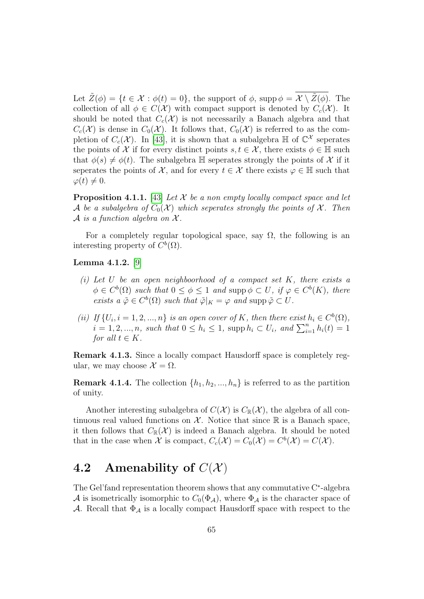Let  $\tilde{Z}(\phi) = \{t \in \mathcal{X} : \phi(t) = 0\}$ , the support of  $\phi$ , supp $\phi = \mathcal{X} \setminus \tilde{Z}(\phi)$ . The collection of all  $\phi \in C(\mathcal{X})$  with compact support is denoted by  $C_c(\mathcal{X})$ . It should be noted that  $C_c(\mathcal{X})$  is not necessarily a Banach algebra and that  $C_c(\mathcal{X})$  is dense in  $C_0(\mathcal{X})$ . It follows that,  $C_0(\mathcal{X})$  is referred to as the completion of  $C_c(\mathcal{X})$ . In [\[43\]](#page-99-0), it is shown that a subalgebra  $\mathbb{H}$  of  $\mathbb{C}^{\mathcal{X}}$  seperates the points of X if for every distinct points  $s, t \in \mathcal{X}$ , there exists  $\phi \in \mathbb{H}$  such that  $\phi(s) \neq \phi(t)$ . The subalgebra H seperates strongly the points of X if it seperates the points of X, and for every  $t \in \mathcal{X}$  there exists  $\varphi \in \mathbb{H}$  such that  $\varphi(t) \neq 0.$ 

**Proposition 4.1.1.** [\[43\]](#page-99-0) Let  $\mathcal X$  be a non empty locally compact space and let A be a subalgebra of  $C_0(\mathcal{X})$  which seperates strongly the points of X. Then A is a function algebra on  $\mathcal{X}$ .

For a completely regular topological space, say  $\Omega$ , the following is an interesting property of  $C^b(\Omega)$ .

<span id="page-72-0"></span>Lemma 4.1.2. [\[9\]](#page-96-0)

- (i) Let U be an open neighboorhood of a compact set  $K$ , there exists a  $\phi \in C^b(\Omega)$  such that  $0 \leq \phi \leq 1$  and supp  $\phi \subset U$ , if  $\varphi \in C^b(K)$ , there exists  $a \tilde{\varphi} \in C^b(\Omega)$  such that  $\tilde{\varphi}|_K = \varphi$  and supp  $\tilde{\varphi} \subset U$ .
- (ii) If  $\{U_i, i = 1, 2, ..., n\}$  is an open cover of K, then there exist  $h_i \in C^b(\Omega)$ ,  $i = 1, 2, ..., n$ , such that  $0 \leq h_i \leq 1$ , supp  $h_i \subset U_i$ , and  $\sum_{i=1}^{n} h_i(t) = 1$ for all  $t \in K$ .

Remark 4.1.3. Since a locally compact Hausdorff space is completely regular, we may choose  $\mathcal{X} = \Omega$ .

**Remark 4.1.4.** The collection  $\{h_1, h_2, ..., h_n\}$  is referred to as the partition of unity.

Another interesting subalgebra of  $C(\mathcal{X})$  is  $C_{\mathbb{R}}(\mathcal{X})$ , the algebra of all continuous real valued functions on  $\mathcal{X}$ . Notice that since  $\mathbb{R}$  is a Banach space, it then follows that  $C_{\mathbb{R}}(\mathcal{X})$  is indeed a Banach algebra. It should be noted that in the case when X is compact,  $C_c(\mathcal{X}) = C_0(\mathcal{X}) = C^b(\mathcal{X}) = C(\mathcal{X})$ .

#### 4.2 Amenability of  $C(\mathcal{X})$

The Gel'fand representation theorem shows that any commutative C<sup>\*</sup>-algebra A is isometrically isomorphic to  $C_0(\Phi_{\mathcal{A}})$ , where  $\Phi_{\mathcal{A}}$  is the character space of A. Recall that  $\Phi_{\mathcal{A}}$  is a locally compact Hausdorff space with respect to the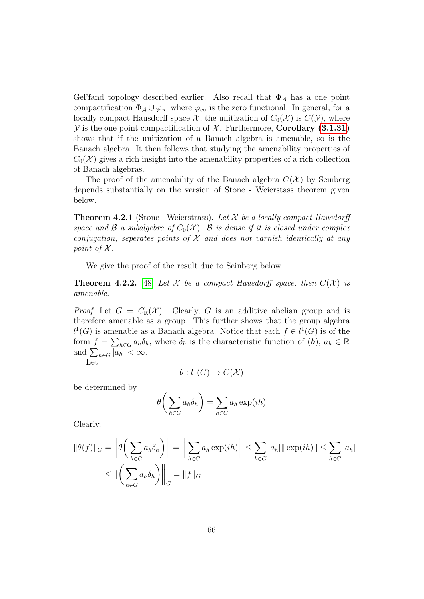Gel'fand topology described earlier. Also recall that  $\Phi_{\mathcal{A}}$  has a one point compactification  $\Phi_{\mathcal{A}} \cup \varphi_{\infty}$  where  $\varphi_{\infty}$  is the zero functional. In general, for a locally compact Hausdorff space  $\mathcal{X}$ , the unitization of  $C_0(\mathcal{X})$  is  $C(\mathcal{Y})$ , where  $\mathcal Y$  is the one point compactification of  $\mathcal X$ . Furthermore, **Corollary** [\(3.1.31\)](#page-48-0) shows that if the unitization of a Banach algebra is amenable, so is the Banach algebra. It then follows that studying the amenability properties of  $C_0(\mathcal{X})$  gives a rich insight into the amenability properties of a rich collection of Banach algebras.

The proof of the amenability of the Banach algebra  $C(\mathcal{X})$  by Seinberg depends substantially on the version of Stone - Weierstass theorem given below.

<span id="page-73-0"></span>**Theorem 4.2.1** (Stone - Weierstrass). Let X be a locally compact Hausdorff space and  $\mathcal B$  a subalgebra of  $C_0(\mathcal X)$ .  $\mathcal B$  is dense if it is closed under complex conjugation, seperates points of  $X$  and does not varnish identically at any point of  $\mathcal X$ .

We give the proof of the result due to Seinberg below.

**Theorem 4.2.2.** [\[48\]](#page-99-1) Let X be a compact Hausdorff space, then  $C(\mathcal{X})$  is amenable.

*Proof.* Let  $G = C_{\mathbb{R}}(\mathcal{X})$ . Clearly, G is an additive abelian group and is therefore amenable as a group. This further shows that the group algebra  $l^1(G)$  is amenable as a Banach algebra. Notice that each  $f \in l^1(G)$  is of the form  $f = \sum_{h \in G} a_h \delta_h$ , where  $\delta_h$  is the characteristic function of  $(h)$ ,  $a_h \in \mathbb{R}$ and  $\sum_{h \in G} |a_h| < \infty$ .

Let

$$
\theta: l^1(G) \mapsto C(\mathcal{X})
$$

be determined by

$$
\theta\bigg(\sum_{h\in G} a_h \delta_h\bigg) = \sum_{h\in G} a_h \exp(ih)
$$

Clearly,

$$
\|\theta(f)\|_{G} = \left\|\theta\left(\sum_{h\in G} a_h \delta_h\right)\right\| = \left\|\sum_{h\in G} a_h \exp(ih)\right\| \le \sum_{h\in G} |a_h| \|\exp(ih)\| \le \sum_{h\in G} |a_h|
$$
  

$$
\le \left\|\left(\sum_{h\in G} a_h \delta_h\right)\right\|_{G} = \|f\|_{G}
$$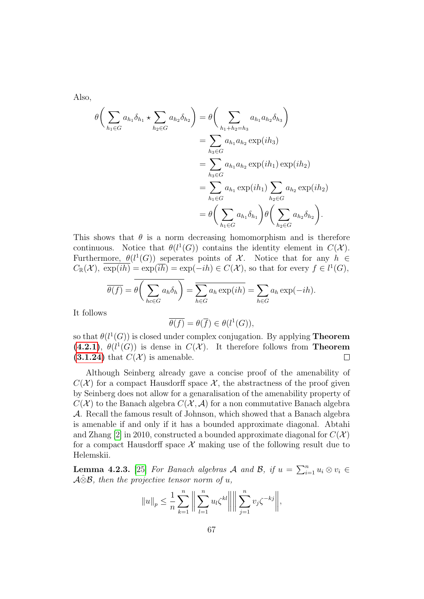Also,

$$
\theta\bigg(\sum_{h_1\in G} a_{h_1}\delta_{h_1} \star \sum_{h_2\in G} a_{h_2}\delta_{h_2}\bigg) = \theta\bigg(\sum_{h_1+h_2=h_3} a_{h_1}a_{h_2}\delta_{h_3}\bigg)
$$
  
\n
$$
= \sum_{h_3\in G} a_{h_1}a_{h_2} \exp(ih_3)
$$
  
\n
$$
= \sum_{h_3\in G} a_{h_1}a_{h_2} \exp(ih_1) \exp(ih_2)
$$
  
\n
$$
= \sum_{h_1\in G} a_{h_1} \exp(ih_1) \sum_{h_2\in G} a_{h_2} \exp(ih_2)
$$
  
\n
$$
= \theta\bigg(\sum_{h_1\in G} a_{h_1}\delta_{h_1}\bigg)\theta\bigg(\sum_{h_2\in G} a_{h_2}\delta_{h_2}\bigg).
$$

This shows that  $\theta$  is a norm decreasing homomorphism and is therefore continuous. Notice that  $\theta(l^1(G))$  contains the identity element in  $C(\mathcal{X})$ . Furthermore,  $\theta(l^1(G))$  seperates points of X. Notice that for any  $h \in$  $C_{\mathbb{R}}(\mathcal{X}), \ \overline{\exp(ih)} = \exp(i\overline{h}) = \exp(-ih) \in C(\mathcal{X}),$  so that for every  $f \in l^1(G),$ 

$$
\overline{\theta(f)} = \theta\bigg(\sum_{h \in G} a_h \delta_h\bigg) = \sum_{h \in G} a_h \exp(ih) = \sum_{h \in G} a_h \exp(-ih).
$$

It follows

$$
\overline{\theta(f)} = \theta(\overline{f}) \in \theta(l^1(G)),
$$

so that  $\theta(l^1(G))$  is closed under complex conjugation. By applying **Theorem**  $(4.2.1), \ \theta(l^1(G))$  $(4.2.1), \ \theta(l^1(G))$  is dense in  $C(\mathcal{X})$ . It therefore follows from Theorem  $(3.1.24)$  that  $C(\mathcal{X})$  is amenable.  $\Box$ 

Although Seinberg already gave a concise proof of the amenability of  $C(\mathcal{X})$  for a compact Hausdorff space  $\mathcal{X}$ , the abstractness of the proof given by Seinberg does not allow for a genaralisation of the amenability property of  $C(\mathcal{X})$  to the Banach algebra  $C(\mathcal{X}, \mathcal{A})$  for a non commutative Banach algebra A. Recall the famous result of Johnson, which showed that a Banach algebra is amenable if and only if it has a bounded approximate diagonal. Abtahi and Zhang [\[2\]](#page-96-1) in 2010, constructed a bounded approximate diagonal for  $C(\mathcal{X})$ for a compact Hausdorff space  $\mathcal X$  making use of the following result due to Helemskii.

<span id="page-74-0"></span>**Lemma 4.2.3.** [\[25\]](#page-97-0) For Banach algebras A and B, if  $u = \sum_{i=1}^{n} u_i \otimes v_i \in$  $\mathcal{A}\hat{\otimes}\mathcal{B}$ , then the projective tensor norm of u,

$$
||u||_p \leq \frac{1}{n} \sum_{k=1}^n ||\sum_{l=1}^n u_l \zeta^{kl}|| \sum_{j=1}^n v_j \zeta^{-kj}||,
$$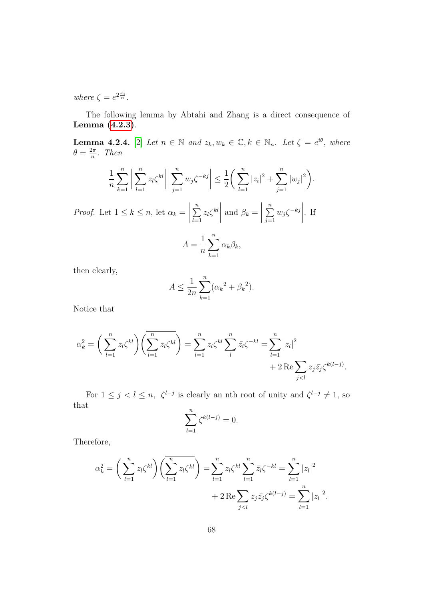where  $\zeta = e^{2\frac{\pi i}{n}}$ .

The following lemma by Abtahi and Zhang is a direct consequence of Lemma [\(4.2.3\)](#page-74-0).

<span id="page-75-0"></span>**Lemma 4.2.4.** [\[2\]](#page-96-1) Let  $n \in \mathbb{N}$  and  $z_k, w_k \in \mathbb{C}, k \in \mathbb{N}_n$ . Let  $\zeta = e^{i\theta}$ , where  $\theta = \frac{2\pi}{n}$  $\frac{2\pi}{n}$ . Then

$$
\frac{1}{n}\sum_{k=1}^{n}\left|\sum_{l=1}^{n}z_{l}\zeta^{kl}\right|\left|\sum_{j=1}^{n}w_{j}\zeta^{-kj}\right|\leq\frac{1}{2}\bigg(\sum_{l=1}^{n}|z_{i}|^{2}+\sum_{j=1}^{n}|w_{j}|^{2}\bigg).
$$

*Proof.* Let  $1 \leq k \leq n$ , let  $\alpha_k =$   $\sum_{n=1}^{\infty}$  $_{l=1}$  $z_l \zeta^{kl}$ and  $\beta_k =$  $\begin{array}{c} \begin{array}{c} \begin{array}{c} \end{array} \\ \begin{array}{c} \end{array} \end{array} \end{array}$  $\sum_{n=1}^{\infty}$  $j=1$  $w_j \zeta^{-kj}$ . If

$$
A = \frac{1}{n} \sum_{k=1}^{n} \alpha_k \beta_k,
$$

then clearly,

$$
A \le \frac{1}{2n} \sum_{k=1}^{n} (\alpha_k^2 + \beta_k^2).
$$

Notice that

$$
\alpha_k^2 = \left(\sum_{l=1}^n z_l \zeta^{kl}\right) \left(\overline{\sum_{l=1}^n z_l \zeta^{kl}}\right) = \sum_{l=1}^n z_l \zeta^{kl} \sum_l^n \bar{z}_l \zeta^{-kl} = \sum_{l=1}^n |z_l|^2 + 2 \operatorname{Re} \sum_{j < l} z_j \bar{z}_j \zeta^{kl-l-j}.
$$

For  $1 \leq j < l \leq n$ ,  $\zeta^{l-j}$  is clearly an nth root of unity and  $\zeta^{l-j} \neq 1$ , so that

$$
\sum_{l=1}^{n} \zeta^{k(l-j)} = 0.
$$

Therefore,

$$
\alpha_k^2 = \left(\sum_{l=1}^n z_l \zeta^{kl}\right) \left(\overline{\sum_{l=1}^n z_l \zeta^{kl}}\right) = \sum_{l=1}^n z_l \zeta^{kl} \sum_{l=1}^n \bar{z}_l \zeta^{-kl} = \sum_{l=1}^n |z_l|^2
$$
  
+ 2 \operatorname{Re} \sum\_{j < l} z\_j \bar{z}\_j \zeta^{k(l-j)} = \sum\_{l=1}^n |z\_l|^2.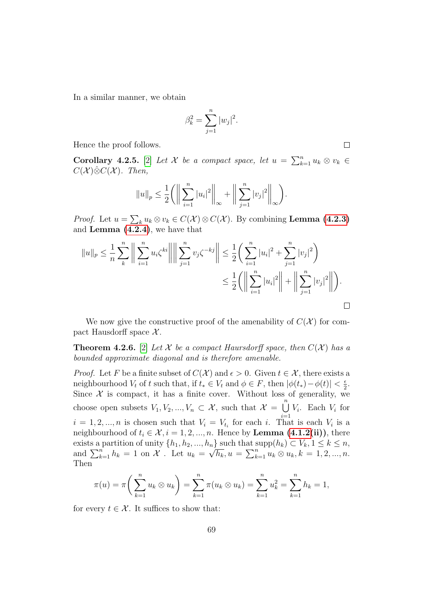In a similar manner, we obtain

$$
\beta_k^2 = \sum_{j=1}^n |w_j|^2.
$$

Hence the proof follows.

<span id="page-76-0"></span>**Corollary 4.2.5.** [\[2\]](#page-96-1) Let X be a compact space, let  $u = \sum_{k=1}^{n} u_k \otimes v_k \in$  $C(\mathcal{X})\hat{\otimes}C(\mathcal{X})$ . Then,

 $\Box$ 

$$
||u||_p \leq \frac{1}{2} \left( \left\| \sum_{i=1}^n |u_i|^2 \right\|_{\infty} + \left\| \sum_{j=1}^n |v_j|^2 \right\|_{\infty} \right).
$$

*Proof.* Let  $u = \sum_k u_k \otimes v_k \in C(\mathcal{X}) \otimes C(\mathcal{X})$ . By combining **Lemma** [\(4.2.3\)](#page-74-0) and Lemma [\(4.2.4\)](#page-75-0), we have that

$$
||u||_p \leq \frac{1}{n} \sum_{k}^{n} \left\| \sum_{i=1}^{n} u_i \zeta^{ki} \right\| \left\| \sum_{j=1}^{n} v_j \zeta^{-kj} \right\| \leq \frac{1}{2} \left( \sum_{i=1}^{n} |u_i|^2 + \sum_{j=1}^{n} |v_j|^2 \right)
$$
  

$$
\leq \frac{1}{2} \left( \left\| \sum_{i=1}^{n} |u_i|^2 \right\| + \left\| \sum_{j=1}^{n} |v_j|^2 \right\| \right).
$$

We now give the constructive proof of the amenability of  $C(\mathcal{X})$  for compact Hausdorff space  $\mathcal{X}$ .

**Theorem 4.2.6.** [\[2\]](#page-96-1) Let X be a compact Haursdorff space, then  $C(\mathcal{X})$  has a bounded approximate diagonal and is therefore amenable.

*Proof.* Let F be a finite subset of  $C(\mathcal{X})$  and  $\epsilon > 0$ . Given  $t \in \mathcal{X}$ , there exists a neighbourhood  $V_t$  of t such that, if  $t_* \in V_t$  and  $\phi \in F$ , then  $|\phi(t_*) - \phi(t)| < \frac{\epsilon}{2}$  $rac{\epsilon}{2}$ . Since  $X$  is compact, it has a finite cover. Without loss of generality, we choose open subsets  $V_1, V_2, ..., V_n \subset \mathcal{X}$ , such that  $\mathcal{X} = \bigcup_{i=1}^n V_i$ . Each  $V_i$  for  $i = 1, 2, ..., n$  is chosen such that  $V_i = V_{t_i}$  for each i. That is each  $V_i$  is a neighbourhood of  $t_i \in \mathcal{X}, i = 1, 2, ..., n$ . Hence by **Lemma [\(4.1.2\(](#page-72-0)ii))**, there exists a partition of unity  $\{h_1, h_2, ..., h_n\}$  such that  $\text{supp}(h_k) \subset V_k, 1 \leq k \leq n$ , and  $\sum_{k=1}^{n} h_k = 1$  on  $\mathcal{X}$ . Let  $u_k =$  $\binom{n}{k}$  $\overline{h_k}, u = \sum_{k=1}^n u_k \otimes u_k, k = 1, 2, ..., n.$ Then

$$
\pi(u) = \pi\bigg(\sum_{k=1}^n u_k \otimes u_k\bigg) = \sum_{k=1}^n \pi(u_k \otimes u_k) = \sum_{k=1}^n u_k^2 = \sum_{k=1}^n h_k = 1,
$$

for every  $t \in \mathcal{X}$ . It suffices to show that: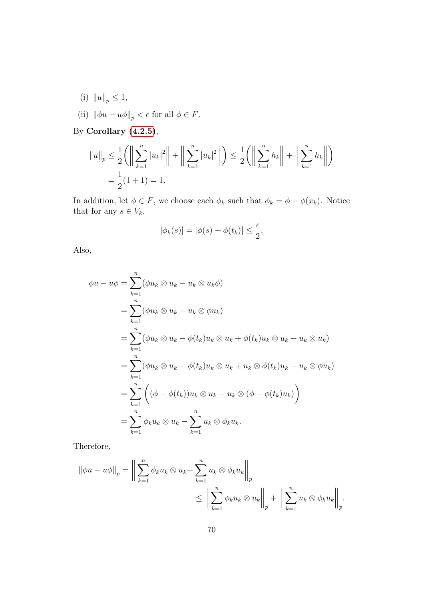- (i)  $||u||_p \leq 1$ ,
- (ii)  $\|\phi u u\phi\|_p < \epsilon$  for all  $\phi \in F$ .

By Corollary [\(4.2.5\)](#page-76-0),

$$
||u||_p \leq \frac{1}{2} (||\sum_{k=1}^n |u_k|^2 || + ||\sum_{k=1}^n |u_k|^2 ||) \leq \frac{1}{2} (||\sum_{k=1}^n h_k || + ||\sum_{k=1}^n h_k ||)
$$
  
=  $\frac{1}{2} (1 + 1) = 1.$ 

In addition, let  $\phi \in F$ , we choose each  $\phi_k$  such that  $\phi_k = \phi - \phi(x_k)$ . Notice that for any  $s \in V_k$ ,

$$
|\phi_k(s)| = |\phi(s) - \phi(t_k)| \le \frac{\epsilon}{2}.
$$

Also,

$$
\phi u - u\phi = \sum_{k=1}^{n} (\phi u_k \otimes u_k - u_k \otimes u_k \phi)
$$
  
= 
$$
\sum_{k=1}^{n} (\phi u_k \otimes u_k - u_k \otimes \phi u_k)
$$
  
= 
$$
\sum_{k=1}^{n} (\phi u_k \otimes u_k - \phi(t_k)u_k \otimes u_k + \phi(t_k)u_k \otimes u_k - u_k \otimes u_k)
$$
  
= 
$$
\sum_{k=1}^{n} (\phi u_k \otimes u_k - \phi(t_k)u_k \otimes u_k + u_k \otimes \phi(t_k)u_k - u_k \otimes \phi u_k)
$$
  
= 
$$
\sum_{k=1}^{n} ((\phi - \phi(t_k))u_k \otimes u_k - u_k \otimes (\phi - \phi(t_k)u_k))
$$
  
= 
$$
\sum_{k=1}^{n} \phi_k u_k \otimes u_k - \sum_{k=1}^{n} u_k \otimes \phi_k u_k.
$$

Therefore,

$$
\|\phi u - u\phi\|_p = \left\|\sum_{k=1}^n \phi_k u_k \otimes u_k - \sum_{k=1}^n u_k \otimes \phi_k u_k\right\|_p
$$
  

$$
\leq \left\|\sum_{k=1}^n \phi_k u_k \otimes u_k\right\|_p + \left\|\sum_{k=1}^n u_k \otimes \phi_k u_k\right\|_p.
$$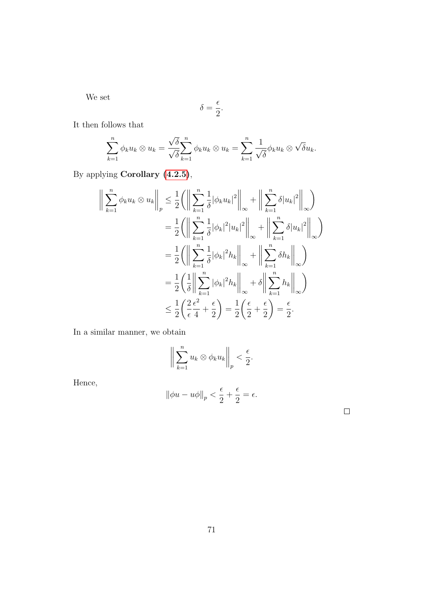We set

$$
\delta = \frac{\epsilon}{2}.
$$

It then follows that

$$
\sum_{k=1}^n \phi_k u_k \otimes u_k = \frac{\sqrt{\delta}}{\sqrt{\delta}} \sum_{k=1}^n \phi_k u_k \otimes u_k = \sum_{k=1}^n \frac{1}{\sqrt{\delta}} \phi_k u_k \otimes \sqrt{\delta} u_k.
$$

By applying Corollary [\(4.2.5\)](#page-76-0),

$$
\left\| \sum_{k=1}^{n} \phi_k u_k \otimes u_k \right\|_p \leq \frac{1}{2} \left( \left\| \sum_{k=1}^{n} \frac{1}{\delta} |\phi_k u_k|^2 \right\|_{\infty} + \left\| \sum_{k=1}^{n} \delta |u_k|^2 \right\|_{\infty} \right)
$$
  
\n
$$
= \frac{1}{2} \left( \left\| \sum_{k=1}^{n} \frac{1}{\delta} |\phi_k|^2 |u_k|^2 \right\|_{\infty} + \left\| \sum_{k=1}^{n} \delta |u_k|^2 \right\|_{\infty} \right)
$$
  
\n
$$
= \frac{1}{2} \left( \left\| \sum_{k=1}^{n} \frac{1}{\delta} |\phi_k|^2 h_k \right\|_{\infty} + \left\| \sum_{k=1}^{n} \delta h_k \right\|_{\infty} \right)
$$
  
\n
$$
= \frac{1}{2} \left( \frac{1}{\delta} \left\| \sum_{k=1}^{n} |\phi_k|^2 h_k \right\|_{\infty} + \delta \left\| \sum_{k=1}^{n} h_k \right\|_{\infty} \right)
$$
  
\n
$$
\leq \frac{1}{2} \left( \frac{2}{\epsilon} \frac{\epsilon^2}{4} + \frac{\epsilon}{2} \right) = \frac{1}{2} \left( \frac{\epsilon}{2} + \frac{\epsilon}{2} \right) = \frac{\epsilon}{2}.
$$

In a similar manner, we obtain

$$
\bigg\|\sum_{k=1}^n u_k \otimes \phi_k u_k\bigg\|_p < \frac{\epsilon}{2}.
$$

Hence,

$$
\|\phi u - u\phi\|_p < \frac{\epsilon}{2} + \frac{\epsilon}{2} = \epsilon.
$$

 $\Box$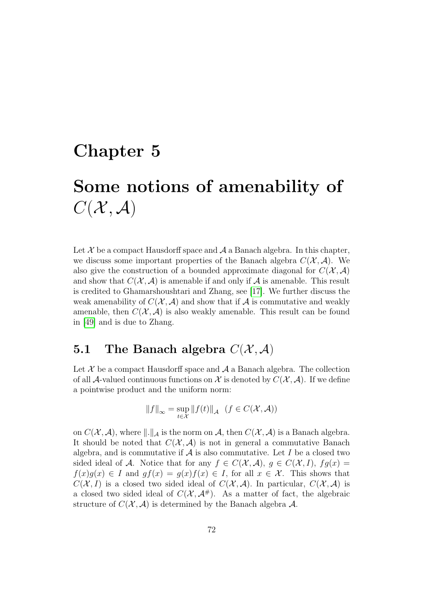## Chapter 5

# Some notions of amenability of  $C(\mathcal{X}, \mathcal{A})$

Let  $\mathcal X$  be a compact Hausdorff space and  $\mathcal A$  a Banach algebra. In this chapter, we discuss some important properties of the Banach algebra  $C(\mathcal{X}, \mathcal{A})$ . We also give the construction of a bounded approximate diagonal for  $C(\mathcal{X}, \mathcal{A})$ and show that  $C(\mathcal{X}, \mathcal{A})$  is amenable if and only if A is amenable. This result is credited to Ghamarshoushtari and Zhang, see [\[17\]](#page-97-1). We further discuss the weak amenability of  $C(\mathcal{X}, \mathcal{A})$  and show that if  $\mathcal{A}$  is commutative and weakly amenable, then  $C(\mathcal{X}, \mathcal{A})$  is also weakly amenable. This result can be found in [\[49\]](#page-99-2) and is due to Zhang.

### 5.1 The Banach algebra  $C(\mathcal{X}, \mathcal{A})$

Let  $\mathcal X$  be a compact Hausdorff space and  $\mathcal A$  a Banach algebra. The collection of all A-valued continuous functions on X is denoted by  $C(\mathcal{X}, \mathcal{A})$ . If we define a pointwise product and the uniform norm:

$$
\left\|f\right\|_{\infty}=\sup_{t\in\mathcal{X}}\left\|f(t)\right\|_{\mathcal{A}}\;\;(f\in C(\mathcal{X},\mathcal{A}))
$$

on  $C(\mathcal{X}, \mathcal{A})$ , where  $\|.\|_{\mathcal{A}}$  is the norm on  $\mathcal{A}$ , then  $C(\mathcal{X}, \mathcal{A})$  is a Banach algebra. It should be noted that  $C(\mathcal{X}, \mathcal{A})$  is not in general a commutative Banach algebra, and is commutative if  $\mathcal A$  is also commutative. Let I be a closed two sided ideal of A. Notice that for any  $f \in C(\mathcal{X}, \mathcal{A}), g \in C(\mathcal{X}, I), fg(x) =$  $f(x)g(x) \in I$  and  $gf(x) = g(x)f(x) \in I$ , for all  $x \in \mathcal{X}$ . This shows that  $C(\mathcal{X}, I)$  is a closed two sided ideal of  $C(\mathcal{X}, \mathcal{A})$ . In particular,  $C(\mathcal{X}, \mathcal{A})$  is a closed two sided ideal of  $C(\mathcal{X}, \mathcal{A}^{\#})$ . As a matter of fact, the algebraic structure of  $C(\mathcal{X}, \mathcal{A})$  is determined by the Banach algebra  $\mathcal{A}$ .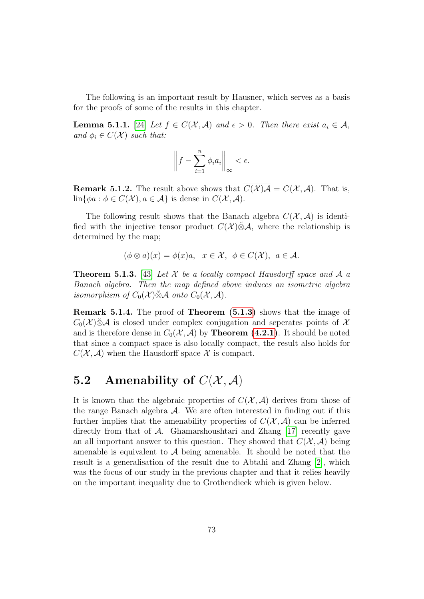The following is an important result by Hausner, which serves as a basis for the proofs of some of the results in this chapter.

<span id="page-80-1"></span>**Lemma 5.1.1.** [\[24\]](#page-97-2) Let  $f \in C(\mathcal{X}, \mathcal{A})$  and  $\epsilon > 0$ . Then there exist  $a_i \in \mathcal{A}$ , and  $\phi_i \in C(\mathcal{X})$  such that:

$$
\left\|f - \sum_{i=1}^n \phi_i a_i\right\|_{\infty} < \epsilon.
$$

**Remark 5.1.2.** The result above shows that  $\overline{C(\mathcal{X})\mathcal{A}} = C(\mathcal{X}, \mathcal{A})$ . That is,  $\lim\{\phi a : \phi \in C(\mathcal{X}), a \in \mathcal{A}\}\$ is dense in  $C(\mathcal{X}, \mathcal{A})$ .

The following result shows that the Banach algebra  $C(\mathcal{X}, \mathcal{A})$  is identified with the injective tensor product  $C(\mathcal{X})\tilde{\otimes}A$ , where the relationship is determined by the map;

$$
(\phi \otimes a)(x) = \phi(x)a, \quad x \in \mathcal{X}, \quad \phi \in C(\mathcal{X}), \quad a \in \mathcal{A}.
$$

<span id="page-80-0"></span>**Theorem 5.1.3.** [\[43\]](#page-99-0) Let  $\mathcal X$  be a locally compact Hausdorff space and  $\mathcal A$  a Banach algebra. Then the map defined above induces an isometric algebra isomorphism of  $C_0(\mathcal{X})\tilde{\otimes}A$  onto  $C_0(\mathcal{X}, A)$ .

Remark 5.1.4. The proof of Theorem [\(5.1.3\)](#page-80-0) shows that the image of  $C_0(\mathcal{X})\tilde{\otimes}\mathcal{A}$  is closed under complex conjugation and seperates points of X and is therefore dense in  $C_0(\mathcal{X}, \mathcal{A})$  by **Theorem [\(4.2.1\)](#page-73-0)**. It should be noted that since a compact space is also locally compact, the result also holds for  $C(\mathcal{X}, \mathcal{A})$  when the Hausdorff space X is compact.

### 5.2 Amenability of  $C(\mathcal{X}, \mathcal{A})$

It is known that the algebraic properties of  $C(\mathcal{X}, \mathcal{A})$  derives from those of the range Banach algebra A. We are often interested in finding out if this further implies that the amenability properties of  $C(\mathcal{X}, \mathcal{A})$  can be inferred directly from that of  $\mathcal{A}$ . Ghamarshoushtari and Zhang [\[17\]](#page-97-1) recently gave an all important answer to this question. They showed that  $C(\mathcal{X}, \mathcal{A})$  being amenable is equivalent to  $A$  being amenable. It should be noted that the result is a generalisation of the result due to Abtahi and Zhang [\[2\]](#page-96-1), which was the focus of our study in the previous chapter and that it relies heavily on the important inequality due to Grothendieck which is given below.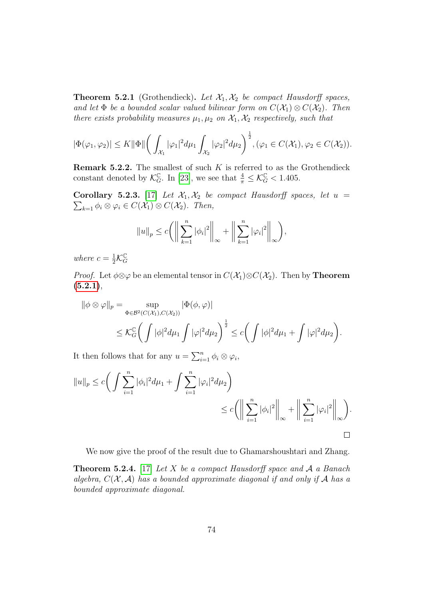<span id="page-81-0"></span>**Theorem 5.2.1** (Grothendieck). Let  $\mathcal{X}_1, \mathcal{X}_2$  be compact Hausdorff spaces, and let  $\Phi$  be a bounded scalar valued bilinear form on  $C(\mathcal{X}_1) \otimes C(\mathcal{X}_2)$ . Then there exists probability measures  $\mu_1, \mu_2$  on  $\mathcal{X}_1, \mathcal{X}_2$  respectively, such that

$$
|\Phi(\varphi_1,\varphi_2)|\leq K \|\Phi\|\bigg(\int_{\mathcal{X}_1}|\varphi_1|^2d\mu_1\int_{\mathcal{X}_2}|\varphi_2|^2d\mu_2\bigg)^{\frac{1}{2}}, (\varphi_1\in C(\mathcal{X}_1),\varphi_2\in C(\mathcal{X}_2)).
$$

**Remark 5.2.2.** The smallest of such  $K$  is referred to as the Grothendieck constant denoted by  $\mathcal{K}_G^{\mathbb{C}}$ . In [\[23\]](#page-97-3), we see that  $\frac{4}{\pi} \leq \mathcal{K}_G^{\mathbb{C}} < 1.405$ .

<span id="page-81-2"></span>**Corollary 5.2.3.** [\[17\]](#page-97-1) Let  $\mathcal{X}_1, \mathcal{X}_2$  be compact Hausdorff spaces, let  $u =$  $\sum_{k=1} \phi_i \otimes \varphi_i \in C(\mathcal{X}_1) \otimes C(\mathcal{X}_2)$ . Then,

$$
||u||_p \le c \left( \left\| \sum_{k=1}^n |\phi_i|^2 \right\|_{\infty} + \left\| \sum_{k=1}^n |\phi_i|^2 \right\|_{\infty} \right),
$$

where  $c = \frac{1}{2} \mathcal{K}_G^{\mathbb{C}}$ 

*Proof.* Let  $\phi \otimes \varphi$  be an elemental tensor in  $C(\mathcal{X}_1) \otimes C(\mathcal{X}_2)$ . Then by **Theorem**  $(5.2.1),$  $(5.2.1),$ 

$$
\begin{aligned} \|\phi \otimes \varphi\|_{p} &= \sup_{\Phi \in \mathcal{B}^{2}(C(\mathcal{X}_{1}), C(\mathcal{X}_{2}))} |\Phi(\phi, \varphi)| \\ &\leq \mathcal{K}_{G}^{\mathbb{C}} \bigg( \int |\phi|^{2} d\mu_{1} \int |\varphi|^{2} d\mu_{2} \bigg)^{\frac{1}{2}} \leq c \bigg( \int |\phi|^{2} d\mu_{1} + \int |\varphi|^{2} d\mu_{2} \bigg). \end{aligned}
$$

It then follows that for any  $u = \sum_{i=1}^{n} \phi_i \otimes \varphi_i$ ,

$$
||u||_p \le c \bigg( \int \sum_{i=1}^n |\phi_i|^2 d\mu_1 + \int \sum_{i=1}^n |\varphi_i|^2 d\mu_2 \bigg) \le c \bigg( \bigg\| \sum_{i=1}^n |\phi_i|^2 \bigg\|_{\infty} + \bigg\| \sum_{i=1}^n |\varphi_i|^2 \bigg\|_{\infty} \bigg).
$$

We now give the proof of the result due to Ghamarshoushtari and Zhang.

<span id="page-81-1"></span>**Theorem 5.2.4.** [\[17\]](#page-97-1) Let X be a compact Hausdorff space and A a Banach algebra,  $C(\mathcal{X}, \mathcal{A})$  has a bounded approximate diagonal if and only if A has a bounded approximate diagonal.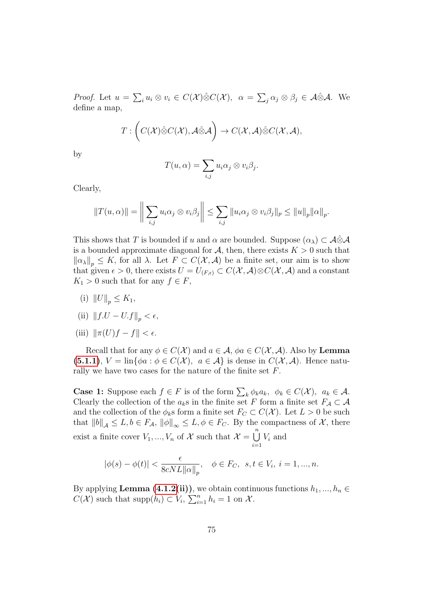*Proof.* Let  $u = \sum_i u_i \otimes v_i \in C(\mathcal{X}) \hat{\otimes} C(\mathcal{X}), \ \alpha = \sum_j \alpha_j \otimes \beta_j \in \mathcal{A} \hat{\otimes} \mathcal{A}$ . We define a map,

$$
T: \bigg(C(\mathcal{X})\hat{\otimes}C(\mathcal{X}), \mathcal{A}\hat{\otimes}\mathcal{A}\bigg) \to C(\mathcal{X},\mathcal{A})\hat{\otimes}C(\mathcal{X},\mathcal{A}),
$$

by

$$
T(u,\alpha)=\sum_{i,j}u_i\alpha_j\otimes v_i\beta_j.
$$

Clearly,

$$
||T(u, \alpha)|| = \left\| \sum_{i,j} u_i \alpha_j \otimes v_i \beta_j \right\| \leq \sum_{i,j} ||u_i \alpha_j \otimes v_i \beta_j||_p \leq ||u||_p ||\alpha||_p.
$$

This shows that T is bounded if u and  $\alpha$  are bounded. Suppose  $(\alpha_{\lambda}) \subset \mathcal{A} \hat{\otimes} \mathcal{A}$ is a bounded approximate diagonal for  $A$ , then, there exists  $K > 0$  such that  $\|\alpha_{\lambda}\|_{n} \leq K$ , for all  $\lambda$ . Let  $F \subset C(\mathcal{X}, \mathcal{A})$  be a finite set, our aim is to show that given  $\epsilon > 0$ , there exists  $U = U_{(F,\epsilon)} \subset C(\mathcal{X}, \mathcal{A}) \otimes C(\mathcal{X}, \mathcal{A})$  and a constant  $K_1 > 0$  such that for any  $f \in F$ ,

- (i)  $||U||_p \leq K_1$ ,
- (ii)  $||f.U-U.f||_p < \epsilon$ ,
- (iii)  $\|\pi(U)f f\| < \epsilon$ .

Recall that for any  $\phi \in C(\mathcal{X})$  and  $a \in \mathcal{A}$ ,  $\phi a \in C(\mathcal{X}, \mathcal{A})$ . Also by **Lemma** [\(5.1.1\)](#page-80-1),  $V = \text{lin}\{\phi a : \phi \in C(\mathcal{X}), a \in \mathcal{A}\}\$ is dense in  $C(\mathcal{X}, \mathcal{A})$ . Hence naturally we have two cases for the nature of the finite set  $F$ .

**Case 1:** Suppose each  $f \in F$  is of the form  $\sum_{k} \phi_k a_k, \phi_k \in C(\mathcal{X})$ ,  $a_k \in \mathcal{A}$ . Clearly the collection of the  $a_k$ s in the finite set F form a finite set  $F_A \subset \mathcal{A}$ and the collection of the  $\phi_k$ s form a finite set  $F_C \subset C(\mathcal{X})$ . Let  $L > 0$  be such that  $||b||_{\mathcal{A}} \leq L, b \in F_{\mathcal{A}}, ||\phi||_{\infty} \leq L, \phi \in F_{C}.$  By the compactness of X, there exist a finite cover  $V_1, ..., V_n$  of X such that  $\mathcal{X} = \bigcup_{i=1}^{n}$  $i=1$  $V_i$  and

$$
|\phi(s) - \phi(t)| < \frac{\epsilon}{8cNL\|\alpha\|_p}, \quad \phi \in F_C, \ \ s, t \in V_i, \ i = 1, \dots, n.
$$

By applying Lemma [\(4.1.2\(](#page-72-0)ii)), we obtain continuous functions  $h_1, ..., h_n \in$  $C(\mathcal{X})$  such that supp $(h_i) \subset V_i$ ,  $\sum_{i=1}^n h_i = 1$  on  $\mathcal{X}$ .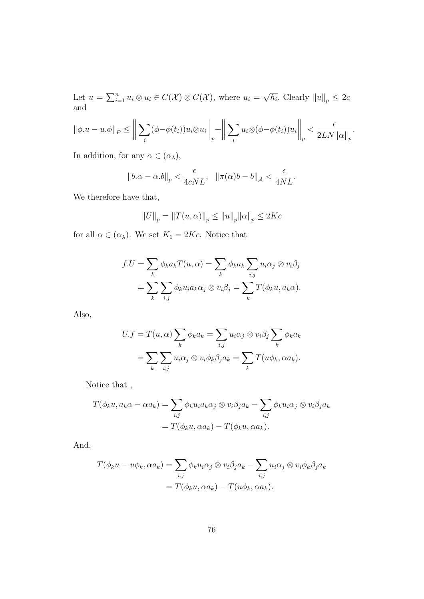Let  $u = \sum_{i=1}^n u_i \otimes u_i \in C(\mathcal{X}) \otimes C(\mathcal{X})$ , where  $u_i =$ √  $\overline{h_i}$ . Clearly  $\|u\|_p \leq 2c$ and

$$
\|\phi.u-u.\phi\|_{P} \le \bigg\|\sum_{i} (\phi-\phi(t_i))u_i\otimes u_i\bigg\|_{P} + \bigg\|\sum_{i} u_i\otimes(\phi-\phi(t_i))u_i\bigg\|_{P} < \frac{\epsilon}{2LN\|\alpha\|_{P}}.
$$

In addition, for any  $\alpha \in (\alpha_{\lambda}),$ 

$$
\|b.\alpha - \alpha.b\|_p < \frac{\epsilon}{4cNL}, \quad \|\pi(\alpha)b - b\|_{\mathcal{A}} < \frac{\epsilon}{4NL}.
$$

We therefore have that,

$$
\left\|U\right\|_p=\left\|T(u,\alpha)\right\|_p\leq \left\|u\right\|_p\!\left\|\alpha\right\|_p\leq 2Kc
$$

for all  $\alpha \in (\alpha_{\lambda})$ . We set  $K_1 = 2Kc$ . Notice that

$$
f.U = \sum_{k} \phi_{k} a_{k} T(u, \alpha) = \sum_{k} \phi_{k} a_{k} \sum_{i,j} u_{i} \alpha_{j} \otimes v_{i} \beta_{j}
$$

$$
= \sum_{k} \sum_{i,j} \phi_{k} u_{i} a_{k} \alpha_{j} \otimes v_{i} \beta_{j} = \sum_{k} T(\phi_{k} u, a_{k} \alpha).
$$

Also,

$$
U.f = T(u, \alpha) \sum_{k} \phi_{k} a_{k} = \sum_{i,j} u_{i} \alpha_{j} \otimes v_{i} \beta_{j} \sum_{k} \phi_{k} a_{k}
$$

$$
= \sum_{k} \sum_{i,j} u_{i} \alpha_{j} \otimes v_{i} \phi_{k} \beta_{j} a_{k} = \sum_{k} T(u \phi_{k}, \alpha a_{k}).
$$

Notice that ,

$$
T(\phi_k u, a_k \alpha - \alpha a_k) = \sum_{i,j} \phi_k u_i a_k \alpha_j \otimes v_i \beta_j a_k - \sum_{i,j} \phi_k u_i \alpha_j \otimes v_i \beta_j a_k
$$
  
= 
$$
T(\phi_k u, \alpha a_k) - T(\phi_k u, \alpha a_k).
$$

And,

$$
T(\phi_k u - u\phi_k, \alpha a_k) = \sum_{i,j} \phi_k u_i \alpha_j \otimes v_i \beta_j a_k - \sum_{i,j} u_i \alpha_j \otimes v_i \phi_k \beta_j a_k
$$
  
= 
$$
T(\phi_k u, \alpha a_k) - T(u\phi_k, \alpha a_k).
$$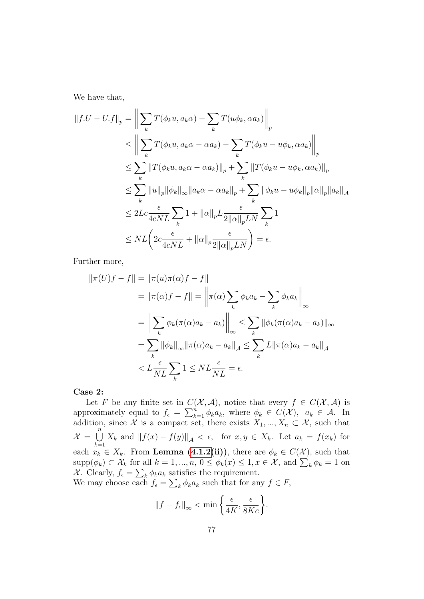We have that,

$$
||f.U - U.f||_p = \left\| \sum_k T(\phi_k u, a_k \alpha) - \sum_k T(u\phi_k, \alpha a_k) \right\|_p
$$
  
\n
$$
\leq \left\| \sum_k T(\phi_k u, a_k \alpha - \alpha a_k) - \sum_k T(\phi_k u - u\phi_k, \alpha a_k) \right\|_p
$$
  
\n
$$
\leq \sum_k ||T(\phi_k u, a_k \alpha - \alpha a_k)||_p + \sum_k ||T(\phi_k u - u\phi_k, \alpha a_k)||_p
$$
  
\n
$$
\leq \sum_k ||u||_p ||\phi_k||_\infty ||a_k \alpha - \alpha a_k||_p + \sum_k ||\phi_k u - u\phi_k||_p ||\alpha||_p ||a_k||_A
$$
  
\n
$$
\leq 2Lc \frac{\epsilon}{4cNL} \sum_k 1 + ||\alpha||_p L \frac{\epsilon}{2||\alpha||_p LN} \sum_k 1
$$
  
\n
$$
\leq NL \left( 2c \frac{\epsilon}{4cNL} + ||\alpha||_p \frac{\epsilon}{2||\alpha||_p LN} \right) = \epsilon.
$$

Further more,

$$
\|\pi(U)f - f\| = \|\pi(u)\pi(\alpha)f - f\|
$$
  
\n
$$
= \|\pi(\alpha)f - f\| = \left\|\pi(\alpha)\sum_{k} \phi_{k} a_{k} - \sum_{k} \phi_{k} a_{k}\right\|_{\infty}
$$
  
\n
$$
= \left\|\sum_{k} \phi_{k}(\pi(\alpha)a_{k} - a_{k})\right\|_{\infty} \le \sum_{k} \|\phi_{k}(\pi(\alpha)a_{k} - a_{k})\|_{\infty}
$$
  
\n
$$
= \sum_{k} \|\phi_{k}\|_{\infty} \|\pi(\alpha)a_{k} - a_{k}\|_{\mathcal{A}} \le \sum_{k} L \|\pi(\alpha)a_{k} - a_{k}\|_{\mathcal{A}}
$$
  
\n
$$
< L \frac{\epsilon}{NL} \sum_{k} 1 \le NL \frac{\epsilon}{NL} = \epsilon.
$$

Case 2:

Let F be any finite set in  $C(\mathcal{X}, \mathcal{A})$ , notice that every  $f \in C(\mathcal{X}, \mathcal{A})$  is approximately equal to  $f_{\epsilon} = \sum_{k=1}^{n} \phi_k a_k$ , where  $\phi_k \in C(\mathcal{X})$ ,  $a_k \in \mathcal{A}$ . In addition, since X is a compact set, there exists  $X_1, ..., X_n \subset \mathcal{X}$ , such that  $\mathcal{X} = \bigcup^{n}$  $\bigcup_{k=1} X_k$  and  $||f(x) - f(y)||_{\mathcal{A}} < \epsilon$ , for  $x, y \in X_k$ . Let  $a_k = f(x_k)$  for each  $x_k \in X_k$ . From **Lemma** [\(4.1.2\(](#page-72-0)ii)), there are  $\phi_k \in C(\mathcal{X})$ , such that  $\text{supp}(\phi_k) \subset \mathcal{X}_k$  for all  $k = 1, ..., n, 0 \le \phi_k(x) \le 1, x \in \mathcal{X}$ , and  $\sum_k \phi_k = 1$  on  $\mathcal{X}$ . Clearly,  $f_{\epsilon} = \sum_{k} \phi_{k} a_{k}$  satisfies the requirement. We may choose each  $f_{\epsilon} = \sum_{k} \phi_{k} a_{k}$  such that for any  $f \in F$ ,

$$
||f - f_{\epsilon}||_{\infty} < \min\left\{\frac{\epsilon}{4K}, \frac{\epsilon}{8Kc}\right\}.
$$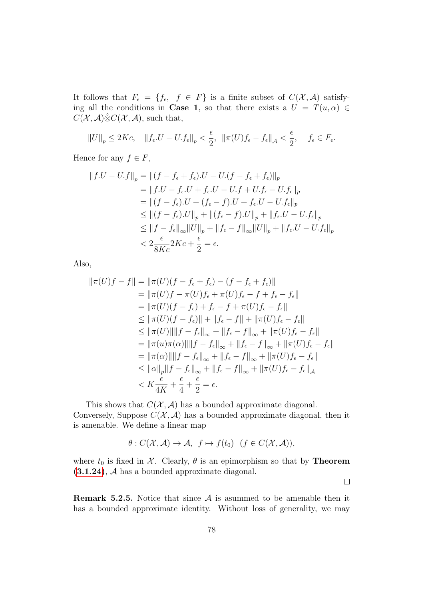It follows that  $F_{\epsilon} = \{f_{\epsilon}, f \in F\}$  is a finite subset of  $C(\mathcal{X}, \mathcal{A})$  satisfying all the conditions in Case 1, so that there exists a  $U = T(u, \alpha) \in$  $C(\mathcal{X}, \mathcal{A}) \hat{\otimes} C(\mathcal{X}, \mathcal{A})$ , such that,

$$
||U||_p \le 2Kc, \quad ||f_{\epsilon}.U - U.f_{\epsilon}||_p < \frac{\epsilon}{2}, \ ||\pi(U)f_{\epsilon} - f_{\epsilon}||_{\mathcal{A}} < \frac{\epsilon}{2}, \quad f_{\epsilon} \in F_{\epsilon}.
$$

Hence for any  $f \in F$ ,

$$
||f.U - U.f||_p = ||(f - f_{\epsilon} + f_{\epsilon}).U - U.(f - f_{\epsilon} + f_{\epsilon})||_p
$$
  
\n
$$
= ||f.U - f_{\epsilon}.U + f_{\epsilon}.U - U.f + U.f_{\epsilon} - U.f_{\epsilon}||_p
$$
  
\n
$$
= ||(f - f_{\epsilon}).U + (f_{\epsilon} - f).U + f_{\epsilon}.U - U.f_{\epsilon}||_p
$$
  
\n
$$
\leq ||(f - f_{\epsilon}).U||_p + ||(f_{\epsilon} - f).U||_p + ||f_{\epsilon}.U - U.f_{\epsilon}||_p
$$
  
\n
$$
\leq ||f - f_{\epsilon}||_{\infty}||U||_p + ||f_{\epsilon} - f||_{\infty}||U||_p + ||f_{\epsilon}.U - U.f_{\epsilon}||_p
$$
  
\n
$$
< 2\frac{\epsilon}{8Kc}2Kc + \frac{\epsilon}{2} = \epsilon.
$$

Also,

$$
\|\pi(U)f - f\| = \|\pi(U)(f - f_{\epsilon} + f_{\epsilon}) - (f - f_{\epsilon} + f_{\epsilon})\|
$$
  
\n
$$
= \|\pi(U)f - \pi(U)f_{\epsilon} + \pi(U)f_{\epsilon} - f + f_{\epsilon} - f_{\epsilon}\|
$$
  
\n
$$
= \|\pi(U)(f - f_{\epsilon}) + f_{\epsilon} - f + \pi(U)f_{\epsilon} - f_{\epsilon}\|
$$
  
\n
$$
\leq \|\pi(U)(f - f_{\epsilon})\| + \|f_{\epsilon} - f\| + \|\pi(U)f_{\epsilon} - f_{\epsilon}\|
$$
  
\n
$$
\leq \|\pi(U)\|\|f - f_{\epsilon}\|_{\infty} + \|f_{\epsilon} - f\|_{\infty} + \|\pi(U)f_{\epsilon} - f_{\epsilon}\|
$$
  
\n
$$
= \|\pi(u)\pi(\alpha)\|\|f - f_{\epsilon}\|_{\infty} + \|f_{\epsilon} - f\|_{\infty} + \|\pi(U)f_{\epsilon} - f_{\epsilon}\|
$$
  
\n
$$
= \|\pi(\alpha)\|\|f - f_{\epsilon}\|_{\infty} + \|f_{\epsilon} - f\|_{\infty} + \|\pi(U)f_{\epsilon} - f_{\epsilon}\|
$$
  
\n
$$
\leq \|\alpha\|_{p}\|f - f_{\epsilon}\|_{\infty} + \|f_{\epsilon} - f\|_{\infty} + \|\pi(U)f_{\epsilon} - f_{\epsilon}\|
$$
  
\n
$$
< K \frac{\epsilon}{4K} + \frac{\epsilon}{4} + \frac{\epsilon}{2} = \epsilon.
$$

This shows that  $C(\mathcal{X}, \mathcal{A})$  has a bounded approximate diagonal. Conversely, Suppose  $C(\mathcal{X}, \mathcal{A})$  has a bounded approximate diagonal, then it is amenable. We define a linear map

$$
\theta: C(\mathcal{X}, \mathcal{A}) \to \mathcal{A}, \ f \mapsto f(t_0) \ (f \in C(\mathcal{X}, \mathcal{A})),
$$

where  $t_0$  is fixed in X. Clearly,  $\theta$  is an epimorphism so that by **Theorem** [\(3.1.24\)](#page-45-0), A has a bounded approximate diagonal.

 $\Box$ 

**Remark 5.2.5.** Notice that since  $A$  is asummed to be amenable then it has a bounded approximate identity. Without loss of generality, we may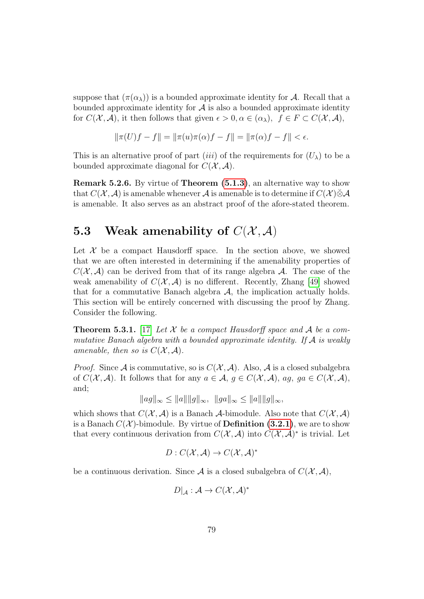suppose that  $(\pi(\alpha_{\lambda}))$  is a bounded approximate identity for A. Recall that a bounded approximate identity for  $\mathcal A$  is also a bounded approximate identity for  $C(\mathcal{X}, \mathcal{A})$ , it then follows that given  $\epsilon > 0, \alpha \in (\alpha_{\lambda}), \ f \in F \subset C(\mathcal{X}, \mathcal{A}),$ 

$$
\|\pi(U)f - f\| = \|\pi(u)\pi(\alpha)f - f\| = \|\pi(\alpha)f - f\| < \epsilon.
$$

This is an alternative proof of part *(iii)* of the requirements for  $(U_\lambda)$  to be a bounded approximate diagonal for  $C(\mathcal{X}, \mathcal{A})$ .

Remark 5.2.6. By virtue of Theorem [\(5.1.3\)](#page-80-0), an alternative way to show that  $C(\mathcal{X}, \mathcal{A})$  is amenable whenever  $\mathcal A$  is amenable is to determine if  $C(\mathcal{X})\tilde\otimes\mathcal{A}$ is amenable. It also serves as an abstract proof of the afore-stated theorem.

#### 5.3 Weak amenability of  $C(\mathcal{X}, \mathcal{A})$

Let  $\mathcal X$  be a compact Hausdorff space. In the section above, we showed that we are often interested in determining if the amenability properties of  $C(\mathcal{X}, \mathcal{A})$  can be derived from that of its range algebra  $\mathcal{A}$ . The case of the weak amenability of  $C(\mathcal{X}, \mathcal{A})$  is no different. Recently, Zhang [\[49\]](#page-99-2) showed that for a commutative Banach algebra  $A$ , the implication actually holds. This section will be entirely concerned with discussing the proof by Zhang. Consider the following.

<span id="page-86-0"></span>**Theorem 5.3.1.** [\[17\]](#page-97-1) Let  $X$  be a compact Hausdorff space and  $A$  be a commutative Banach algebra with a bounded approximate identity. If  $A$  is weakly amenable, then so is  $C(\mathcal{X}, \mathcal{A})$ .

*Proof.* Since A is commutative, so is  $C(\mathcal{X}, \mathcal{A})$ . Also, A is a closed subalgebra of  $C(\mathcal{X}, \mathcal{A})$ . It follows that for any  $a \in \mathcal{A}, q \in C(\mathcal{X}, \mathcal{A}), aq, qa \in C(\mathcal{X}, \mathcal{A}),$ and;

 $\|ag\|_{\infty} \leq \|a\| \|g\|_{\infty}, \|ga\|_{\infty} \leq \|a\| \|g\|_{\infty},$ 

which shows that  $C(\mathcal{X}, \mathcal{A})$  is a Banach  $\mathcal{A}$ -bimodule. Also note that  $C(\mathcal{X}, \mathcal{A})$ is a Banach  $C(\mathcal{X})$ -bimodule. By virtue of **Definition [\(3.2.1\)](#page-49-0)**, we are to show that every continuous derivation from  $C(\mathcal{X}, \mathcal{A})$  into  $C(\mathcal{X}, \mathcal{A})^*$  is trivial. Let

$$
D:C(\mathcal{X},\mathcal{A})\to C(\mathcal{X},\mathcal{A})^*
$$

be a continuous derivation. Since  $A$  is a closed subalgebra of  $C(\mathcal{X}, \mathcal{A})$ ,

$$
D|_{\mathcal{A}} : \mathcal{A} \to C(\mathcal{X}, \mathcal{A})^*
$$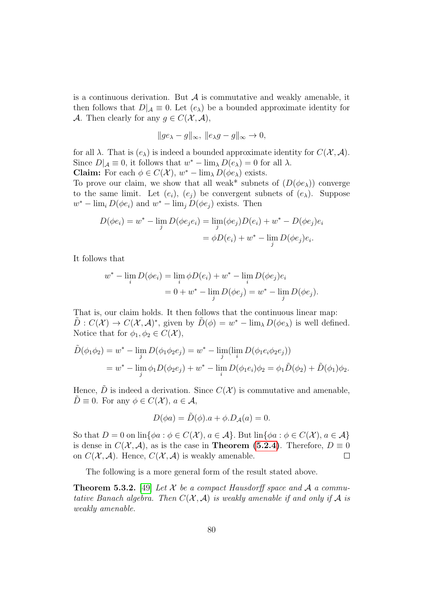is a continuous derivation. But  $\mathcal A$  is commutative and weakly amenable, it then follows that  $D|_{\mathcal{A}} \equiv 0$ . Let  $(e_{\lambda})$  be a bounded approximate identity for A. Then clearly for any  $g \in C(\mathcal{X}, \mathcal{A}),$ 

$$
||ge_{\lambda} - g||_{\infty}, ||e_{\lambda}g - g||_{\infty} \to 0,
$$

for all  $\lambda$ . That is  $(e_{\lambda})$  is indeed a bounded approximate identity for  $C(\mathcal{X}, \mathcal{A})$ . Since  $D|_{\mathcal{A}} \equiv 0$ , it follows that  $w^* - \lim_{\lambda} D(e_{\lambda}) = 0$  for all  $\lambda$ . **Claim:** For each  $\phi \in C(\mathcal{X}), w^* - \lim_{\lambda} D(\phi e_{\lambda})$  exists.

To prove our claim, we show that all weak\* subnets of  $(D(\phi e_{\lambda}))$  converge to the same limit. Let  $(e_i)$ ,  $(e_i)$  be convergent subnets of  $(e_{\lambda})$ . Suppose  $w^* - \lim_i D(\phi e_i)$  and  $w^* - \lim_j D(\phi e_j)$  exists. Then

$$
D(\phi e_i) = w^* - \lim_{j} D(\phi e_j e_i) = \lim_{j} (\phi e_j) D(e_i) + w^* - D(\phi e_j) e_i
$$
  
=  $\phi D(e_i) + w^* - \lim_{j} D(\phi e_j) e_i$ .

It follows that

$$
w^* - \lim_{i} D(\phi e_i) = \lim_{i} \phi D(e_i) + w^* - \lim_{i} D(\phi e_i) e_i
$$
  
= 0 + w^\* - \lim\_{i} D(\phi e\_i) = w^\* - \lim\_{i} D(\phi e\_i).

That is, our claim holds. It then follows that the continuous linear map:  $\tilde{D}: C(\mathcal{X}) \to C(\mathcal{X}, \mathcal{A})^*$ , given by  $\tilde{D}(\phi) = w^* - \lim_{\lambda} D(\phi e_{\lambda})$  is well defined. Notice that for  $\phi_1, \phi_2 \in C(\mathcal{X}),$ 

$$
\tilde{D}(\phi_1 \phi_2) = w^* - \lim_j D(\phi_1 \phi_2 e_j) = w^* - \lim_j (\lim_i D(\phi_1 e_i \phi_2 e_j))
$$
  
=  $w^* - \lim_j \phi_1 D(\phi_2 e_j) + w^* - \lim_i D(\phi_1 e_i) \phi_2 = \phi_1 \tilde{D}(\phi_2) + \tilde{D}(\phi_1) \phi_2.$ 

Hence,  $\tilde{D}$  is indeed a derivation. Since  $C(\mathcal{X})$  is commutative and amenable,  $D \equiv 0$ . For any  $\phi \in C(\mathcal{X}), a \in \mathcal{A}$ ,

$$
D(\phi a) = \tilde{D}(\phi).a + \phi.D_{\mathcal{A}}(a) = 0.
$$

So that  $D = 0$  on  $\text{lin}\{\phi a : \phi \in C(\mathcal{X}), a \in \mathcal{A}\}\$ . But  $\text{lin}\{\phi a : \phi \in C(\mathcal{X}), a \in \mathcal{A}\}\$ is dense in  $C(\mathcal{X}, \mathcal{A})$ , as is the case in **Theorem [\(5.2.4\)](#page-81-1)**. Therefore,  $D \equiv 0$ on  $C(\mathcal{X}, \mathcal{A})$ . Hence,  $C(\mathcal{X}, \mathcal{A})$  is weakly amenable.  $\Box$ 

The following is a more general form of the result stated above.

**Theorem 5.3.2.** [\[49\]](#page-99-2) Let X be a compact Hausdorff space and A a commutative Banach algebra. Then  $C(\mathcal{X}, \mathcal{A})$  is weakly amenable if and only if A is weakly amenable.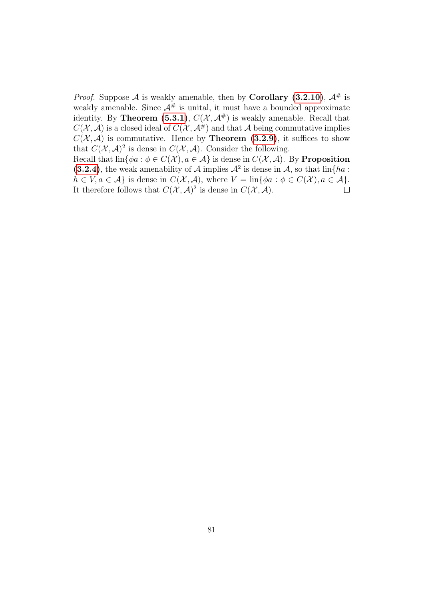*Proof.* Suppose A is weakly amenable, then by **Corollary** [\(3.2.10\)](#page-53-0),  $A^{\#}$  is weakly amenable. Since  $A^{\#}$  is unital, it must have a bounded approximate identity. By Theorem [\(5.3.1\)](#page-86-0),  $C(\mathcal{X}, \mathcal{A}^{\#})$  is weakly amenable. Recall that  $C(\mathcal{X}, \mathcal{A})$  is a closed ideal of  $C(\mathcal{X}, \mathcal{A}^{\#})$  and that A being commutative implies  $C(\mathcal{X}, \mathcal{A})$  is commutative. Hence by **Theorem [\(3.2.9\)](#page-52-0)**, it suffices to show that  $C(\mathcal{X}, \mathcal{A})^2$  is dense in  $C(\mathcal{X}, \mathcal{A})$ . Consider the following.

Recall that  $\text{lin}\{\phi a : \phi \in C(\mathcal{X}), a \in \mathcal{A}\}\$ is dense in  $C(\mathcal{X}, \mathcal{A})$ . By Proposition [\(3.2.4\)](#page-49-1), the weak amenability of A implies  $\mathcal{A}^2$  is dense in A, so that  $\text{lin}\{ha : a\}$  $h \in V, a \in \mathcal{A}\}$  is dense in  $C(\mathcal{X}, \mathcal{A})$ , where  $V = \text{lin}\{\phi a : \phi \in C(\mathcal{X}), a \in \mathcal{A}\}.$ It therefore follows that  $C(\mathcal{X}, \mathcal{A})^2$  is dense in  $C(\mathcal{X}, \mathcal{A})$ .  $\Box$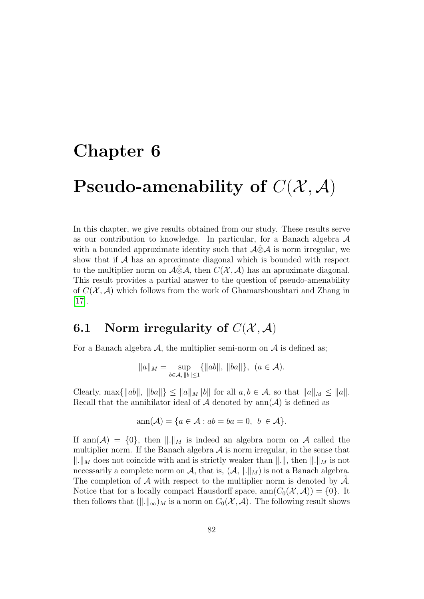### Chapter 6

# Pseudo-amenability of  $C(\mathcal{X}, \mathcal{A})$

In this chapter, we give results obtained from our study. These results serve as our contribution to knowledge. In particular, for a Banach algebra A with a bounded approximate identity such that  $\mathcal{A} \hat{\otimes} \mathcal{A}$  is norm irregular, we show that if  $A$  has an aproximate diagonal which is bounded with respect to the multiplier norm on  $\mathcal{A} \hat{\otimes} \mathcal{A}$ , then  $C(\mathcal{X}, \mathcal{A})$  has an aproximate diagonal. This result provides a partial answer to the question of pseudo-amenability of  $C(\mathcal{X}, \mathcal{A})$  which follows from the work of Ghamarshoushtari and Zhang in [\[17\]](#page-97-1).

#### 6.1 Norm irregularity of  $C(\mathcal{X}, \mathcal{A})$

For a Banach algebra  $A$ , the multiplier semi-norm on  $A$  is defined as;

$$
||a||_M = \sup_{b \in \mathcal{A}, ||b|| \le 1} \{ ||ab||, ||ba|| \}, (a \in \mathcal{A}).
$$

Clearly, max $\{\|ab\|, \|ba\|\} \le \|a\|_M \|b\|$  for all  $a, b \in \mathcal{A}$ , so that  $\|a\|_M \le \|a\|$ . Recall that the annihilator ideal of  $A$  denoted by  $ann(A)$  is defined as

$$
\operatorname{ann}(\mathcal{A}) = \{a \in \mathcal{A} : ab = ba = 0, b \in \mathcal{A}\}.
$$

If ann(A) =  $\{0\}$ , then  $\|.\|_M$  is indeed an algebra norm on A called the multiplier norm. If the Banach algebra  $A$  is norm irregular, in the sense that  $\Vert \cdot \Vert_M$  does not coincide with and is strictly weaker than  $\Vert \cdot \Vert$ , then  $\Vert \cdot \Vert_M$  is not necessarily a complete norm on A, that is,  $(A, \|.\|_M)$  is not a Banach algebra. The completion of  $A$  with respect to the multiplier norm is denoted by  $A$ . Notice that for a locally compact Hausdorff space,  $ann(C_0(\mathcal{X}, \mathcal{A})) = \{0\}$ . It then follows that  $(\Vert .\Vert_{\infty})_M$  is a norm on  $C_0(\mathcal{X}, \mathcal{A})$ . The following result shows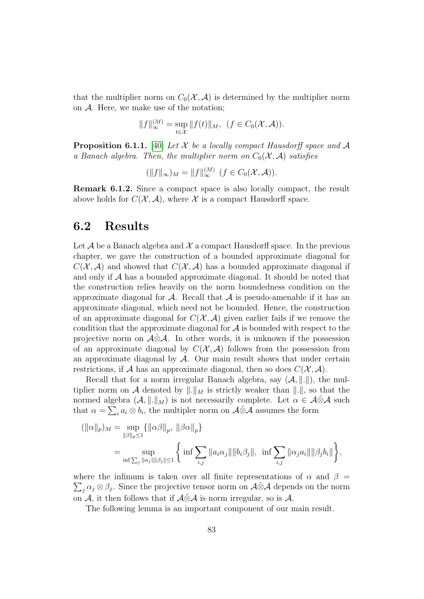that the multiplier norm on  $C_0(\mathcal{X}, \mathcal{A})$  is determined by the multiplier norm on A. Here, we make use of the notation;

$$
||f||_{\infty}^{(M)} = \sup_{t \in \mathcal{X}} ||f(t)||_M, \ (f \in C_0(\mathcal{X}, \mathcal{A})).
$$

**Proposition 6.1.1.** [\[40\]](#page-98-0) Let X be a locally compact Hausdorff space and A a Banach algebra. Then, the multiplier norm on  $C_0(\mathcal{X}, \mathcal{A})$  satisfies

$$
(\|f\|_{\infty})_M = \|f\|_{\infty}^{(M)} \ \ (f \in C_0(\mathcal{X}, \mathcal{A})).
$$

Remark 6.1.2. Since a compact space is also locally compact, the result above holds for  $C(\mathcal{X}, \mathcal{A})$ , where X is a compact Hausdorff space.

#### 6.2 Results

Let A be a Banach algebra and  $\mathcal X$  a compact Hausdorff space. In the previous chapter, we gave the construction of a bounded approximate diagonal for  $C(\mathcal{X}, \mathcal{A})$  and showed that  $C(\mathcal{X}, \mathcal{A})$  has a bounded approximate diagonal if and only if  $A$  has a bounded approximate diagonal. It should be noted that the construction relies heavily on the norm boundedness condition on the approximate diagonal for A. Recall that  $A$  is pseudo-amenable if it has an approximate diagonal, which need not be bounded. Hence, the construction of an approximate diagonal for  $C(\mathcal{X}, \mathcal{A})$  given earlier fails if we remove the condition that the approximate diagonal for  $A$  is bounded with respect to the projective norm on  $\mathcal{A} \hat{\otimes} \mathcal{A}$ . In other words, it is unknown if the possession of an approximate diagonal by  $C(\mathcal{X}, \mathcal{A})$  follows from the possession from an approximate diagonal by  $A$ . Our main result shows that under certain restrictions, if A has an approximate diagonal, then so does  $C(\mathcal{X}, \mathcal{A})$ .

Recall that for a norm irregular Banach algebra, say  $(A, \|.\|)$ , the multiplier norm on A denoted by  $\|\cdot\|_M$  is strictly weaker than  $\|\cdot\|$ , so that the normed algebra  $(A, \|\cdot\|_M)$  is not necessarily complete. Let  $\alpha \in \mathcal{A} \hat{\otimes} \mathcal{A}$  such that  $\alpha = \sum_i a_i \otimes b_i$ , the multipler norm on  $\mathcal{A} \hat{\otimes} \mathcal{A}$  assumes the form

$$
\langle ||\alpha||_p \rangle_M = \sup_{||\beta||_p \le 1} {\{ ||\alpha\beta||_p, ||\beta\alpha||_p \} \over \sup_{\inf \sum_j ||\alpha_j|| ||\beta_j|| \le 1} {\{ \inf \sum_{i,j} ||a_i\alpha_j|| ||b_i\beta_j||, \ inf \sum_{i,j} ||\alpha_j a_i|| ||\beta_j b_i|| \} }},
$$

where the infimum is taken over all finite representations of  $\alpha$  and  $\beta =$  $\sum_j \alpha_j \otimes \beta_j$ . Since the projective tensor norm on  $\mathcal{A} \hat{\otimes} \mathcal{A}$  depends on the norm on A, it then follows that if  $\mathcal{A}\hat{\otimes}\mathcal{A}$  is norm irregular, so is  $\mathcal{A}$ .

The following lemma is an important component of our main result.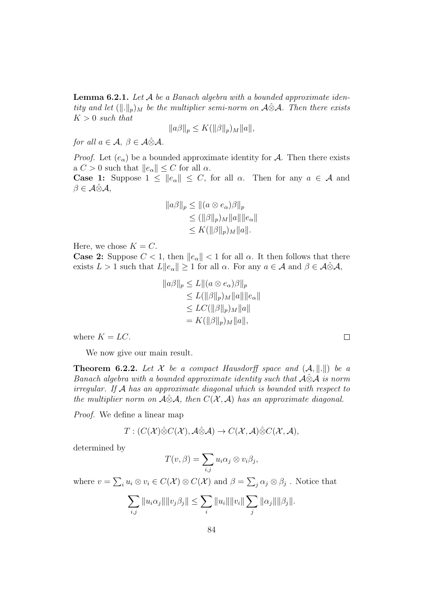<span id="page-91-0"></span>**Lemma 6.2.1.** Let  $\mathcal A$  be a Banach algebra with a bounded approximate identity and let  $(\Vert .\Vert_p)_M$  be the multiplier semi-norm on  $\mathcal{A}\hat{\otimes}\mathcal{A}$ . Then there exists  $K > 0$  such that

$$
||a\beta||_p \le K(||\beta||_p) \le ||a||,
$$

for all  $a \in \mathcal{A}, \ \beta \in \mathcal{A} \hat{\otimes} \mathcal{A}$ .

*Proof.* Let  $(e_{\alpha})$  be a bounded approximate identity for A. Then there exists a  $C > 0$  such that  $||e_{\alpha}|| \leq C$  for all  $\alpha$ .

**Case 1:** Suppose  $1 \leq ||e_{\alpha}|| \leq C$ , for all  $\alpha$ . Then for any  $a \in \mathcal{A}$  and  $\beta \in \mathcal{A} \hat{\otimes} \mathcal{A},$ 

$$
||a\beta||_p \le ||(a \otimes e_\alpha)\beta||_p
$$
  
\n
$$
\le (||\beta||_p)_M ||a|| ||e_\alpha||
$$
  
\n
$$
\le K(||\beta||_p)_M ||a||.
$$

Here, we chose  $K = C$ .

**Case 2:** Suppose  $C < 1$ , then  $||e_{\alpha}|| < 1$  for all  $\alpha$ . It then follows that there exists  $L > 1$  such that  $L||e_\alpha|| \geq 1$  for all  $\alpha$ . For any  $a \in \mathcal{A}$  and  $\beta \in \mathcal{A}\hat{\otimes}\mathcal{A}$ ,

$$
||a\beta||_p \le L||(a \otimes e_{\alpha})\beta||_p
$$
  
\n
$$
\le L(||\beta||_p)_{M}||a||||e_{\alpha}||
$$
  
\n
$$
\le LC(||\beta||_p)_{M}||a||
$$
  
\n
$$
= K(||\beta||_p)_{M}||a||,
$$

where  $K = LC$ .

We now give our main result.

<span id="page-91-1"></span>**Theorem 6.2.2.** Let X be a compact Hausdorff space and  $(A, \|\cdot\|)$  be a Banach algebra with a bounded approximate identity such that  $\mathcal{A}\hat{\otimes}\mathcal{A}$  is norm irregular. If A has an approximate diagonal which is bounded with respect to the multiplier norm on  $\mathcal{A}\hat{\otimes}\mathcal{A}$ , then  $C(\mathcal{X},\mathcal{A})$  has an approximate diagonal.

Proof. We define a linear map

$$
T:(C(\mathcal{X})\hat{\otimes}C(\mathcal{X}),\mathcal{A}\hat{\otimes}\mathcal{A})\to C(\mathcal{X},\mathcal{A})\hat{\otimes}C(\mathcal{X},\mathcal{A}),
$$

determined by

$$
T(v, \beta) = \sum_{i,j} u_i \alpha_j \otimes v_i \beta_j,
$$

where  $v = \sum_i u_i \otimes v_i \in C(\mathcal{X}) \otimes C(\mathcal{X})$  and  $\beta = \sum_j \alpha_j \otimes \beta_j$ . Notice that

$$
\sum_{i,j} ||u_i \alpha_j|| ||v_j \beta_j|| \leq \sum_i ||u_i|| ||v_i|| \sum_j ||\alpha_j|| ||\beta_j||.
$$

 $\Box$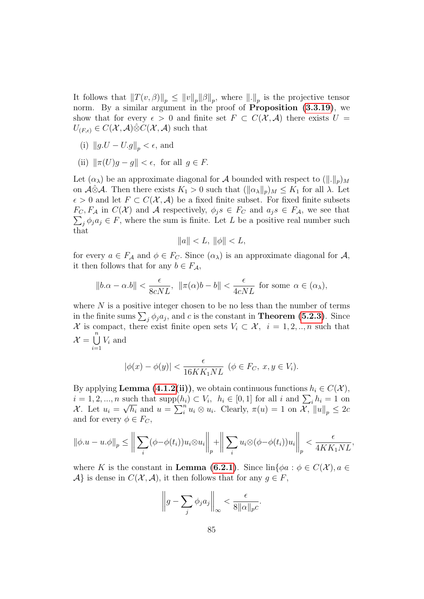It follows that  $||T(v, \beta)||_p \leq ||v||_p ||\beta||_p$ , where  $||.||_p$  is the projective tensor norm. By a similar argument in the proof of **Proposition**  $(3.3.19)$ , we show that for every  $\epsilon > 0$  and finite set  $F \subset C(\mathcal{X}, \mathcal{A})$  there exists  $U =$  $U_{(F,\epsilon)} \in C(\mathcal{X},\mathcal{A}) \hat{\otimes} C(\mathcal{X},\mathcal{A})$  such that

- (i)  $||g.U-U.g||_p < \epsilon$ , and
- (ii)  $\|\pi(U)q q\| < \epsilon$ , for all  $q \in F$ .

Let  $(\alpha_{\lambda})$  be an approximate diagonal for A bounded with respect to  $(\Vert .\Vert_p)_M$ on  $\mathcal{A} \otimes \mathcal{A}$ . Then there exists  $K_1 > 0$  such that  $(\|\alpha_\lambda\|_p)_M \leq K_1$  for all  $\lambda$ . Let  $\epsilon > 0$  and let  $F \subset C(\mathcal{X}, \mathcal{A})$  be a fixed finite subset. For fixed finite subsets  $\sum_{j} \phi_j a_j \in F$ , where the sum is finite. Let L be a positive real number such  $F_C, F_A$  in  $C(\mathcal{X})$  and A respectively,  $\phi_j s \in F_C$  and  $a_j s \in F_A$ , we see that that

$$
\|a\| < L, \ \|\phi\| < L,
$$

for every  $a \in F_{\mathcal{A}}$  and  $\phi \in F_{\mathcal{C}}$ . Since  $(\alpha_{\lambda})$  is an approximate diagonal for  $\mathcal{A}$ , it then follows that for any  $b \in F_A$ ,

$$
||b.\alpha - \alpha.b|| < \frac{\epsilon}{8cNL}, \|\pi(\alpha)b - b\| < \frac{\epsilon}{4cNL} \text{ for some } \alpha \in (\alpha_{\lambda}),
$$

where  $N$  is a positive integer chosen to be no less than the number of terms in the finite sums  $\sum_{j} \phi_j a_j$ , and c is the constant in **Theorem [\(5.2.3\)](#page-81-2)**. Since X is compact, there exist finite open sets  $V_i \subset X$ ,  $i = 1, 2, ..., n$  such that  $\mathcal{X} = \bigcup^{n}$  $i=1$  $V_i$  and

$$
|\phi(x) - \phi(y)| < \frac{\epsilon}{16KK_1NL} \quad (\phi \in F_C, \ x, y \in V_i).
$$

By applying **Lemma** [\(4.1.2\(](#page-72-0)ii)), we obtain continuous functions  $h_i \in C(\mathcal{X})$ ,  $i = 1, 2, ..., n$  such that  $\text{supp}(h_i) \subset V_i$ ,  $h_i \in [0, 1]$  for all  $i$  and  $\sum_i h_i = 1$  on X. Let  $u_i = \sqrt{h_i}$  and  $u = \sum_i^n u_i \otimes u_i$ . Clearly,  $\pi(u) = 1$  on  $\overline{\mathcal{X}}$ ,  $||u||_p \leq 2c$ and for every  $\phi \in F_C$ ,

$$
\|\phi.u - u.\phi\|_p \le \left\|\sum_i (\phi - \phi(t_i))u_i \otimes u_i\right\|_p + \left\|\sum_i u_i \otimes (\phi - \phi(t_i))u_i\right\|_p < \frac{\epsilon}{4KK_1NL},
$$

where K is the constant in **Lemma** [\(6.2.1\)](#page-91-0). Since  $\text{lin}\{\phi a : \phi \in C(\mathcal{X}), a \in \mathcal{A}\}\$ A} is dense in  $C(\mathcal{X}, \mathcal{A})$ , it then follows that for any  $g \in F$ ,

$$
\left\|g - \sum_j \phi_j a_j\right\|_{\infty} < \frac{\epsilon}{8\|\alpha\|_p c}.
$$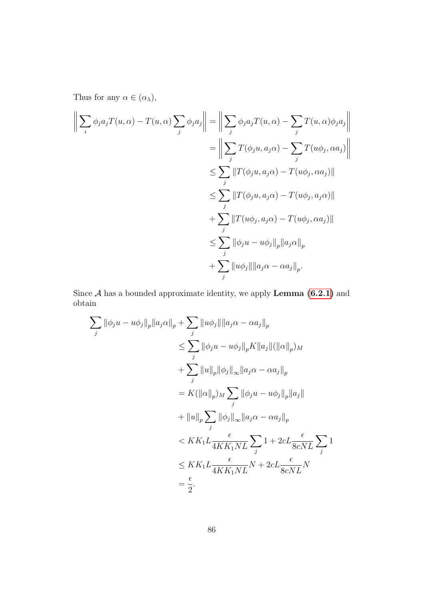Thus for any  $\alpha \in (\alpha_{\lambda}),$ 

$$
\left\| \sum_{i} \phi_{j} a_{j} T(u, \alpha) - T(u, \alpha) \sum_{j} \phi_{j} a_{j} \right\| = \left\| \sum_{j} \phi_{j} a_{j} T(u, \alpha) - \sum_{j} T(u, \alpha) \phi_{j} a_{j} \right\|
$$
  
\n
$$
= \left\| \sum_{j} T(\phi_{j} u, a_{j} \alpha) - \sum_{j} T(u \phi_{j}, \alpha a_{j}) \right\|
$$
  
\n
$$
\leq \sum_{j} \|T(\phi_{j} u, a_{j} \alpha) - T(u \phi_{j}, \alpha a_{j})\|
$$
  
\n
$$
\leq \sum_{j} \|T(\phi_{j} u, a_{j} \alpha) - T(u \phi_{j}, a_{j} \alpha) \|
$$
  
\n
$$
+ \sum_{j} \|T(u \phi_{j}, a_{j} \alpha) - T(u \phi_{j}, \alpha a_{j})\|
$$
  
\n
$$
\leq \sum_{j} \|\phi_{j} u - u \phi_{j}\|_{p} \|a_{j} \alpha\|_{p}
$$
  
\n
$$
+ \sum_{j} \|u \phi_{j}\| \|a_{j} \alpha - \alpha a_{j}\|_{p}.
$$

Since  $A$  has a bounded approximate identity, we apply Lemma  $(6.2.1)$  and obtain

$$
\sum_{j} ||\phi_{j}u - u\phi_{j}||_{p} ||a_{j}\alpha||_{p} + \sum_{j} ||u\phi_{j}|| ||a_{j}\alpha - \alpha a_{j}||_{p}
$$
  
\n
$$
\leq \sum_{j} ||\phi_{j}u - u\phi_{j}||_{p} K ||a_{j}|| (||\alpha||_{p})_{M}
$$
  
\n
$$
+ \sum_{j} ||u||_{p} ||\phi_{j}||_{\infty} ||a_{j}\alpha - \alpha a_{j}||_{p}
$$
  
\n
$$
= K(||\alpha||_{p})_{M} \sum_{j} ||\phi_{j}u - u\phi_{j}||_{p} ||a_{j}||
$$
  
\n
$$
+ ||u||_{p} \sum_{j} ||\phi_{j}||_{\infty} ||a_{j}\alpha - \alpha a_{j}||_{p}
$$
  
\n
$$
< K K_{1} L \frac{\epsilon}{4K K_{1} NL} \sum_{j} 1 + 2c L \frac{\epsilon}{8cNL} \sum_{j} 1
$$
  
\n
$$
\leq K K_{1} L \frac{\epsilon}{4K K_{1} NL} N + 2c L \frac{\epsilon}{8cNL} N
$$
  
\n
$$
= \frac{\epsilon}{2}.
$$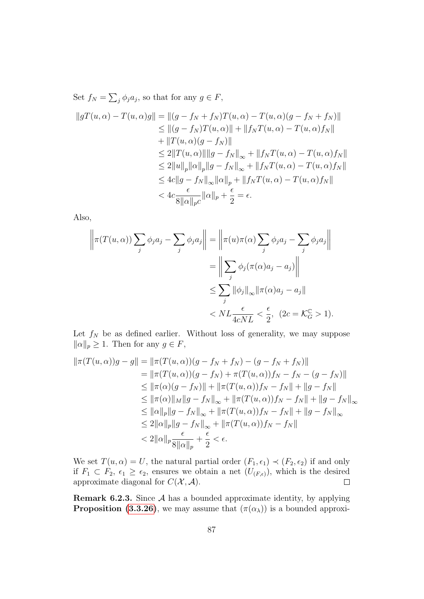Set  $f_N = \sum_j \phi_j a_j$ , so that for any  $g \in F$ ,

$$
||gT(u, \alpha) - T(u, \alpha)g|| = ||(g - f_N + f_N)T(u, \alpha) - T(u, \alpha)(g - f_N + f_N)||
$$
  
\n
$$
\leq ||(g - f_N)T(u, \alpha)|| + ||f_NT(u, \alpha) - T(u, \alpha)f_N||
$$
  
\n
$$
+ ||T(u, \alpha)(g - f_N)||
$$
  
\n
$$
\leq 2||T(u, \alpha)|| ||g - f_N||_{\infty} + ||f_NT(u, \alpha) - T(u, \alpha)f_N||
$$
  
\n
$$
\leq 2||u||_p ||\alpha||_p ||g - f_N||_{\infty} + ||f_NT(u, \alpha) - T(u, \alpha)f_N||
$$
  
\n
$$
\leq 4c||g - f_N||_{\infty} ||\alpha||_p + ||f_NT(u, \alpha) - T(u, \alpha)f_N||
$$
  
\n
$$
< 4c \frac{\epsilon}{8||\alpha||_p c} ||\alpha||_p + \frac{\epsilon}{2} = \epsilon.
$$

Also,

$$
\left\| \pi(T(u,\alpha)) \sum_{j} \phi_{j} a_{j} - \sum_{j} \phi_{j} a_{j} \right\| = \left\| \pi(u) \pi(\alpha) \sum_{j} \phi_{j} a_{j} - \sum_{j} \phi_{j} a_{j} \right\|
$$

$$
= \left\| \sum_{j} \phi_{j} (\pi(\alpha) a_{j} - a_{j}) \right\|
$$

$$
\leq \sum_{j} \|\phi_{j}\|_{\infty} \|\pi(\alpha) a_{j} - a_{j}\|
$$

$$
< NL \frac{\epsilon}{4cNL} < \frac{\epsilon}{2}, \ (2c = \mathcal{K}_{G}^{\mathbb{C}} > 1).
$$

Let  $f_N$  be as defined earlier. Without loss of generality, we may suppose  $\|\alpha\|_p \geq 1$ . Then for any  $g \in F$ ,

$$
\|\pi(T(u,\alpha))g - g\| = \|\pi(T(u,\alpha))(g - f_N + f_N) - (g - f_N + f_N)\|
$$
  
\n
$$
= \|\pi(T(u,\alpha))(g - f_N) + \pi(T(u,\alpha))f_N - f_N - (g - f_N)\|
$$
  
\n
$$
\leq \|\pi(\alpha)(g - f_N)\| + \|\pi(T(u,\alpha))f_N - f_N\| + \|g - f_N\|
$$
  
\n
$$
\leq \|\pi(\alpha)\|_M \|g - f_N\|_\infty + \|\pi(T(u,\alpha))f_N - f_N\| + \|g - f_N\|_\infty
$$
  
\n
$$
\leq \|\alpha\|_p \|g - f_N\|_\infty + \|\pi(T(u,\alpha))f_N - f_N\| + \|g - f_N\|_\infty
$$
  
\n
$$
\leq 2\|\alpha\|_p \|g - f_N\|_\infty + \|\pi(T(u,\alpha))f_N - f_N\|
$$
  
\n
$$
< 2\|\alpha\|_p \frac{\epsilon}{8\|\alpha\|_p} + \frac{\epsilon}{2} < \epsilon.
$$

We set  $T(u, \alpha) = U$ , the natural partial order  $(F_1, \epsilon_1) \prec (F_2, \epsilon_2)$  if and only if  $F_1 \subset F_2$ ,  $\epsilon_1 \geq \epsilon_2$ , ensures we obtain a net  $(U_{(F,\epsilon)})$ , which is the desired approximate diagonal for  $C(\mathcal{X}, \mathcal{A})$ .  $\Box$ 

**Remark 6.2.3.** Since  $\mathcal A$  has a bounded approximate identity, by applying **Proposition [\(3.3.26\)](#page-67-0)**, we may assume that  $(\pi(\alpha_{\lambda}))$  is a bounded approxi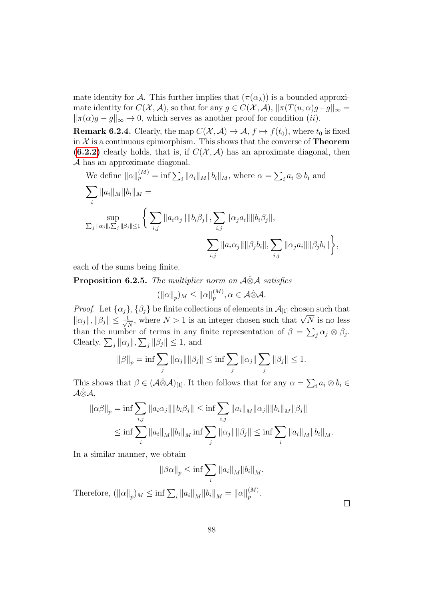mate identity for A. This further implies that  $(\pi(\alpha_{\lambda}))$  is a bounded approximate identity for  $C(\mathcal{X}, \mathcal{A})$ , so that for any  $g \in C(\mathcal{X}, \mathcal{A})$ ,  $\|\pi(T(u, \alpha)g - g\|_{\infty} =$  $\|\pi(\alpha)g - g\|_{\infty} \to 0$ , which serves as another proof for condition (*ii*).

**Remark 6.2.4.** Clearly, the map  $C(\mathcal{X}, \mathcal{A}) \to \mathcal{A}, f \mapsto f(t_0)$ , where  $t_0$  is fixed in  $\mathcal X$  is a continuous epimorphism. This shows that the converse of **Theorem**  $(6.2.2)$  clearly holds, that is, if  $C(\mathcal{X}, \mathcal{A})$  has an aproximate diagonal, then A has an approximate diagonal.

We define 
$$
||\alpha||_p^{(M)} = \inf \sum_i ||a_i||_M ||b_i||_M
$$
, where  $\alpha = \sum_i a_i \otimes b_i$  and  
\n
$$
\sum_i ||a_i||_M ||b_i||_M =
$$
\n
$$
\sup_{\sum_j ||\alpha_j||, \sum_j ||\beta_j|| \le 1} \left\{ \sum_{i,j} ||a_i \alpha_j|| ||b_i \beta_j||, \sum_{i,j} ||\alpha_j a_i|| ||b_i \beta_j||, \sum_{i,j} ||a_i \alpha_j|| ||\beta_j b_i||, \sum_{i,j} ||\alpha_j a_i|| ||\beta_j b_i|| \right\},
$$

each of the sums being finite.

 $(1, 1)$ 

Proposition 6.2.5. The multiplier norm on  $\mathcal{A}\hat{\otimes}\mathcal{A}$  satisfies

 $(\|\alpha\|_p)_M \leq \|\alpha\|_p^{(M)}$  $_{p}^{\left( M\right) },\alpha\in\mathcal{A}\hat{\otimes}\mathcal{A}.$ 

*Proof.* Let  $\{\alpha_j\}$ ,  $\{\beta_j\}$  be finite collections of elements in  $\mathcal{A}_{[1]}$  chosen such that  $\|\alpha_j\|, \|\beta_j\| \leq \frac{1}{\sqrt{2}}$  $\frac{1}{N}$ ,  $\{p_j\}$  be inner conections of elements in  $\mathcal{A}_{[1]}$  chosen such that  $\sqrt{N}$  is no less than the number of terms in any finite representation of  $\beta = \sum_j \alpha_j \otimes \beta_j$ . Clearly,  $\sum_j ||\alpha_j||, \sum_j ||\beta_j|| \leq 1$ , and

$$
\|\beta\|_p = \inf \sum_j \|\alpha_j\| \|\beta_j\| \le \inf \sum_j \|\alpha_j\| \sum_j \|\beta_j\| \le 1.
$$

This shows that  $\beta \in (\mathcal{A} \hat{\otimes} \mathcal{A})_{[1]}$ . It then follows that for any  $\alpha = \sum_i a_i \otimes b_i \in$  $\mathcal{A} \hat{\otimes} \mathcal{A},$ 

$$
\|\alpha \beta\|_{p} = \inf \sum_{i,j} \|a_{i}\alpha_{j}\| \|b_{i}\beta_{j}\| \leq \inf \sum_{i,j} \|a_{i}\|_{M} \|\alpha_{j}\| \|b_{i}\|_{M} \|\beta_{j}\|
$$
  

$$
\leq \inf \sum_{i} \|a_{i}\|_{M} \|b_{i}\|_{M} \inf \sum_{j} \|\alpha_{j}\| \|\beta_{j}\| \leq \inf \sum_{i} \|a_{i}\|_{M} \|b_{i}\|_{M}.
$$

In a similar manner, we obtain

$$
\|\beta\alpha\|_p \le \inf \sum_i \|a_i\|_M \|b_i\|_M.
$$

Therefore,  $(\|\alpha\|_p)_M \leq \inf \sum_i \|a_i\|_M \|b_i\|_M = \|\alpha\|_p^{(M)}$  $\frac{(M)}{p}$ .

 $\Box$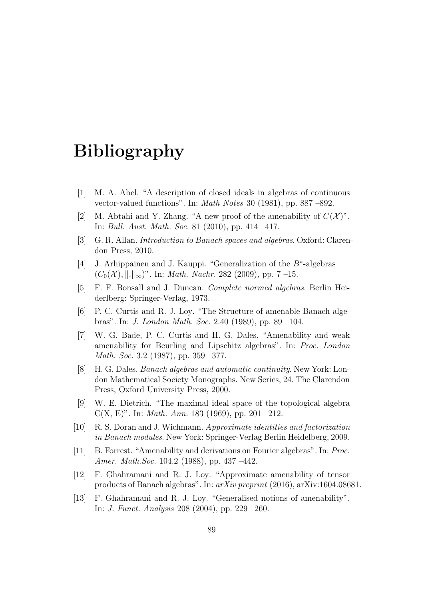# Bibliography

- [1] M. A. Abel. "A description of closed ideals in algebras of continuous vector-valued functions". In: Math Notes 30 (1981), pp. 887 –892.
- <span id="page-96-1"></span>[2] M. Abtahi and Y. Zhang. "A new proof of the amenability of  $C(\mathcal{X})$ ". In: Bull. Aust. Math. Soc. 81 (2010), pp. 414 –417.
- [3] G. R. Allan. Introduction to Banach spaces and algebras. Oxford: Clarendon Press, 2010.
- [4] J. Arhippainen and J. Kauppi. "Generalization of the B<sup>∗</sup>-algebras  $(C_0(\mathcal{X}), \|\cdot\|_{\infty})$ ". In: *Math. Nachr.* 282 (2009), pp. 7 –15.
- [5] F. F. Bonsall and J. Duncan. Complete normed algebras. Berlin Heiderlberg: Springer-Verlag, 1973.
- [6] P. C. Curtis and R. J. Loy. "The Structure of amenable Banach algebras". In: J. London Math. Soc. 2.40 (1989), pp. 89 –104.
- [7] W. G. Bade, P. C. Curtis and H. G. Dales. "Amenability and weak amenability for Beurling and Lipschitz algebras". In: Proc. London Math. Soc. 3.2 (1987), pp. 359 –377.
- [8] H. G. Dales. Banach algebras and automatic continuity. New York: London Mathematical Society Monographs. New Series, 24. The Clarendon Press, Oxford University Press, 2000.
- <span id="page-96-0"></span>[9] W. E. Dietrich. "The maximal ideal space of the topological algebra  $C(X, E)$ ". In: *Math. Ann.* 183 (1969), pp. 201 –212.
- [10] R. S. Doran and J. Wichmann. Approximate identities and factorization in Banach modules. New York: Springer-Verlag Berlin Heidelberg, 2009.
- [11] B. Forrest. "Amenability and derivations on Fourier algebras". In: Proc. Amer. Math. Soc. 104.2 (1988), pp. 437 -442.
- [12] F. Ghahramani and R. J. Loy. "Approximate amenability of tensor products of Banach algebras". In: arXiv preprint (2016), arXiv:1604.08681.
- [13] F. Ghahramani and R. J. Loy. "Generalised notions of amenability". In: J. Funct. Analysis 208 (2004), pp. 229 –260.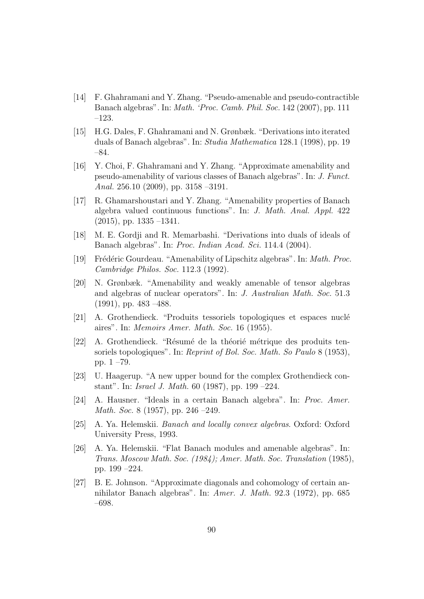- [14] F. Ghahramani and Y. Zhang. "Pseudo-amenable and pseudo-contractible Banach algebras". In: Math. 'Proc. Camb. Phil. Soc. 142 (2007), pp. 111 –123.
- [15] H.G. Dales, F. Ghahramani and N. Grønbæk. "Derivations into iterated duals of Banach algebras". In: Studia Mathematica 128.1 (1998), pp. 19 –84.
- [16] Y. Choi, F. Ghahramani and Y. Zhang. "Approximate amenability and pseudo-amenability of various classes of Banach algebras". In: J. Funct. Anal. 256.10 (2009), pp. 3158 –3191.
- <span id="page-97-1"></span>[17] R. Ghamarshoustari and Y. Zhang. "Amenability properties of Banach algebra valued continuous functions". In: J. Math. Anal. Appl. 422  $(2015)$ , pp. 1335 -1341.
- [18] M. E. Gordji and R. Memarbashi. "Derivations into duals of ideals of Banach algebras". In: Proc. Indian Acad. Sci. 114.4 (2004).
- [19] Frédéric Gourdeau. "Amenability of Lipschitz algebras". In: *Math. Proc.* Cambridge Philos. Soc. 112.3 (1992).
- [20] N. Grønbæk. "Amenability and weakly amenable of tensor algebras and algebras of nuclear operators". In: J. Australian Math. Soc. 51.3 (1991), pp. 483 –488.
- [21] A. Grothendieck. "Produits tessoriels topologiques et espaces nuclé aires". In: Memoirs Amer. Math. Soc. 16 (1955).
- [22] A. Grothendieck. "Résumé de la théorié métrique des produits tensoriels topologiques". In: *Reprint of Bol. Soc. Math. So Paulo* 8 (1953), pp. 1 –79.
- <span id="page-97-3"></span>[23] U. Haagerup. "A new upper bound for the complex Grothendieck constant". In: Israel J. Math. 60 (1987), pp. 199 –224.
- <span id="page-97-2"></span>[24] A. Hausner. "Ideals in a certain Banach algebra". In: Proc. Amer. Math. Soc. 8 (1957), pp. 246 –249.
- <span id="page-97-0"></span>[25] A. Ya. Helemskii. Banach and locally convex algebras. Oxford: Oxford University Press, 1993.
- [26] A. Ya. Helemskii. "Flat Banach modules and amenable algebras". In: Trans. Moscow Math. Soc. (1984); Amer. Math. Soc. Translation (1985), pp. 199 –224.
- [27] B. E. Johnson. "Approximate diagonals and cohomology of certain annihilator Banach algebras". In: Amer. J. Math. 92.3 (1972), pp. 685 –698.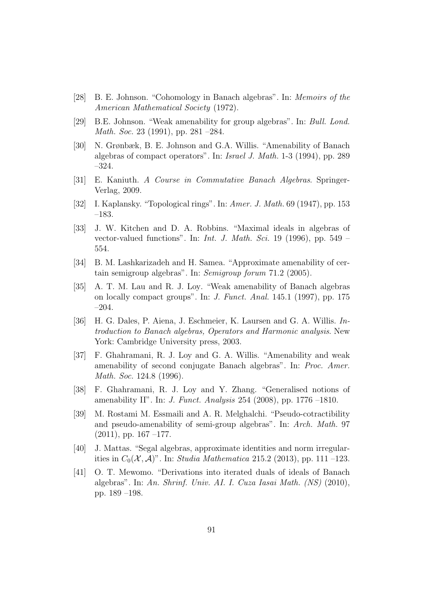- [28] B. E. Johnson. "Cohomology in Banach algebras". In: Memoirs of the American Mathematical Society (1972).
- [29] B.E. Johnson. "Weak amenability for group algebras". In: Bull. Lond. Math. Soc. 23 (1991), pp. 281 –284.
- [30] N. Grønbæk, B. E. Johnson and G.A. Willis. "Amenability of Banach algebras of compact operators". In: Israel J. Math. 1-3 (1994), pp. 289 –324.
- [31] E. Kaniuth. A Course in Commutative Banach Algebras. Springer-Verlag, 2009.
- [32] I. Kaplansky. "Topological rings". In: Amer. J. Math. 69 (1947), pp. 153 –183.
- [33] J. W. Kitchen and D. A. Robbins. "Maximal ideals in algebras of vector-valued functions". In: *Int. J. Math. Sci.* 19 (1996), pp.  $549 -$ 554.
- [34] B. M. Lashkarizadeh and H. Samea. "Approximate amenability of certain semigroup algebras". In: Semigroup forum 71.2 (2005).
- [35] A. T. M. Lau and R. J. Loy. "Weak amenability of Banach algebras on locally compact groups". In: J. Funct. Anal. 145.1 (1997), pp. 175 –204.
- [36] H. G. Dales, P. Aiena, J. Eschmeier, K. Laursen and G. A. Willis. Introduction to Banach algebras, Operators and Harmonic analysis. New York: Cambridge University press, 2003.
- [37] F. Ghahramani, R. J. Loy and G. A. Willis. "Amenability and weak amenability of second conjugate Banach algebras". In: Proc. Amer. Math. Soc. 124.8 (1996).
- [38] F. Ghahramani, R. J. Loy and Y. Zhang. "Generalised notions of amenability II". In: J. Funct. Analysis 254 (2008), pp. 1776 –1810.
- [39] M. Rostami M. Essmaili and A. R. Melghalchi. "Pseudo-cotractibility and pseudo-amenability of semi-group algebras". In: Arch. Math. 97  $(2011)$ , pp. 167 -177.
- <span id="page-98-0"></span>[40] J. Mattas. "Segal algebras, approximate identities and norm irregularities in  $C_0(\mathcal{X}, \mathcal{A})$ ". In: Studia Mathematica 215.2 (2013), pp. 111 –123.
- [41] O. T. Mewomo. "Derivations into iterated duals of ideals of Banach algebras". In: An. Shrinf. Univ. AI. I. Cuza Iasai Math. (NS) (2010), pp. 189 –198.